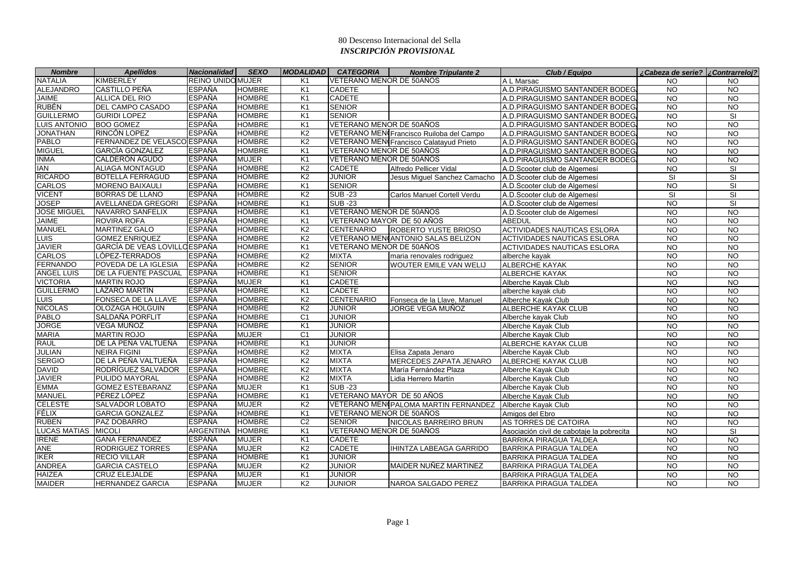| <b>Nombre</b>       | <b>Apellidos</b>              | <b>Nacionalidad</b>      | <b>SEXO</b>   | <b>MODALIDAD</b> | <b>CATEGORIA</b>          | <b>Nombre Tripulante 2</b>               | Club / Equipo                             | ¿Cabeza de serie? ¿Contrarreloj? |                          |
|---------------------|-------------------------------|--------------------------|---------------|------------------|---------------------------|------------------------------------------|-------------------------------------------|----------------------------------|--------------------------|
| <b>NATALIA</b>      | <b>KIMBERLEY</b>              | <b>REINO UNIDO MUJER</b> |               | K <sub>1</sub>   | VETERANO MENOR DE 50AÑOS  |                                          | A L Marsac                                | NO.                              | <b>NO</b>                |
| <b>ALEJANDRO</b>    | <b>CASTILLO PEÑA</b>          | ESPAÑA                   | <b>HOMBRE</b> | K <sub>1</sub>   | <b>CADETE</b>             |                                          | A.D.PIRAGUISMO SANTANDER BODEG.           | <b>NO</b>                        | <b>NO</b>                |
| <b>JAIME</b>        | <b>ALLICA DEL RIO</b>         | <b>ESPAÑA</b>            | <b>HOMBRE</b> | K1               | <b>CADETE</b>             |                                          | A.D.PIRAGUISMO SANTANDER BODEG.           | <b>NO</b>                        | <b>NO</b>                |
| <b>RUBÉN</b>        | DEL CAMPO CASADO              | <b>ESPAÑA</b>            | <b>HOMBRE</b> | K <sub>1</sub>   | <b>SENIOR</b>             |                                          | A.D.PIRAGUISMO SANTANDER BODEG.           | <b>NO</b>                        | <b>NO</b>                |
| <b>GUILLERMO</b>    | <b>GURIDI LOPEZ</b>           | <b>ESPAÑA</b>            | <b>HOMBRE</b> | K1               | <b>SENIOR</b>             |                                          | A.D.PIRAGUISMO SANTANDER BODEG.           | $\overline{10}$                  | $\overline{\mathbf{s}}$  |
| <b>LUIS ANTONIO</b> | <b>BOO GOMEZ</b>              | <b>ESPAÑA</b>            | <b>HOMBRE</b> | K1               | VETERANO MENOR DE 50AÑOS  |                                          | A.D.PIRAGUISMO SANTANDER BODEG.           | <b>NO</b>                        | N <sub>O</sub>           |
| <b>JONATHAN</b>     | RINCÓN LOPEZ                  | <b>ESPAÑA</b>            | <b>HOMBRE</b> | K <sub>2</sub>   |                           | VETERANO MEN¢Francisco Ruiloba del Campo | A.D.PIRAGUISMO SANTANDER BODEG.           | <b>NO</b>                        | <b>NO</b>                |
| <b>PABLO</b>        | FERNANDEZ DE VELASCO ESPAÑA   |                          | <b>HOMBRE</b> | K <sub>2</sub>   |                           | VETERANO MENCFrancisco Calatayud Prieto  | A.D.PIRAGUISMO SANTANDER BODEG.           | <b>NO</b>                        | N <sub>O</sub>           |
| <b>MIGUEL</b>       | <b>GARCÍA GONZALEZ</b>        | <b>ESPAÑA</b>            | <b>HOMBRE</b> | K1               | VETERANO MENOR DE 50AÑOS  |                                          | A.D.PIRAGUISMO SANTANDER BODEG            | $\overline{10}$                  | <b>NO</b>                |
| <b>INMA</b>         | CALDERÓN AGUDO                | <b>ESPAÑA</b>            | <b>MUJER</b>  | K <sub>1</sub>   | VETERANO MENOR DE 50AÑOS  |                                          | A.D.PIRAGUISMO SANTANDER BODEG.           | <b>NO</b>                        | N <sub>O</sub>           |
| IAN                 | <b>ALIAGA MONTAGUD</b>        | <b>ESPAÑA</b>            | <b>HOMBRE</b> | K <sub>2</sub>   | CADETE                    | Alfredo Pellicer Vidal                   | A.D.Scooter club de Algemesí              | <b>NO</b>                        | SI                       |
| <b>RICARDO</b>      | <b>BOTELLA FERRAGUD</b>       | <b>ESPAÑA</b>            | <b>HOMBRE</b> | K <sub>2</sub>   | <b>JUNIOR</b>             | Jesus Miguel Sanchez Camacho             | A.D.Scooter club de Algemesí              | SI                               | SI                       |
| <b>CARLOS</b>       | MORENO BAIXAULI               | <b>ESPAÑA</b>            | <b>HOMBRE</b> | K <sub>1</sub>   | <b>SENIOR</b>             |                                          | A.D.Scooter club de Algemesí              | <b>NO</b>                        | SI                       |
| <b>VICENT</b>       | <b>BORRAS DE LLANO</b>        | <b>ESPAÑA</b>            | <b>HOMBRE</b> | K <sub>2</sub>   | <b>SUB-23</b>             | Carlos Manuel Cortell Verdu              | A.D.Scooter club de Algemesi              | SI                               | $\overline{\mathsf{SI}}$ |
| <b>JOSEP</b>        | <b>AVELLANEDA GREGORI</b>     | <b>ESPAÑA</b>            | <b>HOMBRE</b> | K1               | <b>SUB-23</b>             |                                          | A.D.Scooter club de Algemesí              | <b>NO</b>                        | <b>SI</b>                |
| <b>JOSE MIGUEL</b>  | NAVARRO SANFELIX              | <b>ESPAÑA</b>            | <b>HOMBRE</b> | K1               | VETERANO MENOR DE 50AÑOS  |                                          | A.D.Scooter club de Algemesí              | $\overline{N}$                   | $\overline{NO}$          |
| <b>JAIME</b>        | <b>ROVIRA ROFA</b>            | <b>ESPAÑA</b>            | <b>HOMBRE</b> | K <sub>1</sub>   | VETERANO MAYOR DE 50 AÑOS |                                          | <b>ABEDUL</b>                             | <b>NO</b>                        | <b>NO</b>                |
| MANUEL              | <b>MARTINEZ GALO</b>          | <b>ESPAÑA</b>            | <b>HOMBRE</b> | K <sub>2</sub>   | <b>CENTENARIO</b>         | <b>ROBERTO YUSTE BRIOSO</b>              | <b>ACTIVIDADES NAUTICAS ESLORA</b>        | $\overline{10}$                  | N <sub>O</sub>           |
| <b>LUIS</b>         | <b>GOMEZ ENRIQUEZ</b>         | <b>ESPAÑA</b>            | <b>HOMBRE</b> | K <sub>2</sub>   |                           | VETERANO MEN ANTONIO SALAS BELIZON       | <b>ACTIVIDADES NAUTICAS ESLORA</b>        | <b>NO</b>                        | N <sub>O</sub>           |
| <b>JAVIER</b>       | GARCÍA DE VEAS LOVILLO ESPAÑA |                          | <b>HOMBRE</b> | K1               | VETERANO MENOR DE 50AÑOS  |                                          | <b>ACTIVIDADES NAUTICAS ESLORA</b>        | <b>NO</b>                        | $\overline{NQ}$          |
| <b>CARLOS</b>       | LÓPEZ-TERRADOS                | <b>ESPAÑA</b>            | <b>HOMBRE</b> | K <sub>2</sub>   | <b>MIXTA</b>              | maria renovales rodriguez                | alberche kayak                            | <b>NO</b>                        | <b>NO</b>                |
| <b>FERNANDO</b>     | POVEDA DE LA IGLESIA          | <b>ESPAÑA</b>            | <b>HOMBRE</b> | K <sub>2</sub>   | <b>SENIOR</b>             | WOUTER EMILE VAN WELIJ                   | ALBERCHE KAYAK                            | <b>NO</b>                        | <b>NO</b>                |
| <b>ANGEL LUIS</b>   | DE LA FUENTE PASCUAL          | <b>ESPAÑA</b>            | <b>HOMBRE</b> | K1               | <b>SENIOR</b>             |                                          | <b>ALBERCHE KAYAK</b>                     | <b>NO</b>                        | N <sub>O</sub>           |
| <b>VICTORIA</b>     | <b>MARTIN ROJO</b>            | <b>ESPAÑA</b>            | <b>MUJER</b>  | K <sub>1</sub>   | <b>CADETE</b>             |                                          | Alberche Kayak Club                       | <b>NO</b>                        | <b>NO</b>                |
| <b>GUILLERMO</b>    | LÁZARO MARTÍN                 | <b>ESPAÑA</b>            | <b>HOMBRE</b> | K1               | <b>CADETE</b>             |                                          | alberche kayak club                       | <b>NO</b>                        | N <sub>O</sub>           |
| LUIS                | FONSECA DE LA LLAVE           | <b>ESPAÑA</b>            | <b>HOMBRE</b> | K <sub>2</sub>   | <b>CENTENARIO</b>         | Fonseca de la Llave, Manuel              | Alberche Kayak Club                       | <b>NO</b>                        | <b>NO</b>                |
| <b>NICOLAS</b>      | <b>OLOZAGA HOLGUIN</b>        | <b>ESPAÑA</b>            | <b>HOMBRE</b> | K <sub>2</sub>   | <b>JUNIOR</b>             | JORGE VEGA MUÑOZ                         | ALBERCHE KAYAK CLUB                       | <b>NO</b>                        | <b>NO</b>                |
| <b>PABLO</b>        | SALDAÑA PORFLIT               | <b>ESPAÑA</b>            | <b>HOMBRE</b> | C <sub>1</sub>   | <b>JUNIOR</b>             |                                          | Alberche kayak Club                       | <b>NO</b>                        | <b>NO</b>                |
| <b>JORGE</b>        | VEGA MUÑOZ                    | <b>ESPAÑA</b>            | <b>HOMBRE</b> | K <sub>1</sub>   | <b>JUNIOR</b>             |                                          | Alberche Kayak Club                       | <b>NO</b>                        | $\overline{NO}$          |
| <b>MARIA</b>        | <b>MARTIN ROJO</b>            | <b>ESPAÑA</b>            | <b>MUJER</b>  | C <sub>1</sub>   | <b>JUNIOR</b>             |                                          | Alberche Kayak Club                       | <b>NO</b>                        | <b>NO</b>                |
| <b>RAUL</b>         | DE LA PEÑA VALTUEÑA           | <b>ESPAÑA</b>            | <b>HOMBRE</b> | K <sub>1</sub>   | <b>JUNIOR</b>             |                                          | ALBERCHE KAYAK CLUB                       | <b>NO</b>                        | <b>NO</b>                |
| <b>JULIAN</b>       | <b>NEIRA FIGINI</b>           | <b>ESPAÑA</b>            | <b>HOMBRE</b> | K <sub>2</sub>   | <b>MIXTA</b>              | Elisa Zapata Jenaro                      | Alberche Kavak Club                       | <b>NO</b>                        | <b>NO</b>                |
| <b>SERGIO</b>       | DE LA PEÑA VALTUEÑA           | <b>ESPAÑA</b>            | <b>HOMBRE</b> | K <sub>2</sub>   | <b>MIXTA</b>              | MERCEDES ZAPATA JENARO                   | ALBERCHE KAYAK CLUB                       | <b>NO</b>                        | <b>NO</b>                |
| <b>DAVID</b>        | RODRÍGUEZ SALVADOR            | <b>ESPAÑA</b>            | <b>HOMBRE</b> | K <sub>2</sub>   | <b>MIXTA</b>              | María Fernández Plaza                    | Alberche Kayak Club                       | <b>NO</b>                        | N <sub>O</sub>           |
| <b>JAVIER</b>       | PULIDO MAYORAL                | <b>ESPAÑA</b>            | <b>HOMBRE</b> | K <sub>2</sub>   | <b>MIXTA</b>              | Lidia Herrero Martín                     | Alberche Kayak Club                       | <b>NO</b>                        | <b>NO</b>                |
| <b>EMMA</b>         | <b>GOMEZ ESTEBARANZ</b>       | <b>ESPAÑA</b>            | <b>MUJER</b>  | K1               | <b>SUB-23</b>             |                                          | Alberche Kayak Club                       | <b>NO</b>                        | <b>NO</b>                |
| <b>MANUEL</b>       | PÉREZ LÓPEZ                   | <b>ESPAÑA</b>            | <b>HOMBRE</b> | K <sub>1</sub>   | VETERANO MAYOR DE 50 AÑOS |                                          | Alberche Kayak Club                       | <b>NO</b>                        | $\overline{NQ}$          |
| <b>CELESTE</b>      | <b>SALVADOR LOBATO</b>        | <b>ESPAÑA</b>            | <b>MUJER</b>  | K <sub>2</sub>   |                           | VETERANO MENI PALOMA MARTIN FERNANDEZ    | Alberche Kayak Club                       | $\overline{N}$                   | $\overline{NO}$          |
| <b>FÉLIX</b>        | <b>GARCIA GONZALEZ</b>        | <b>ESPAÑA</b>            | <b>HOMBRE</b> | K <sub>1</sub>   | VETERANO MENOR DE 50AÑOS  |                                          | Amigos del Ebro                           | <b>NO</b>                        | <b>NO</b>                |
| <b>RUBEN</b>        | PAZ DOBARRO                   | <b>ESPAÑA</b>            | <b>HOMBRE</b> | C <sub>2</sub>   | <b>SENIOR</b>             | NICOLAS BARREIRO BRUN                    | AS TORRES DE CATOIRA                      | <b>NO</b>                        | <b>NO</b>                |
| <b>LUCAS MATIAS</b> | <b>MICOLI</b>                 | <b>ARGENTINA</b>         | <b>HOMBRE</b> | K1               | VETERANO MENOR DE 50AÑOS  |                                          | Asociación civil de cabotaje la pobrecita | <b>NO</b>                        | <b>SI</b>                |
| <b>IRENE</b>        | <b>GANA FERNANDEZ</b>         | <b>ESPAÑA</b>            | <b>MUJER</b>  | K1               | CADETE                    |                                          | <b>BARRIKA PIRAGUA TALDEA</b>             | <b>NO</b>                        | <b>NO</b>                |
| ANE                 | <b>RODRIGUEZ TORRES</b>       | <b>ESPAÑA</b>            | <b>MUJER</b>  | K <sub>2</sub>   | <b>CADETE</b>             | IHINTZA LABEAGA GARRIDO                  | <b>BARRIKA PIRAGUA TALDEA</b>             | <b>NO</b>                        | <b>NO</b>                |
| <b>IKER</b>         | <b>RECIO VILLAR</b>           | <b>ESPAÑA</b>            | <b>HOMBRE</b> | K <sub>1</sub>   | <b>JUNIOR</b>             |                                          | <b>BARRIKA PIRAGUA TALDEA</b>             | <b>NO</b>                        | <b>NO</b>                |
| <b>ANDREA</b>       | <b>GARCIA CASTELO</b>         | <b>ESPAÑA</b>            | <b>MUJER</b>  | K <sub>2</sub>   | <b>JUNIOR</b>             | MAIDER NUÑEZ MARTINEZ                    | <b>BARRIKA PIRAGUA TALDEA</b>             | $\overline{10}$                  | $\overline{NO}$          |
| <b>HAIZEA</b>       | <b>CRUZ ELEJALDE</b>          | <b>ESPAÑA</b>            | <b>MUJER</b>  | K1               | <b>JUNIOR</b>             |                                          | <b>BARRIKA PIRAGUA TALDEA</b>             | <b>NO</b>                        | <b>NO</b>                |
| <b>MAIDER</b>       | <b>HERNANDEZ GARCIA</b>       | <b>ESPAÑA</b>            | <b>MUJER</b>  | K <sub>2</sub>   | <b>JUNIOR</b>             | NAROA SALGADO PEREZ                      | <b>BARRIKA PIRAGUA TALDEA</b>             | <b>NO</b>                        | <b>NO</b>                |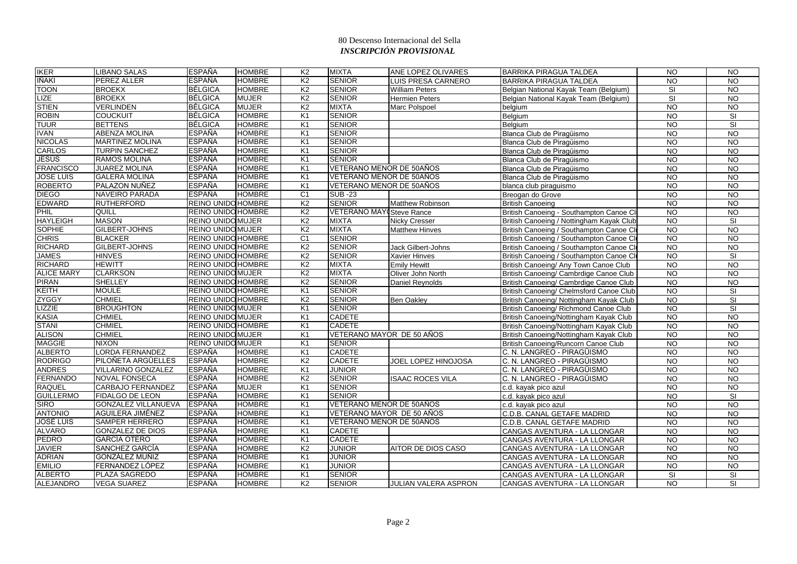| <b>IKER</b>       | <b>LIBANO SALAS</b>        | <b>ESPAÑA</b>             | <b>HOMBRE</b> | K <sub>2</sub> | <b>MIXTA</b>                    | ANE LOPEZ OLIVARES      | <b>BARRIKA PIRAGUA TALDEA</b>            | $\overline{NO}$ | N <sub>O</sub>          |
|-------------------|----------------------------|---------------------------|---------------|----------------|---------------------------------|-------------------------|------------------------------------------|-----------------|-------------------------|
| <b>IÑAKI</b>      | PEREZ ALLER                | <b>ESPAÑA</b>             | <b>HOMBRE</b> | K <sub>2</sub> | <b>SENIOR</b>                   | LUIS PRESA CARNERO      | <b>BARRIKA PIRAGUA TALDEA</b>            | <b>NO</b>       | <b>NO</b>               |
| <b>TOON</b>       | <b>BROEKX</b>              | <b>BÉLGICA</b>            | <b>HOMBRE</b> | K <sub>2</sub> | <b>SENIOR</b>                   | <b>William Peters</b>   | Belgian National Kayak Team (Belgium)    | SI              | N <sub>O</sub>          |
| <b>LIZE</b>       | <b>BROEKX</b>              | <b>BÉLGICA</b>            | <b>MUJER</b>  | K <sub>2</sub> | <b>SENIOR</b>                   | <b>Hermien Peters</b>   | Belgian National Kayak Team (Belgium)    | SI              | N <sub>O</sub>          |
| <b>STIEN</b>      | <b>VERLINDEN</b>           | <b>BÉLGICA</b>            | <b>MUJER</b>  | K <sub>2</sub> | <b>MIXTA</b>                    | Marc Polspoel           | belgium                                  | <b>NO</b>       | <b>NO</b>               |
| <b>ROBIN</b>      | <b>COUCKUIT</b>            | <b>BÉLGICA</b>            | <b>HOMBRE</b> | K <sub>1</sub> | <b>SENIOR</b>                   |                         | Belgium                                  | $\overline{N}$  | SI                      |
| <b>TUUR</b>       | <b>BETTENS</b>             | <b>BÉLGICA</b>            | <b>HOMBRE</b> | K <sub>1</sub> | <b>SENIOR</b>                   |                         | Belgium                                  | <b>NO</b>       | SI                      |
| <b>IVAN</b>       | <b>ABENZA MOLINA</b>       | <b>ESPAÑA</b>             | <b>HOMBRE</b> | K <sub>1</sub> | <b>SENIOR</b>                   |                         | Blanca Club de Piraqüismo                | <b>NO</b>       | N <sub>O</sub>          |
| <b>NICOLAS</b>    | <b>MARTINEZ MOLINA</b>     | <b>ESPAÑA</b>             | HOMBRE        | K <sub>1</sub> | <b>SENIOR</b>                   |                         | Blanca Club de Piragüismo                | <b>NO</b>       | N <sub>O</sub>          |
| <b>CARLOS</b>     | <b>TURPIN SANCHEZ</b>      | <b>ESPAÑA</b>             | <b>HOMBRE</b> | K <sub>1</sub> | <b>SENIOR</b>                   |                         | Blanca Club de Piragüismo                | <b>NO</b>       | <b>NO</b>               |
| <b>JESÚS</b>      | <b>RAMOS MOLINA</b>        | <b>ESPAÑA</b>             | <b>HOMBRE</b> | K <sub>1</sub> | <b>SENIOR</b>                   |                         | Blanca Club de Piragüismo                | NO              | N <sub>O</sub>          |
| <b>FRANCISCO</b>  | <b>JUAREZ MOLINA</b>       | <b>ESPAÑA</b>             | <b>HOMBRE</b> | K <sub>1</sub> | VETERANO MENOR DE 50AÑOS        |                         | Blanca Club de Piragüismo                | N <sub>O</sub>  | N <sub>O</sub>          |
| <b>JOSE LUIS</b>  | <b>GALERA MOLINA</b>       | <b>ESPAÑA</b>             | <b>HOMBRE</b> | K <sub>1</sub> | VETERANO MENOR DE 50AÑOS        |                         | Blanca Club de Piragüismo                | <b>NO</b>       | N <sub>O</sub>          |
| <b>ROBERTO</b>    | PALAZON NUÑEZ              | <b>ESPAÑA</b>             | <b>HOMBRE</b> | K <sub>1</sub> | VETERANO MENOR DE 50AÑOS        |                         | blanca club piraguismo                   | <b>NO</b>       | <b>NO</b>               |
| <b>DIEGO</b>      | NAVEIRO PARADA             | <b>ESPAÑA</b>             | <b>HOMBRE</b> | C <sub>1</sub> | <b>SUB-23</b>                   |                         | Breogan do Grove                         | <b>NO</b>       | <b>NO</b>               |
| <b>EDWARD</b>     | <b>RUTHERFORD</b>          | <b>REINO UNIDO HOMBRE</b> |               | K <sub>2</sub> | <b>SENIOR</b>                   | <b>Matthew Robinson</b> | <b>British Canoeing</b>                  | $\overline{N}$  | N <sub>O</sub>          |
| PHIL              | QUILL                      | <b>REINO UNIDO HOMBRE</b> |               | K <sub>2</sub> | <b>VETERANO MAY Steve Rance</b> |                         | British Canoeing - Southampton Canoe Cl  | $\overline{N}$  | <b>NO</b>               |
| <b>HAYLEIGH</b>   | <b>MASON</b>               | REINO UNIDO MUJER         |               | K <sub>2</sub> | <b>MIXTA</b>                    | Nicky Cresser           | British Canoeing / Nottingham Kayak Club | <b>NO</b>       | <b>SI</b>               |
| <b>SOPHIE</b>     | GILBERT-JOHNS              | <b>REINO UNIDO MUJER</b>  |               | K <sub>2</sub> | <b>MIXTA</b>                    | <b>Matthew Hinves</b>   | British Canoeing / Southampton Canoe Clu | N <sub>O</sub>  | N <sub>O</sub>          |
| <b>CHRIS</b>      | <b>BLACKER</b>             | REINO UNIDO HOMBRE        |               | C <sub>1</sub> | <b>SENIOR</b>                   |                         | British Canoeing / Southampton Canoe Clu | <b>NO</b>       | <b>NO</b>               |
| <b>RICHARD</b>    | GILBERT-JOHNS              | <b>REINO UNIDO HOMBRE</b> |               | K <sub>2</sub> | <b>SENIOR</b>                   | Jack Gilbert-Johns      | British Canoeing / Southampton Canoe Clu | N <sub>O</sub>  | N <sub>O</sub>          |
| <b>JAMES</b>      | <b>HINVES</b>              | <b>REINO UNIDO HOMBRE</b> |               | K <sub>2</sub> | <b>SENIOR</b>                   | Xavier Hinves           | British Canoeing / Southampton Canoe Cl  | <b>NO</b>       | <b>SI</b>               |
| <b>RICHARD</b>    | <b>HEWITT</b>              | REINO UNIDO HOMBRE        |               | K <sub>2</sub> | <b>MIXTA</b>                    | <b>Emily Hewitt</b>     | British Canoeing/ Any Town Canoe Club    | <b>NO</b>       | N <sub>O</sub>          |
| <b>ALICE MARY</b> | <b>CLARKSON</b>            | <b>REINO UNIDO MUJER</b>  |               | K <sub>2</sub> | <b>MIXTA</b>                    | Oliver John North       | British Canoeing/ Cambrdige Canoe Club   | <b>NO</b>       | <b>NO</b>               |
| <b>PIRAN</b>      | <b>SHELLEY</b>             | <b>REINO UNIDO HOMBRE</b> |               | K <sub>2</sub> | <b>SENIOR</b>                   | Daniel Reynolds         | British Canoeing/ Cambrdige Canoe Club   | <b>NO</b>       | <b>NO</b>               |
| KEITH             | <b>MOULE</b>               | REINO UNIDO HOMBRE        |               | K1             | <b>SENIOR</b>                   |                         | British Canoeing/ Chelmsford Canoe Club  | $\overline{N}$  | $\overline{\mathbf{s}}$ |
| <b>ZYGGY</b>      | <b>CHMIEL</b>              | <b>REINO UNIDO HOMBRE</b> |               | K <sub>2</sub> | <b>SENIOR</b>                   | <b>Ben Oakley</b>       | British Canoeing/ Nottingham Kayak Club  | <b>NO</b>       | $\overline{\mathbf{s}}$ |
| LIZZIE            | <b>BROUGHTON</b>           | <b>REINO UNIDO MUJER</b>  |               | K <sub>1</sub> | <b>SENIOR</b>                   |                         | British Canoeing/ Richmond Canoe Club    | <b>NO</b>       | SI                      |
| <b>KASIA</b>      | <b>CHMIEL</b>              | <b>REINO UNIDO MUJER</b>  |               | K <sub>1</sub> | <b>CADETE</b>                   |                         | British Canoeing/Nottingham Kayak Club   | <b>NO</b>       | <b>NO</b>               |
| <b>STANI</b>      | <b>CHMIEL</b>              | <b>REINO UNIDO HOMBRE</b> |               | K1             | <b>CADETE</b>                   |                         | British Canoeing/Nottingham Kayak Club   | $\overline{N}$  | N <sub>O</sub>          |
| <b>ALISON</b>     | <b>CHMIEL</b>              | <b>REINO UNIDO MUJER</b>  |               | K <sub>1</sub> | VETERANO MAYOR DE 50 AÑOS       |                         | British Canoeing/Nottingham Kayak Club   | <b>NO</b>       | <b>NO</b>               |
| <b>MAGGIE</b>     | <b>NIXON</b>               | REINO UNIDOMUJER          |               | K <sub>1</sub> | <b>SENIOR</b>                   |                         | British Canoeing/Runcorn Canoe Club      | <b>NO</b>       | <b>NO</b>               |
| <b>ALBERTO</b>    | <b>LORDA FERNANDEZ</b>     | <b>ESPAÑA</b>             | <b>HOMBRE</b> | K <sub>1</sub> | <b>CADETE</b>                   |                         | C. N. LANGREO - PIRAGÜISMO               | N <sub>O</sub>  | N <sub>O</sub>          |
| <b>RODRIGO</b>    | PILOÑETA ARGÜELLES         | <b>ESPAÑA</b>             | <b>HOMBRE</b> | K <sub>2</sub> | <b>CADETE</b>                   | JOEL LOPEZ HINOJOSA     | C. N. LANGREO - PIRAGÜISMO               | <b>NO</b>       | <b>NO</b>               |
| <b>ANDRES</b>     | <b>VILLARINO GONZALEZ</b>  | <b>ESPAÑA</b>             | <b>HOMBRE</b> | K1             | <b>JUNIOR</b>                   |                         | C. N. LANGREO - PIRAGÜISMO               | $\overline{N}$  | N <sub>O</sub>          |
| <b>FERNANDO</b>   | <b>NOVAL FONSECA</b>       | <b>ESPAÑA</b>             | <b>HOMBRE</b> | K <sub>2</sub> | <b>SENIOR</b>                   | <b>ISAAC ROCES VILA</b> | C. N. LANGREO - PIRAGÜISMO               | <b>NO</b>       | $\overline{3}$          |
| <b>RAQUEL</b>     | CARBAJO FERNANDEZ          | <b>ESPAÑA</b>             | <b>MUJER</b>  | K <sub>1</sub> | <b>SENIOR</b>                   |                         | c.d. kayak pico azul                     | <b>NO</b>       | N <sub>O</sub>          |
| <b>GUILLERMO</b>  | <b>FIDALGO DE LEON</b>     | <b>ESPAÑA</b>             | <b>HOMBRE</b> | K <sub>1</sub> | <b>SENIOR</b>                   |                         | c.d. kayak pico azul                     | <b>NO</b>       | SI                      |
| <b>SIRO</b>       | <b>GONZALEZ VILLANUEVA</b> | <b>ESPAÑA</b>             | <b>HOMBRE</b> | K <sub>1</sub> | VETERANO MENOR DE 50AÑOS        |                         | c.d. kayak pico azul                     | <b>NO</b>       | $\overline{10}$         |
| <b>ANTONIO</b>    | <b>AGUILERA JIMÉNEZ</b>    | <b>ESPAÑA</b>             | <b>HOMBRE</b> | K <sub>1</sub> | VETERANO MAYOR DE 50 AÑOS       |                         | C.D.B. CANAL GETAFE MADRID               | $\overline{NO}$ | $\overline{10}$         |
| <b>JOSÉ LUIS</b>  | <b>SAMPER HERRERO</b>      | <b>ESPAÑA</b>             | <b>HOMBRE</b> | K <sub>1</sub> | VETERANO MENOR DE 50AÑOS        |                         | C.D.B. CANAL GETAFE MADRID               | <b>NO</b>       | <b>NO</b>               |
| <b>ALVARO</b>     | <b>GONZALEZ DE DIOS</b>    | <b>ESPAÑA</b>             | <b>HOMBRE</b> | K <sub>1</sub> | <b>CADETE</b>                   |                         | CANGAS AVENTURA - LA LLONGAR             | <b>NO</b>       | N <sub>O</sub>          |
| PEDRO             | <b>GARCÍA OTERO</b>        | <b>ESPAÑA</b>             | <b>HOMBRE</b> | K <sub>1</sub> | <b>CADETE</b>                   |                         | CANGAS AVENTURA - LA LLONGAR             | <b>NO</b>       | <b>NO</b>               |
| <b>JAVIER</b>     | SANCHEZ GARCÍA             | <b>ESPAÑA</b>             | <b>HOMBRE</b> | K <sub>2</sub> | <b>JUNIOR</b>                   | AITOR DE DIOS CASO      | CANGAS AVENTURA - LA LLONGAR             | <b>NO</b>       | $\overline{NO}$         |
| <b>ADRIAN</b>     | <b>GONZÁLEZ MUÑIZ</b>      | <b>ESPAÑA</b>             | <b>HOMBRE</b> | K <sub>1</sub> | <b>JUNIOR</b>                   |                         | CANGAS AVENTURA - LA LLONGAR             | <b>NO</b>       | $\overline{3}$          |
| <b>EMILIO</b>     | FERNANDEZ LÓPEZ            | <b>ESPAÑA</b>             | <b>HOMBRE</b> | K <sub>1</sub> | <b>JUNIOR</b>                   |                         | CANGAS AVENTURA - LA LLONGAR             | <b>NO</b>       | <b>NO</b>               |
| <b>ALBERTO</b>    | PLAZA SAGREDO              | <b>ESPAÑA</b>             | HOMBRE        | K <sub>1</sub> | <b>SENIOR</b>                   |                         | CANGAS AVENTURA - LA LLONGAR             | SI              | SI                      |
| ALEJANDRO         | <b>VEGA SUAREZ</b>         | ESPAÑA                    | <b>HOMBRE</b> | K <sub>2</sub> | <b>SENIOR</b>                   | JULIAN VALERA ASPRON    | CANGAS AVENTURA - LA LLONGAR             | <b>NO</b>       | SI                      |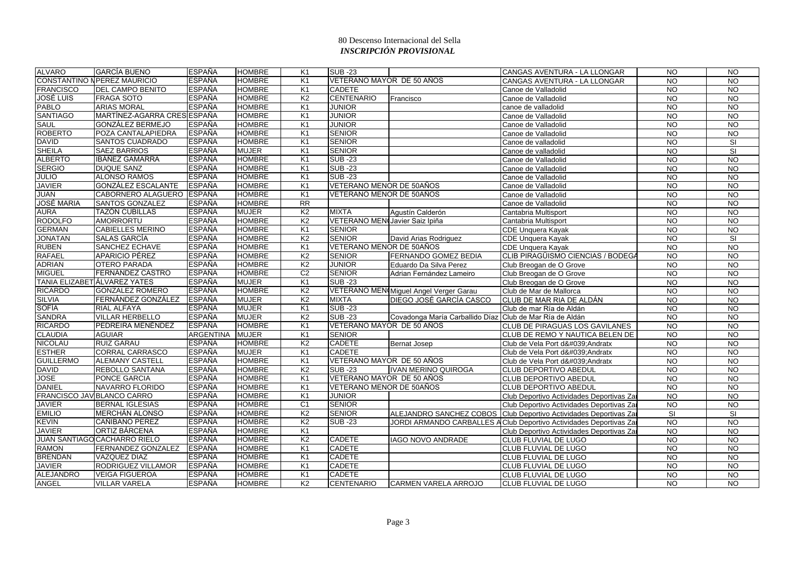| CONSTANTINO N PEREZ MAURICIO<br><b>ESPAÑA</b><br><b>HOMBRE</b><br>K <sub>1</sub><br>VETERANO MAYOR DE 50 AÑOS<br><b>NO</b><br>CANGAS AVENTURA - LA LLONGAR<br><b>FRANCISCO</b><br><b>DEL CAMPO BENITO</b><br><b>ESPAÑA</b><br><b>HOMBRE</b><br><b>CADETE</b><br>K <sub>1</sub><br><b>NO</b><br>Canoe de Valladolid<br><b>CENTENARIO</b><br><b>JOSÉ LUIS</b><br><b>ESPAÑA</b><br><b>HOMBRE</b><br>K <sub>2</sub><br><b>FRAGA SOTO</b><br><b>NO</b><br>Canoe de Valladolid<br>Francisco<br><b>PABLO</b><br><b>ARIAS MORAL</b><br><b>ESPAÑA</b><br><b>HOMBRE</b><br>K <sub>1</sub><br><b>JUNIOR</b><br><b>NO</b><br>canoe de valladolid<br><b>SANTIAGO</b><br>MARTÍNEZ-AGARRA CRES ESPAÑA<br><b>HOMBRE</b><br><b>JUNIOR</b><br>K <sub>1</sub><br><b>NO</b><br>Canoe de Valladolid<br><b>SAUL</b><br><b>ESPAÑA</b><br>K1<br><b>JUNIOR</b><br><b>GONZÁLEZ BERMEJO</b><br><b>HOMBRE</b><br>$\overline{NO}$<br>Canoe de Valladolid<br><b>ROBERTO</b><br>POZA CANTALAPIEDRA<br><b>ESPAÑA</b><br><b>HOMBRE</b><br>K <sub>1</sub><br><b>SENIOR</b><br><b>NO</b><br>Canoe de Valladolid<br><b>DAVID</b><br><b>ESPAÑA</b><br><b>HOMBRE</b><br>K <sub>1</sub><br><b>SENIOR</b><br><b>SANTOS CUADRADO</b><br><b>NO</b><br>Canoe de valladolid<br><b>SHEILA</b><br><b>ESPAÑA</b><br><b>SENIOR</b><br><b>SAEZ BARRIOS</b><br><b>MUJER</b><br>K <sub>1</sub><br><b>NO</b><br>Canoe de valladolid<br><b>ALBERTO</b><br>IBÁÑEZ GAMARRA<br><b>ESPAÑA</b><br><b>HOMBRE</b><br>K <sub>1</sub><br><b>SUB -23</b><br><b>NO</b><br>Canoe de Valladolid<br><b>SERGIO</b><br><b>SUB-23</b><br><b>DUQUE SANZ</b><br>ESPAÑA<br><b>HOMBRE</b><br>K <sub>1</sub><br><b>NO</b><br>Canoe de Valladolid | <b>NO</b><br><b>NO</b><br><b>NO</b><br><b>NO</b><br><b>NO</b><br>$\overline{NQ}$<br><b>NO</b><br><b>SI</b><br>$\overline{\mathbf{s}}$<br><b>NO</b><br><b>NO</b><br>N <sub>O</sub><br><b>NO</b><br>$\overline{N}$ |
|-----------------------------------------------------------------------------------------------------------------------------------------------------------------------------------------------------------------------------------------------------------------------------------------------------------------------------------------------------------------------------------------------------------------------------------------------------------------------------------------------------------------------------------------------------------------------------------------------------------------------------------------------------------------------------------------------------------------------------------------------------------------------------------------------------------------------------------------------------------------------------------------------------------------------------------------------------------------------------------------------------------------------------------------------------------------------------------------------------------------------------------------------------------------------------------------------------------------------------------------------------------------------------------------------------------------------------------------------------------------------------------------------------------------------------------------------------------------------------------------------------------------------------------------------------------------------------------------------------------------------------------------------------------------------|------------------------------------------------------------------------------------------------------------------------------------------------------------------------------------------------------------------|
|                                                                                                                                                                                                                                                                                                                                                                                                                                                                                                                                                                                                                                                                                                                                                                                                                                                                                                                                                                                                                                                                                                                                                                                                                                                                                                                                                                                                                                                                                                                                                                                                                                                                       |                                                                                                                                                                                                                  |
|                                                                                                                                                                                                                                                                                                                                                                                                                                                                                                                                                                                                                                                                                                                                                                                                                                                                                                                                                                                                                                                                                                                                                                                                                                                                                                                                                                                                                                                                                                                                                                                                                                                                       |                                                                                                                                                                                                                  |
|                                                                                                                                                                                                                                                                                                                                                                                                                                                                                                                                                                                                                                                                                                                                                                                                                                                                                                                                                                                                                                                                                                                                                                                                                                                                                                                                                                                                                                                                                                                                                                                                                                                                       |                                                                                                                                                                                                                  |
|                                                                                                                                                                                                                                                                                                                                                                                                                                                                                                                                                                                                                                                                                                                                                                                                                                                                                                                                                                                                                                                                                                                                                                                                                                                                                                                                                                                                                                                                                                                                                                                                                                                                       |                                                                                                                                                                                                                  |
|                                                                                                                                                                                                                                                                                                                                                                                                                                                                                                                                                                                                                                                                                                                                                                                                                                                                                                                                                                                                                                                                                                                                                                                                                                                                                                                                                                                                                                                                                                                                                                                                                                                                       |                                                                                                                                                                                                                  |
|                                                                                                                                                                                                                                                                                                                                                                                                                                                                                                                                                                                                                                                                                                                                                                                                                                                                                                                                                                                                                                                                                                                                                                                                                                                                                                                                                                                                                                                                                                                                                                                                                                                                       |                                                                                                                                                                                                                  |
|                                                                                                                                                                                                                                                                                                                                                                                                                                                                                                                                                                                                                                                                                                                                                                                                                                                                                                                                                                                                                                                                                                                                                                                                                                                                                                                                                                                                                                                                                                                                                                                                                                                                       |                                                                                                                                                                                                                  |
|                                                                                                                                                                                                                                                                                                                                                                                                                                                                                                                                                                                                                                                                                                                                                                                                                                                                                                                                                                                                                                                                                                                                                                                                                                                                                                                                                                                                                                                                                                                                                                                                                                                                       |                                                                                                                                                                                                                  |
|                                                                                                                                                                                                                                                                                                                                                                                                                                                                                                                                                                                                                                                                                                                                                                                                                                                                                                                                                                                                                                                                                                                                                                                                                                                                                                                                                                                                                                                                                                                                                                                                                                                                       |                                                                                                                                                                                                                  |
|                                                                                                                                                                                                                                                                                                                                                                                                                                                                                                                                                                                                                                                                                                                                                                                                                                                                                                                                                                                                                                                                                                                                                                                                                                                                                                                                                                                                                                                                                                                                                                                                                                                                       |                                                                                                                                                                                                                  |
|                                                                                                                                                                                                                                                                                                                                                                                                                                                                                                                                                                                                                                                                                                                                                                                                                                                                                                                                                                                                                                                                                                                                                                                                                                                                                                                                                                                                                                                                                                                                                                                                                                                                       |                                                                                                                                                                                                                  |
| <b>JULIO</b><br><b>ALONSO RAMOS</b><br><b>ESPAÑA</b><br><b>HOMBRE</b><br><b>SUB-23</b><br>K <sub>1</sub><br>$\overline{NO}$<br>Canoe de Valladolid                                                                                                                                                                                                                                                                                                                                                                                                                                                                                                                                                                                                                                                                                                                                                                                                                                                                                                                                                                                                                                                                                                                                                                                                                                                                                                                                                                                                                                                                                                                    |                                                                                                                                                                                                                  |
| <b>JAVIER</b><br>VETERANO MENOR DE 50AÑOS<br><b>GONZÁLEZ ESCALANTE</b><br><b>ESPAÑA</b><br><b>HOMBRE</b><br>K <sub>1</sub><br><b>NO</b><br>Canoe de Valladolid                                                                                                                                                                                                                                                                                                                                                                                                                                                                                                                                                                                                                                                                                                                                                                                                                                                                                                                                                                                                                                                                                                                                                                                                                                                                                                                                                                                                                                                                                                        |                                                                                                                                                                                                                  |
| <b>JUAN</b><br>CABORNERO ALAGUERO ESPAÑA<br><b>HOMBRE</b><br>K <sub>1</sub><br>VETERANO MENOR DE 50AÑOS<br>$\overline{NO}$<br>Canoe de Valladolid                                                                                                                                                                                                                                                                                                                                                                                                                                                                                                                                                                                                                                                                                                                                                                                                                                                                                                                                                                                                                                                                                                                                                                                                                                                                                                                                                                                                                                                                                                                     |                                                                                                                                                                                                                  |
| <b>JOSÉ MARIA</b><br><b>SANTOS GONZALEZ</b><br><b>ESPAÑA</b><br><b>HOMBRE</b><br>$\overline{RR}$<br><b>NO</b><br>Canoe de Valladolid                                                                                                                                                                                                                                                                                                                                                                                                                                                                                                                                                                                                                                                                                                                                                                                                                                                                                                                                                                                                                                                                                                                                                                                                                                                                                                                                                                                                                                                                                                                                  | <b>NO</b>                                                                                                                                                                                                        |
| <b>AURA</b><br><b>ESPAÑA</b><br><b>MUJER</b><br>K2<br><b>MIXTA</b><br><b>TAZÓN CUBILLAS</b><br><b>NO</b><br>Agustín Calderón<br>Cantabria Multisport                                                                                                                                                                                                                                                                                                                                                                                                                                                                                                                                                                                                                                                                                                                                                                                                                                                                                                                                                                                                                                                                                                                                                                                                                                                                                                                                                                                                                                                                                                                  | <b>NO</b>                                                                                                                                                                                                        |
| <b>RODOLFO</b><br><b>ESPAÑA</b><br><b>HOMBRE</b><br>K <sub>2</sub><br>VETERANO MENCJavier Saiz Ipiña<br>AMORRORTU<br><b>NO</b><br>Cantabria Multisport                                                                                                                                                                                                                                                                                                                                                                                                                                                                                                                                                                                                                                                                                                                                                                                                                                                                                                                                                                                                                                                                                                                                                                                                                                                                                                                                                                                                                                                                                                                | <b>NO</b>                                                                                                                                                                                                        |
| <b>GERMAN</b><br><b>CABIELLES MERINO</b><br><b>ESPAÑA</b><br><b>HOMBRE</b><br>K1<br><b>SENIOR</b><br><b>NO</b><br>CDE Unquera Kayak                                                                                                                                                                                                                                                                                                                                                                                                                                                                                                                                                                                                                                                                                                                                                                                                                                                                                                                                                                                                                                                                                                                                                                                                                                                                                                                                                                                                                                                                                                                                   | $\overline{NQ}$                                                                                                                                                                                                  |
| K <sub>2</sub><br><b>JONATAN</b><br><b>SALAS GARCÍA</b><br><b>ESPAÑA</b><br><b>HOMBRE</b><br><b>SENIOR</b><br>$\overline{NO}$<br>David Arias Rodriguez<br><b>CDE Unquera Kayak</b>                                                                                                                                                                                                                                                                                                                                                                                                                                                                                                                                                                                                                                                                                                                                                                                                                                                                                                                                                                                                                                                                                                                                                                                                                                                                                                                                                                                                                                                                                    | SI                                                                                                                                                                                                               |
| <b>RUBEN</b><br><b>ESPAÑA</b><br>VETERANO MENOR DE 50AÑOS<br>SANCHEZ ECHAVE<br><b>HOMBRE</b><br>K1<br>$\overline{NO}$<br><b>CDE Unquera Kayak</b>                                                                                                                                                                                                                                                                                                                                                                                                                                                                                                                                                                                                                                                                                                                                                                                                                                                                                                                                                                                                                                                                                                                                                                                                                                                                                                                                                                                                                                                                                                                     | N <sub>O</sub>                                                                                                                                                                                                   |
| <b>RAFAEL</b><br><b>HOMBRE</b><br><b>APARICIO PÉREZ</b><br><b>ESPAÑA</b><br>K <sub>2</sub><br><b>SENIOR</b><br><b>FERNANDO GOMEZ BEDIA</b><br>CLIB PIRAGÜISMO CIENCIAS / BODEGA<br><b>NO</b>                                                                                                                                                                                                                                                                                                                                                                                                                                                                                                                                                                                                                                                                                                                                                                                                                                                                                                                                                                                                                                                                                                                                                                                                                                                                                                                                                                                                                                                                          | $\overline{N}$                                                                                                                                                                                                   |
| <b>JUNIOR</b><br><b>ADRIAN</b><br><b>OTERO PARADA</b><br><b>ESPAÑA</b><br><b>HOMBRE</b><br>K2<br><b>NO</b><br>Eduardo Da Silva Perez<br>Club Breogan de O Grove                                                                                                                                                                                                                                                                                                                                                                                                                                                                                                                                                                                                                                                                                                                                                                                                                                                                                                                                                                                                                                                                                                                                                                                                                                                                                                                                                                                                                                                                                                       | <b>NO</b>                                                                                                                                                                                                        |
| <b>MIGUEL</b><br><b>FERNÁNDEZ CASTRO</b><br><b>ESPAÑA</b><br><b>HOMBRE</b><br>C <sub>2</sub><br><b>SENIOR</b><br><b>NO</b><br>Adrian Fernández Lameiro<br>Club Breogan de O Grove                                                                                                                                                                                                                                                                                                                                                                                                                                                                                                                                                                                                                                                                                                                                                                                                                                                                                                                                                                                                                                                                                                                                                                                                                                                                                                                                                                                                                                                                                     | $\overline{N}$                                                                                                                                                                                                   |
| <b>TANIA ELIZABET ÁLVAREZ YATES</b><br><b>ESPAÑA</b><br><b>MUJER</b><br><b>SUB-23</b><br>K <sub>1</sub><br><b>NO</b><br>Club Breogan de O Grove                                                                                                                                                                                                                                                                                                                                                                                                                                                                                                                                                                                                                                                                                                                                                                                                                                                                                                                                                                                                                                                                                                                                                                                                                                                                                                                                                                                                                                                                                                                       | <b>NO</b>                                                                                                                                                                                                        |
| <b>RICARDO</b><br><b>GONZALEZ ROMERO</b><br>VETERANO MEN Miguel Angel Verger Garau<br><b>ESPAÑA</b><br><b>HOMBRE</b><br>K <sub>2</sub><br><b>NO</b><br>Club de Mar de Mallorca                                                                                                                                                                                                                                                                                                                                                                                                                                                                                                                                                                                                                                                                                                                                                                                                                                                                                                                                                                                                                                                                                                                                                                                                                                                                                                                                                                                                                                                                                        | <b>NO</b>                                                                                                                                                                                                        |
| <b>SILVIA</b><br>FERNÁNDEZ GONZÁLEZ<br><b>ESPAÑA</b><br>K <sub>2</sub><br><b>MUJER</b><br><b>MIXTA</b><br>DIEGO JOSÉ GARCÍA CASCO<br>$\overline{NO}$<br>CLUB DE MAR RIA DE ALDÁN                                                                                                                                                                                                                                                                                                                                                                                                                                                                                                                                                                                                                                                                                                                                                                                                                                                                                                                                                                                                                                                                                                                                                                                                                                                                                                                                                                                                                                                                                      | $\overline{NQ}$                                                                                                                                                                                                  |
| <b>SOFÍA</b><br><b>RIAL ALFAYA</b><br><b>ESPAÑA</b><br><b>MUJER</b><br>K <sub>1</sub><br><b>SUB-23</b><br><b>NO</b><br>Club de mar Ría de Aldán                                                                                                                                                                                                                                                                                                                                                                                                                                                                                                                                                                                                                                                                                                                                                                                                                                                                                                                                                                                                                                                                                                                                                                                                                                                                                                                                                                                                                                                                                                                       | <b>NO</b>                                                                                                                                                                                                        |
| <b>SANDRA</b><br><b>ESPAÑA</b><br><b>MUJER</b><br>K <sub>2</sub><br><b>SUB-23</b><br><b>VILLAR HERBELLO</b><br><b>NO</b><br>Covadonga María Carballido Díaz<br>Club de Mar Ría de Aldán                                                                                                                                                                                                                                                                                                                                                                                                                                                                                                                                                                                                                                                                                                                                                                                                                                                                                                                                                                                                                                                                                                                                                                                                                                                                                                                                                                                                                                                                               | <b>NO</b>                                                                                                                                                                                                        |
| <b>RICARDO</b><br>PEDREIRA MENÉNDEZ<br><b>ESPAÑA</b><br><b>HOMBRE</b><br>K <sub>1</sub><br>VETERANO MAYOR DE 50 AÑOS<br>CLUB DE PIRAGUAS LOS GAVILANES<br><b>NO</b>                                                                                                                                                                                                                                                                                                                                                                                                                                                                                                                                                                                                                                                                                                                                                                                                                                                                                                                                                                                                                                                                                                                                                                                                                                                                                                                                                                                                                                                                                                   | <b>NO</b>                                                                                                                                                                                                        |
| <b>CLAUDIA</b><br><b>ARGENTINA</b><br><b>MUJER</b><br><b>SENIOR</b><br><b>AGUIAR</b><br>K <sub>1</sub><br>CLUB DE REMO Y NAUTICA BELEN DE<br><b>NO</b>                                                                                                                                                                                                                                                                                                                                                                                                                                                                                                                                                                                                                                                                                                                                                                                                                                                                                                                                                                                                                                                                                                                                                                                                                                                                                                                                                                                                                                                                                                                | <b>NO</b>                                                                                                                                                                                                        |
| <b>HOMBRE</b><br><b>CADETE</b><br><b>NICOLAU</b><br><b>RUIZ GARAU</b><br><b>ESPAÑA</b><br>K <sub>2</sub><br><b>NO</b><br><b>Bernat Josep</b><br>Club de Vela Port d'Andratx                                                                                                                                                                                                                                                                                                                                                                                                                                                                                                                                                                                                                                                                                                                                                                                                                                                                                                                                                                                                                                                                                                                                                                                                                                                                                                                                                                                                                                                                                           | N <sub>O</sub>                                                                                                                                                                                                   |
| <b>ESTHER</b><br><b>ESPAÑA</b><br><b>MUJER</b><br><b>CADETE</b><br><b>CORRAL CARRASCO</b><br>K <sub>1</sub><br>$\overline{NO}$<br>Club de Vela Port d' Andratx                                                                                                                                                                                                                                                                                                                                                                                                                                                                                                                                                                                                                                                                                                                                                                                                                                                                                                                                                                                                                                                                                                                                                                                                                                                                                                                                                                                                                                                                                                        | $\overline{N}$                                                                                                                                                                                                   |
| VETERANO MAYOR DE 50 AÑOS<br><b>GUILLERMO</b><br><b>ALEMANY CASTELL</b><br><b>ESPAÑA</b><br><b>HOMBRE</b><br>K <sub>1</sub><br><b>NO</b><br>Club de Vela Port d' Andratx                                                                                                                                                                                                                                                                                                                                                                                                                                                                                                                                                                                                                                                                                                                                                                                                                                                                                                                                                                                                                                                                                                                                                                                                                                                                                                                                                                                                                                                                                              | <b>NO</b>                                                                                                                                                                                                        |
| <b>DAVID</b><br><b>REBOLLO SANTANA</b><br><b>ESPAÑA</b><br><b>HOMBRE</b><br>K <sub>2</sub><br>$\overline{NO}$<br><b>SUB-23</b><br><b>IVAN MERINO QUIROGA</b><br>CLUB DEPORTIVO ABEDUL                                                                                                                                                                                                                                                                                                                                                                                                                                                                                                                                                                                                                                                                                                                                                                                                                                                                                                                                                                                                                                                                                                                                                                                                                                                                                                                                                                                                                                                                                 | $\overline{N}$                                                                                                                                                                                                   |
| <b>JOSE</b><br><b>ESPAÑA</b><br><b>HOMBRE</b><br>VETERANO MAYOR DE 50 AÑOS<br>PONCE GARCIA<br>K <sub>1</sub><br>CLUB DEPORTIVO ABEDUL<br><b>NO</b>                                                                                                                                                                                                                                                                                                                                                                                                                                                                                                                                                                                                                                                                                                                                                                                                                                                                                                                                                                                                                                                                                                                                                                                                                                                                                                                                                                                                                                                                                                                    | <b>NO</b>                                                                                                                                                                                                        |
| <b>DANIEL</b><br><b>ESPAÑA</b><br><b>HOMBRE</b><br>NAVARRO FLORIDO<br>K <sub>1</sub><br>VETERANO MENOR DE 50AÑOS<br><b>NO</b><br><b>CLUB DEPORTIVO ABEDUL</b>                                                                                                                                                                                                                                                                                                                                                                                                                                                                                                                                                                                                                                                                                                                                                                                                                                                                                                                                                                                                                                                                                                                                                                                                                                                                                                                                                                                                                                                                                                         | <b>NO</b>                                                                                                                                                                                                        |
| FRANCISCO JAV BLANCO CARRO<br><b>ESPAÑA</b><br><b>HOMBRE</b><br>K <sub>1</sub><br><b>JUNIOR</b><br><b>NO</b><br>Club Deportivo Actividades Deportivas Zar                                                                                                                                                                                                                                                                                                                                                                                                                                                                                                                                                                                                                                                                                                                                                                                                                                                                                                                                                                                                                                                                                                                                                                                                                                                                                                                                                                                                                                                                                                             | $\overline{NQ}$                                                                                                                                                                                                  |
| <b>ESPAÑA</b><br><b>HOMBRE</b><br><b>SENIOR</b><br><b>JAVIER</b><br><b>BERNAL IGLESIAS</b><br>C <sub>1</sub><br>$\overline{NO}$<br>Club Deportivo Actividades Deportivas Zar                                                                                                                                                                                                                                                                                                                                                                                                                                                                                                                                                                                                                                                                                                                                                                                                                                                                                                                                                                                                                                                                                                                                                                                                                                                                                                                                                                                                                                                                                          | $\overline{NQ}$                                                                                                                                                                                                  |
| <b>EMILIO</b><br><b>MERCHÁN ALONSO</b><br><b>ESPAÑA</b><br><b>HOMBRE</b><br>K <sub>2</sub><br><b>SENIOR</b><br>SI<br>ALEJANDRO SANCHEZ COBOS Club Deportivo Actividades Deportivas Zal                                                                                                                                                                                                                                                                                                                                                                                                                                                                                                                                                                                                                                                                                                                                                                                                                                                                                                                                                                                                                                                                                                                                                                                                                                                                                                                                                                                                                                                                                | SI                                                                                                                                                                                                               |
| <b>KEVIN</b><br>CAÑIBANO PEREZ<br><b>ESPAÑA</b><br><b>HOMBRE</b><br>K <sub>2</sub><br><b>SUB-23</b><br>JORDI ARMANDO CARBALLES A Club Deportivo Actividades Deportivas Zal<br><b>NO</b>                                                                                                                                                                                                                                                                                                                                                                                                                                                                                                                                                                                                                                                                                                                                                                                                                                                                                                                                                                                                                                                                                                                                                                                                                                                                                                                                                                                                                                                                               | N <sub>O</sub>                                                                                                                                                                                                   |
| <b>JAVIER</b><br>ORTIZ BÁRCENA<br><b>ESPAÑA</b><br><b>HOMBRE</b><br>K <sub>1</sub><br><b>NO</b><br>Club Deportivo Actividades Deportivas Zar                                                                                                                                                                                                                                                                                                                                                                                                                                                                                                                                                                                                                                                                                                                                                                                                                                                                                                                                                                                                                                                                                                                                                                                                                                                                                                                                                                                                                                                                                                                          | $\overline{N}$                                                                                                                                                                                                   |
| <b>ESPAÑA</b><br><b>HOMBRE</b><br>K <sub>2</sub><br><b>CADETE</b><br>JUAN SANTIAGO CACHARRO RIELO<br><b>IAGO NOVO ANDRADE</b><br>CLUB FLUVIAL DE LUGO<br><b>NO</b>                                                                                                                                                                                                                                                                                                                                                                                                                                                                                                                                                                                                                                                                                                                                                                                                                                                                                                                                                                                                                                                                                                                                                                                                                                                                                                                                                                                                                                                                                                    | <b>NO</b>                                                                                                                                                                                                        |
| <b>RAMON</b><br><b>ESPAÑA</b><br><b>HOMBRE</b><br><b>CADETE</b><br><b>FERNANDEZ GONZALEZ</b><br>K <sub>1</sub><br>$\overline{NO}$<br><b>CLUB FLUVIAL DE LUGO</b>                                                                                                                                                                                                                                                                                                                                                                                                                                                                                                                                                                                                                                                                                                                                                                                                                                                                                                                                                                                                                                                                                                                                                                                                                                                                                                                                                                                                                                                                                                      | $\overline{NQ}$                                                                                                                                                                                                  |
| <b>BRENDAN</b><br><b>VAZQUEZ DIAZ</b><br><b>ESPAÑA</b><br><b>HOMBRE</b><br>K1<br><b>CADETE</b><br>CLUB FLUVIAL DE LUGO<br><b>NO</b>                                                                                                                                                                                                                                                                                                                                                                                                                                                                                                                                                                                                                                                                                                                                                                                                                                                                                                                                                                                                                                                                                                                                                                                                                                                                                                                                                                                                                                                                                                                                   | <b>NO</b>                                                                                                                                                                                                        |
| <b>JAVIER</b><br><b>RODRIGUEZ VILLAMOR</b><br><b>ESPAÑA</b><br><b>CADETE</b><br><b>HOMBRE</b><br>K <sub>1</sub><br><b>NO</b><br><b>CLUB FLUVIAL DE LUGO</b>                                                                                                                                                                                                                                                                                                                                                                                                                                                                                                                                                                                                                                                                                                                                                                                                                                                                                                                                                                                                                                                                                                                                                                                                                                                                                                                                                                                                                                                                                                           | <b>NO</b>                                                                                                                                                                                                        |
| <b>ALEJANDRO</b><br><b>ESPAÑA</b><br>K <sub>1</sub><br><b>CADETE</b><br><b>VEIGA FIGUEROA</b><br><b>HOMBRE</b><br><b>NO</b><br><b>CLUB FLUVIAL DE LUGO</b>                                                                                                                                                                                                                                                                                                                                                                                                                                                                                                                                                                                                                                                                                                                                                                                                                                                                                                                                                                                                                                                                                                                                                                                                                                                                                                                                                                                                                                                                                                            | <b>NO</b>                                                                                                                                                                                                        |
| <b>ANGEL</b><br><b>ESPAÑA</b><br>K <sub>2</sub><br><b>CENTENARIO</b><br><b>VILLAR VARELA</b><br><b>HOMBRE</b><br>CARMEN VARELA ARROJO<br><b>NO</b><br><b>CLUB FLUVIAL DE LUGO</b>                                                                                                                                                                                                                                                                                                                                                                                                                                                                                                                                                                                                                                                                                                                                                                                                                                                                                                                                                                                                                                                                                                                                                                                                                                                                                                                                                                                                                                                                                     | <b>NO</b>                                                                                                                                                                                                        |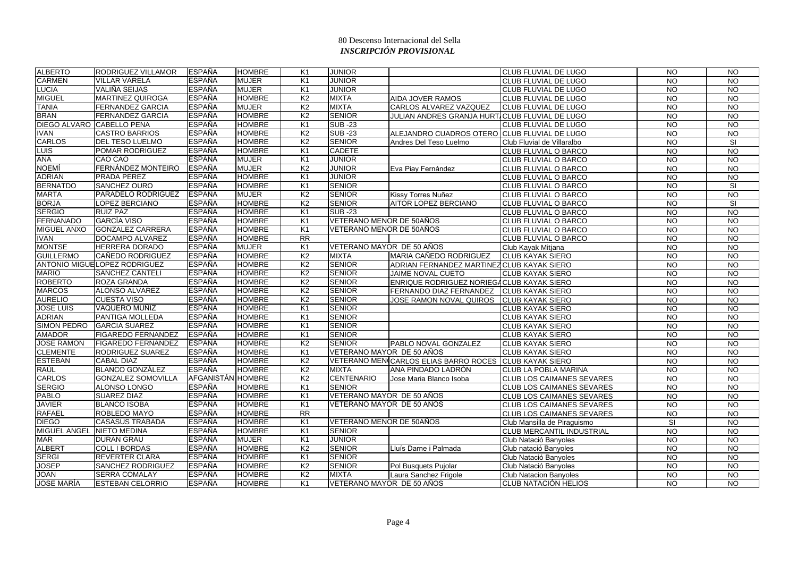| <b>CARMEN</b><br><b>ESPAÑA</b><br><b>VILLAR VARELA</b><br><b>MUJER</b><br>K <sub>1</sub><br><b>JUNIOR</b><br><b>CLUB FLUVIAL DE LUGO</b><br><b>NO</b><br><b>LUCIA</b><br>VALIÑA SEIJAS<br><b>ESPAÑA</b><br><b>MUJER</b><br>K <sub>1</sub><br><b>JUNIOR</b><br><b>NO</b><br>CLUB FLUVIAL DE LUGO<br><b>MIGUEL</b><br><b>MARTINEZ QUIROGA</b><br><b>ESPAÑA</b><br><b>HOMBRE</b><br>K <sub>2</sub><br><b>MIXTA</b><br><b>AIDA JOVER RAMOS</b><br><b>NO</b><br>CLUB FLUVIAL DE LUGO<br><b>ESPAÑA</b><br><b>MUJER</b><br>K <sub>2</sub><br><b>MIXTA</b><br><b>TANIA</b><br><b>FERNANDEZ GARCIA</b><br>CARLOS ALVAREZ VAZQUEZ<br><b>NO</b><br><b>CLUB FLUVIAL DE LUGO</b><br><b>BRAN</b><br><b>HOMBRE</b><br><b>SENIOR</b><br><b>FERNANDEZ GARCIA</b><br><b>ESPAÑA</b><br>K <sub>2</sub><br>$\overline{N}$<br>JULIAN ANDRES GRANJA HURT/CLUB FLUVIAL DE LUGO<br><b>ESPAÑA</b><br>DIEGO ALVARO CABELLO PENA<br><b>HOMBRE</b><br>K <sub>1</sub><br><b>SUB-23</b><br><b>CLUB FLUVIAL DE LUGO</b><br><b>NO</b><br><b>ESPAÑA</b><br><b>HOMBRE</b><br><b>IVAN</b><br><b>CASTRO BARRIOS</b><br>K <sub>2</sub><br><b>SUB-23</b><br>ALEJANDRO CUADROS OTERO CLUB FLUVIAL DE LUGO<br><b>NO</b><br><b>CARLOS</b><br><b>ESPAÑA</b><br><b>HOMBRE</b><br>K <sub>2</sub><br><b>SENIOR</b><br><b>DEL TESO LUELMO</b> | <b>NO</b><br>$\overline{NQ}$<br><b>NO</b><br><b>NO</b><br>$\overline{3}$<br>$\overline{3}$<br><b>NO</b><br>SI<br>$\overline{N}$<br>$\overline{N}$<br>$\overline{NQ}$<br>$\overline{10}$<br>SI |
|------------------------------------------------------------------------------------------------------------------------------------------------------------------------------------------------------------------------------------------------------------------------------------------------------------------------------------------------------------------------------------------------------------------------------------------------------------------------------------------------------------------------------------------------------------------------------------------------------------------------------------------------------------------------------------------------------------------------------------------------------------------------------------------------------------------------------------------------------------------------------------------------------------------------------------------------------------------------------------------------------------------------------------------------------------------------------------------------------------------------------------------------------------------------------------------------------------------------------------------------------------------------------------------------|-----------------------------------------------------------------------------------------------------------------------------------------------------------------------------------------------|
|                                                                                                                                                                                                                                                                                                                                                                                                                                                                                                                                                                                                                                                                                                                                                                                                                                                                                                                                                                                                                                                                                                                                                                                                                                                                                                |                                                                                                                                                                                               |
|                                                                                                                                                                                                                                                                                                                                                                                                                                                                                                                                                                                                                                                                                                                                                                                                                                                                                                                                                                                                                                                                                                                                                                                                                                                                                                |                                                                                                                                                                                               |
|                                                                                                                                                                                                                                                                                                                                                                                                                                                                                                                                                                                                                                                                                                                                                                                                                                                                                                                                                                                                                                                                                                                                                                                                                                                                                                |                                                                                                                                                                                               |
|                                                                                                                                                                                                                                                                                                                                                                                                                                                                                                                                                                                                                                                                                                                                                                                                                                                                                                                                                                                                                                                                                                                                                                                                                                                                                                |                                                                                                                                                                                               |
|                                                                                                                                                                                                                                                                                                                                                                                                                                                                                                                                                                                                                                                                                                                                                                                                                                                                                                                                                                                                                                                                                                                                                                                                                                                                                                |                                                                                                                                                                                               |
|                                                                                                                                                                                                                                                                                                                                                                                                                                                                                                                                                                                                                                                                                                                                                                                                                                                                                                                                                                                                                                                                                                                                                                                                                                                                                                |                                                                                                                                                                                               |
|                                                                                                                                                                                                                                                                                                                                                                                                                                                                                                                                                                                                                                                                                                                                                                                                                                                                                                                                                                                                                                                                                                                                                                                                                                                                                                |                                                                                                                                                                                               |
| Club Fluvial de Villaralbo<br><b>NO</b><br>Andres Del Teso Luelmo                                                                                                                                                                                                                                                                                                                                                                                                                                                                                                                                                                                                                                                                                                                                                                                                                                                                                                                                                                                                                                                                                                                                                                                                                              |                                                                                                                                                                                               |
| <b>LUIS</b><br><b>ESPAÑA</b><br><b>HOMBRE</b><br>K1<br><b>CADETE</b><br>$\overline{NQ}$<br><b>POMAR RODRIGUEZ</b><br>CLUB FLUVIAL O BARCO                                                                                                                                                                                                                                                                                                                                                                                                                                                                                                                                                                                                                                                                                                                                                                                                                                                                                                                                                                                                                                                                                                                                                      |                                                                                                                                                                                               |
| <b>ANA</b><br><b>ESPAÑA</b><br>$\overline{NQ}$<br>CAO CAO<br><b>MUJER</b><br>K <sub>1</sub><br><b>JUNIOR</b><br>CLUB FLUVIAL O BARCO                                                                                                                                                                                                                                                                                                                                                                                                                                                                                                                                                                                                                                                                                                                                                                                                                                                                                                                                                                                                                                                                                                                                                           |                                                                                                                                                                                               |
| <b>NOEMÍ</b><br>FERNÁNDEZ MONTEIRO<br><b>ESPAÑA</b><br><b>MUJER</b><br>K <sub>2</sub><br><b>JUNIOR</b><br>Eva Piay Fernández<br>CLUB FLUVIAL O BARCO<br><b>NO</b>                                                                                                                                                                                                                                                                                                                                                                                                                                                                                                                                                                                                                                                                                                                                                                                                                                                                                                                                                                                                                                                                                                                              |                                                                                                                                                                                               |
| <b>ADRIAN</b><br><b>PRADA PEREZ</b><br><b>ESPAÑA</b><br><b>HOMBRE</b><br>K <sub>1</sub><br><b>JUNIOR</b><br><b>NO</b><br>CLUB FLUVIAL O BARCO                                                                                                                                                                                                                                                                                                                                                                                                                                                                                                                                                                                                                                                                                                                                                                                                                                                                                                                                                                                                                                                                                                                                                  |                                                                                                                                                                                               |
| <b>BERNATDO</b><br>SANCHEZ OURO<br><b>ESPAÑA</b><br><b>HOMBRE</b><br><b>SENIOR</b><br>K1<br><b>NO</b><br>CLUB FLUVIAL O BARCO                                                                                                                                                                                                                                                                                                                                                                                                                                                                                                                                                                                                                                                                                                                                                                                                                                                                                                                                                                                                                                                                                                                                                                  |                                                                                                                                                                                               |
| <b>MARTA</b><br>PARADELO RODRÍGUEZ<br><b>ESPAÑA</b><br><b>MUJER</b><br>K <sub>2</sub><br><b>SENIOR</b><br>CLUB FLUVIAL O BARCO<br><b>NO</b><br>Kissy Torres Nuñez                                                                                                                                                                                                                                                                                                                                                                                                                                                                                                                                                                                                                                                                                                                                                                                                                                                                                                                                                                                                                                                                                                                              | $\overline{10}$                                                                                                                                                                               |
| <b>BORJA</b><br><b>LOPEZ BERCIANO</b><br><b>ESPAÑA</b><br><b>HOMBRE</b><br>K <sub>2</sub><br><b>SENIOR</b><br>AITOR LOPEZ BERCIANO<br>CLUB FLUVIAL O BARCO<br><b>NO</b>                                                                                                                                                                                                                                                                                                                                                                                                                                                                                                                                                                                                                                                                                                                                                                                                                                                                                                                                                                                                                                                                                                                        | SI                                                                                                                                                                                            |
| <b>SERGIO</b><br><b>RUIZ PAZ</b><br><b>ESPAÑA</b><br><b>HOMBRE</b><br><b>SUB -23</b><br>K1<br>CLUB FLUVIAL O BARCO<br><b>NO</b>                                                                                                                                                                                                                                                                                                                                                                                                                                                                                                                                                                                                                                                                                                                                                                                                                                                                                                                                                                                                                                                                                                                                                                | $\overline{3}$                                                                                                                                                                                |
| <b>ESPAÑA</b><br><b>FERNANADO</b><br><b>GARCÍA VISO</b><br><b>HOMBRE</b><br>K <sub>1</sub><br>VETERANO MENOR DE 50AÑOS<br><b>NO</b><br>CLUB FLUVIAL O BARCO                                                                                                                                                                                                                                                                                                                                                                                                                                                                                                                                                                                                                                                                                                                                                                                                                                                                                                                                                                                                                                                                                                                                    | <b>NO</b>                                                                                                                                                                                     |
| <b>MIGUEL ANXO</b><br><b>GONZALEZ CARRERA</b><br><b>ESPAÑA</b><br><b>HOMBRE</b><br>K1<br>VETERANO MENOR DE 50AÑOS<br>$\overline{NQ}$<br>CLUB FLUVIAL O BARCO                                                                                                                                                                                                                                                                                                                                                                                                                                                                                                                                                                                                                                                                                                                                                                                                                                                                                                                                                                                                                                                                                                                                   | $\overline{3}$                                                                                                                                                                                |
| <b>IVAN</b><br><b>ESPAÑA</b><br>$\overline{RR}$<br>DOCAMPO ALVAREZ<br><b>HOMBRE</b><br><b>NO</b><br>CLUB FLUVIAL O BARCO                                                                                                                                                                                                                                                                                                                                                                                                                                                                                                                                                                                                                                                                                                                                                                                                                                                                                                                                                                                                                                                                                                                                                                       | <b>NO</b>                                                                                                                                                                                     |
| <b>MONTSE</b><br><b>MUJER</b><br>VETERANO MAYOR DE 50 AÑOS<br><b>HERRERA DORADO</b><br><b>ESPAÑA</b><br>K <sub>1</sub><br>$\overline{NQ}$<br>Club Kayak Mitjana                                                                                                                                                                                                                                                                                                                                                                                                                                                                                                                                                                                                                                                                                                                                                                                                                                                                                                                                                                                                                                                                                                                                | $\overline{N}$                                                                                                                                                                                |
| <b>GUILLERMO</b><br>CAÑEDO RODRIGUEZ<br><b>ESPAÑA</b><br><b>HOMBRE</b><br>K <sub>2</sub><br><b>MIXTA</b><br>MARIA CAÑEDO RODRIGUEZ<br><b>CLUB KAYAK SIERO</b><br><b>NO</b>                                                                                                                                                                                                                                                                                                                                                                                                                                                                                                                                                                                                                                                                                                                                                                                                                                                                                                                                                                                                                                                                                                                     | $\overline{10}$                                                                                                                                                                               |
| ANTONIO MIGUE LOPEZ RODRIGUEZ<br><b>ESPAÑA</b><br><b>HOMBRE</b><br>K <sub>2</sub><br><b>SENIOR</b><br>ADRIAN FERNANDEZ MARTINEZ CLUB KAYAK SIERO<br><b>NO</b>                                                                                                                                                                                                                                                                                                                                                                                                                                                                                                                                                                                                                                                                                                                                                                                                                                                                                                                                                                                                                                                                                                                                  | <b>NO</b>                                                                                                                                                                                     |
| <b>MARIO</b><br>SANCHEZ CANTELI<br><b>ESPAÑA</b><br><b>HOMBRE</b><br>K <sub>2</sub><br><b>SENIOR</b><br>N <sub>O</sub><br>JAIME NOVAL CUETO<br><b>CLUB KAYAK SIERO</b>                                                                                                                                                                                                                                                                                                                                                                                                                                                                                                                                                                                                                                                                                                                                                                                                                                                                                                                                                                                                                                                                                                                         | $\overline{10}$                                                                                                                                                                               |
| <b>ROBERTO</b><br><b>ESPAÑA</b><br><b>HOMBRE</b><br><b>SENIOR</b><br><b>ROZA GRANDA</b><br>K <sub>2</sub><br>ENRIQUE RODRIGUEZ NORIEGACLUB KAYAK SIERO<br><b>NO</b>                                                                                                                                                                                                                                                                                                                                                                                                                                                                                                                                                                                                                                                                                                                                                                                                                                                                                                                                                                                                                                                                                                                            | <b>NO</b>                                                                                                                                                                                     |
| <b>MARCOS</b><br><b>ALONSO ALVAREZ</b><br><b>ESPAÑA</b><br><b>HOMBRE</b><br>K <sub>2</sub><br><b>SENIOR</b><br>FERNANDO DIAZ FERNANDEZ CLUB KAYAK SIERO<br><b>NO</b>                                                                                                                                                                                                                                                                                                                                                                                                                                                                                                                                                                                                                                                                                                                                                                                                                                                                                                                                                                                                                                                                                                                           | $\overline{3}$                                                                                                                                                                                |
| <b>ESPAÑA</b><br><b>SENIOR</b><br><b>AURELIO</b><br><b>CUESTA VISO</b><br><b>HOMBRE</b><br>K <sub>2</sub><br><b>NO</b><br>JOSE RAMON NOVAL QUIROS<br><b>CLUB KAYAK SIERO</b>                                                                                                                                                                                                                                                                                                                                                                                                                                                                                                                                                                                                                                                                                                                                                                                                                                                                                                                                                                                                                                                                                                                   | <b>NO</b>                                                                                                                                                                                     |
| <b>JOSE LUIS</b><br>VAQUERO MUÑIZ<br><b>ESPAÑA</b><br><b>HOMBRE</b><br><b>SENIOR</b><br>K <sub>1</sub><br><b>NO</b><br><b>CLUB KAYAK SIERO</b>                                                                                                                                                                                                                                                                                                                                                                                                                                                                                                                                                                                                                                                                                                                                                                                                                                                                                                                                                                                                                                                                                                                                                 | <b>NO</b>                                                                                                                                                                                     |
| <b>ADRIAN</b><br><b>ESPAÑA</b><br><b>HOMBRE</b><br><b>SENIOR</b><br>PANTIGA MOLLEDA<br>K <sub>1</sub><br><b>NO</b><br><b>CLUB KAYAK SIERO</b>                                                                                                                                                                                                                                                                                                                                                                                                                                                                                                                                                                                                                                                                                                                                                                                                                                                                                                                                                                                                                                                                                                                                                  | <b>NO</b>                                                                                                                                                                                     |
| <b>SIMON PEDRO</b><br><b>ESPAÑA</b><br><b>HOMBRE</b><br><b>GARCIA SUAREZ</b><br>K <sub>1</sub><br><b>SENIOR</b><br>$\overline{NQ}$<br><b>CLUB KAYAK SIERO</b>                                                                                                                                                                                                                                                                                                                                                                                                                                                                                                                                                                                                                                                                                                                                                                                                                                                                                                                                                                                                                                                                                                                                  | N <sub>O</sub>                                                                                                                                                                                |
| <b>AMADOR</b><br><b>FIGAREDO FERNANDEZ</b><br><b>ESPAÑA</b><br><b>SENIOR</b><br><b>HOMBRE</b><br>K <sub>1</sub><br><b>CLUB KAYAK SIERO</b><br><b>NO</b>                                                                                                                                                                                                                                                                                                                                                                                                                                                                                                                                                                                                                                                                                                                                                                                                                                                                                                                                                                                                                                                                                                                                        | <b>NO</b>                                                                                                                                                                                     |
| <b>JOSE RAMON</b><br><b>FIGAREDO FERNANDEZ</b><br><b>ESPAÑA</b><br><b>HOMBRE</b><br>K <sub>2</sub><br><b>SENIOR</b><br>PABLO NOVAL GONZALEZ<br><b>NO</b><br><b>CLUB KAYAK SIERO</b>                                                                                                                                                                                                                                                                                                                                                                                                                                                                                                                                                                                                                                                                                                                                                                                                                                                                                                                                                                                                                                                                                                            | <b>NO</b>                                                                                                                                                                                     |
| <b>CLEMENTE</b><br><b>RODRIGUEZ SUAREZ</b><br><b>ESPAÑA</b><br><b>HOMBRE</b><br>VETERANO MAYOR DE 50 AÑOS<br>N <sub>O</sub><br>K1<br><b>CLUB KAYAK SIERO</b>                                                                                                                                                                                                                                                                                                                                                                                                                                                                                                                                                                                                                                                                                                                                                                                                                                                                                                                                                                                                                                                                                                                                   | $\overline{10}$                                                                                                                                                                               |
| <b>ESTEBAN</b><br><b>ESPAÑA</b><br><b>HOMBRE</b><br>K <sub>2</sub><br>VETERANO MENICARLOS ELIAS BARRO ROCES CLUB KAYAK SIERO<br><b>NO</b><br><b>CABAL DIAZ</b>                                                                                                                                                                                                                                                                                                                                                                                                                                                                                                                                                                                                                                                                                                                                                                                                                                                                                                                                                                                                                                                                                                                                 | <b>NO</b>                                                                                                                                                                                     |
| <b>RAÚL</b><br><b>BLANCO GONZÁLEZ</b><br><b>ESPAÑA</b><br><b>HOMBRE</b><br>K <sub>2</sub><br><b>MIXTA</b><br>$\overline{N}$<br>ANA PINDADO LADRÓN<br><b>CLUB LA POBLA MARINA</b>                                                                                                                                                                                                                                                                                                                                                                                                                                                                                                                                                                                                                                                                                                                                                                                                                                                                                                                                                                                                                                                                                                               | $\overline{3}$                                                                                                                                                                                |
| <b>AFGANISTÁN HOMBRE</b><br><b>CENTENARIO</b><br><b>CARLOS</b><br><b>GONZALEZ SOMOVILLA</b><br>K <sub>2</sub><br><b>CLUB LOS CAIMANES SEVARES</b><br><b>NO</b><br>Jose Maria Blanco Isoba                                                                                                                                                                                                                                                                                                                                                                                                                                                                                                                                                                                                                                                                                                                                                                                                                                                                                                                                                                                                                                                                                                      | N <sub>O</sub>                                                                                                                                                                                |
| <b>SERGIO</b><br>ALONSO LONGO<br><b>ESPAÑA</b><br><b>HOMBRE</b><br><b>SENIOR</b><br>K <sub>1</sub><br><b>NO</b><br><b>CLUB LOS CAIMANES SEVARES</b>                                                                                                                                                                                                                                                                                                                                                                                                                                                                                                                                                                                                                                                                                                                                                                                                                                                                                                                                                                                                                                                                                                                                            | <b>NO</b>                                                                                                                                                                                     |
| <b>PABLO</b><br><b>ESPAÑA</b><br><b>HOMBRE</b><br>K <sub>1</sub><br>VETERANO MAYOR DE 50 AÑOS<br>N <sub>O</sub><br><b>SUAREZ DIAZ</b><br><b>CLUB LOS CAIMANES SEVARES</b>                                                                                                                                                                                                                                                                                                                                                                                                                                                                                                                                                                                                                                                                                                                                                                                                                                                                                                                                                                                                                                                                                                                      | $\overline{3}$                                                                                                                                                                                |
| <b>JAVIER</b><br><b>ESPAÑA</b><br><b>HOMBRE</b><br><b>BLANCO ISOBA</b><br>K1<br>VETERANO MAYOR DE 50 AÑOS<br><b>NO</b><br><b>CLUB LOS CAIMANES SEVARES</b>                                                                                                                                                                                                                                                                                                                                                                                                                                                                                                                                                                                                                                                                                                                                                                                                                                                                                                                                                                                                                                                                                                                                     | $\overline{NQ}$                                                                                                                                                                               |
| <b>RAFAEL</b><br>ROBLEDO MAYO<br><b>ESPAÑA</b><br><b>HOMBRE</b><br><b>RR</b><br><b>CLUB LOS CAIMANES SEVARES</b><br><b>NO</b>                                                                                                                                                                                                                                                                                                                                                                                                                                                                                                                                                                                                                                                                                                                                                                                                                                                                                                                                                                                                                                                                                                                                                                  | $\overline{NQ}$                                                                                                                                                                               |
| <b>DIEGO</b><br><b>ESPAÑA</b><br><b>HOMBRE</b><br><b>CASASUS TRABADA</b><br>K <sub>1</sub><br>VETERANO MENOR DE 50AÑOS<br>SI<br>Club Mansilla de Piraguismo                                                                                                                                                                                                                                                                                                                                                                                                                                                                                                                                                                                                                                                                                                                                                                                                                                                                                                                                                                                                                                                                                                                                    | $\overline{10}$                                                                                                                                                                               |
| <b>MIGUEL ANGEL</b><br><b>NIETO MEDINA</b><br><b>ESPAÑA</b><br><b>HOMBRE</b><br>K <sub>1</sub><br><b>SENIOR</b><br>N <sub>O</sub><br><b>CLUB MERCANTIL INDUSTRIAL</b>                                                                                                                                                                                                                                                                                                                                                                                                                                                                                                                                                                                                                                                                                                                                                                                                                                                                                                                                                                                                                                                                                                                          | $\overline{10}$                                                                                                                                                                               |
| <b>ESPAÑA</b><br><b>JUNIOR</b><br><b>DURAN GRAU</b><br><b>MUJER</b><br>K <sub>1</sub><br><b>NO</b><br>MAR<br>Club Natació Banyoles                                                                                                                                                                                                                                                                                                                                                                                                                                                                                                                                                                                                                                                                                                                                                                                                                                                                                                                                                                                                                                                                                                                                                             | <b>NO</b>                                                                                                                                                                                     |
| <b>ALBERT</b><br><b>COLL I BORDAS</b><br><b>ESPAÑA</b><br><b>HOMBRE</b><br>K <sub>2</sub><br><b>SENIOR</b><br><b>NO</b><br>Lluís Darne i Palmada<br>Club natació Banyoles                                                                                                                                                                                                                                                                                                                                                                                                                                                                                                                                                                                                                                                                                                                                                                                                                                                                                                                                                                                                                                                                                                                      | <b>NO</b>                                                                                                                                                                                     |
| <b>REVERTER CLARA</b><br><b>ESPAÑA</b><br><b>HOMBRE</b><br><b>SENIOR</b><br><b>SERGI</b><br>K <sub>1</sub><br><b>NO</b><br>Club Natació Banyoles                                                                                                                                                                                                                                                                                                                                                                                                                                                                                                                                                                                                                                                                                                                                                                                                                                                                                                                                                                                                                                                                                                                                               | $\overline{10}$                                                                                                                                                                               |
| <b>JOSEP</b><br><b>SANCHEZ RODRIGUEZ</b><br><b>ESPAÑA</b><br><b>HOMBRE</b><br>K <sub>2</sub><br><b>SENIOR</b><br><b>NO</b><br>Pol Busquets Pujolar<br>Club Natació Banyoles                                                                                                                                                                                                                                                                                                                                                                                                                                                                                                                                                                                                                                                                                                                                                                                                                                                                                                                                                                                                                                                                                                                    | <b>NO</b>                                                                                                                                                                                     |
| <b>JOAN</b><br><b>ESPAÑA</b><br>K <sub>2</sub><br><b>SERRA COMALAY</b><br><b>HOMBRE</b><br><b>MIXTA</b><br><b>NO</b><br>Laura Sanchez Frigole<br><b>Club Natacion Banyoles</b>                                                                                                                                                                                                                                                                                                                                                                                                                                                                                                                                                                                                                                                                                                                                                                                                                                                                                                                                                                                                                                                                                                                 | $\overline{3}$                                                                                                                                                                                |
| <b>JOSE MARÍA</b><br><b>ESPAÑA</b><br>K <sub>1</sub><br><b>ESTEBAN CELORRIO</b><br><b>HOMBRE</b><br>VETERANO MAYOR DE 50 AÑOS<br><b>NO</b><br>CLUB NATACIÓN HELIOS                                                                                                                                                                                                                                                                                                                                                                                                                                                                                                                                                                                                                                                                                                                                                                                                                                                                                                                                                                                                                                                                                                                             | <b>NO</b>                                                                                                                                                                                     |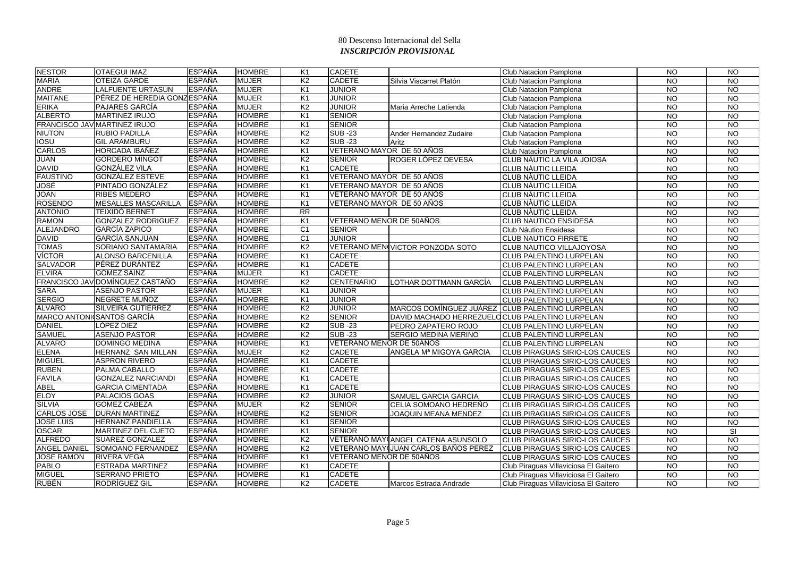| <b>NESTOR</b>       | <b>OTAEGUI IMAZ</b>               | ESPAÑA        | <b>HOMBRE</b> | K <sub>1</sub> | <b>CADETE</b>             |                                                 | Club Natacion Pamplona                | <b>NO</b>      | <b>NO</b>       |
|---------------------|-----------------------------------|---------------|---------------|----------------|---------------------------|-------------------------------------------------|---------------------------------------|----------------|-----------------|
| <b>MARIA</b>        | <b>OTEIZA GARDE</b>               | ESPAÑA        | <b>MUJER</b>  | K <sub>2</sub> | <b>CADETE</b>             | Silvia Viscarret Platón                         | Club Natacion Pamplona                | <b>NO</b>      | <b>NO</b>       |
| <b>ANDRE</b>        | <b>LALFUENTE URTASUN</b>          | <b>ESPAÑA</b> | <b>MUJER</b>  | K <sub>1</sub> | <b>JUNIOR</b>             |                                                 | Club Natacion Pamplona                | <b>NO</b>      | <b>NO</b>       |
| <b>MAITANE</b>      | PÉREZ DE HEREDIA GONZESPAÑA       |               | <b>MUJER</b>  | K <sub>1</sub> | <b>JUNIOR</b>             |                                                 | Club Natacion Pamplona                | <b>NO</b>      | $\overline{3}$  |
| <b>ERIKA</b>        | <b>PAJARES GARCÍA</b>             | <b>ESPAÑA</b> | <b>MUJER</b>  | K <sub>2</sub> | <b>JUNIOR</b>             | Maria Arreche Latienda                          | Club Natacion Pamplona                | <b>NO</b>      | <b>NO</b>       |
| <b>ALBERTO</b>      | <b>MARTINEZ IRUJO</b>             | ESPAÑA        | <b>HOMBRE</b> | K <sub>1</sub> | <b>SENIOR</b>             |                                                 | Club Natacion Pamplona                | <b>NO</b>      | <b>NO</b>       |
|                     | FRANCISCO JAV MARTINEZ IRUJO      | <b>ESPAÑA</b> | <b>HOMBRE</b> | K <sub>1</sub> | <b>SENIOR</b>             |                                                 | Club Natacion Pamplona                | <b>NO</b>      | $\overline{NQ}$ |
| <b>NIUTON</b>       | <b>RUBIO PADILLA</b>              | <b>ESPAÑA</b> | <b>HOMBRE</b> | K <sub>2</sub> | $SUB - 23$                | Ander Hernandez Zudaire                         | Club Natacion Pamplona                | <b>NO</b>      | <b>NO</b>       |
| <b>IOSU</b>         | <b>GIL ARAMBURU</b>               | <b>ESPAÑA</b> | <b>HOMBRE</b> | K <sub>2</sub> | <b>SUB-23</b>             | Aritz                                           | Club Natacion Pamplona                | <b>NO</b>      | <b>NO</b>       |
| <b>CARLOS</b>       | HORCADA IBAÑEZ                    | <b>ESPAÑA</b> | <b>HOMBRE</b> | K <sub>1</sub> | VETERANO MAYOR DE 50 AÑOS |                                                 | Club Natacion Pamplona                | <b>NO</b>      | <b>NO</b>       |
| <b>JUAN</b>         | <b>GORDERO MINGOT</b>             | <b>ESPAÑA</b> | <b>HOMBRE</b> | K <sub>2</sub> | <b>SENIOR</b>             | ROGER LÓPEZ DEVESA                              | CLUB NÀUTIC LA VILA JOIOSA            | <b>NO</b>      | NO.             |
| <b>DAVID</b>        | <b>GONZÁLEZ VILA</b>              | <b>ESPAÑA</b> | <b>HOMBRE</b> | K <sub>1</sub> | <b>CADETE</b>             |                                                 | <b>CLUB NÀUTIC LLEIDA</b>             | <b>NO</b>      | $\overline{10}$ |
| <b>FAUSTINO</b>     | <b>GONZÁLEZ ESTEVE</b>            | <b>ESPAÑA</b> | <b>HOMBRE</b> | K <sub>1</sub> | VETERANO MAYOR DE 50 AÑOS |                                                 | <b>CLUB NÀUTIC LLEIDA</b>             | <b>NO</b>      | $\overline{NQ}$ |
| JOSÉ                | PINTADO GONZÁLEZ                  | <b>ESPAÑA</b> | <b>HOMBRE</b> | K <sub>1</sub> | VETERANO MAYOR DE 50 AÑOS |                                                 | CLUB NÀUTIC LLEIDA                    | <b>NO</b>      | <b>NO</b>       |
| <b>JOAN</b>         | <b>RIBES MEDERO</b>               | ESPAÑA        | <b>HOMBRE</b> | K <sub>1</sub> | VETERANO MAYOR DE 50 AÑOS |                                                 | <b>CLUB NÀUTIC LLEIDA</b>             | <b>NO</b>      | <b>NO</b>       |
| <b>ROSENDO</b>      | <b>MESALLES MASCARILLA</b>        | <b>ESPAÑA</b> | <b>HOMBRE</b> | K <sub>1</sub> | VETERANO MAYOR DE 50 AÑOS |                                                 | CLUB NÀUTIC LLEIDA                    | <b>NO</b>      | <b>NO</b>       |
| <b>ANTONIO</b>      | <b>TEIXIDÓ BERNET</b>             | ESPAÑA        | <b>HOMBRE</b> | <b>RR</b>      |                           |                                                 | <b>CLUB NÀUTIC LLEIDA</b>             | <b>NO</b>      | $\overline{N}$  |
| <b>RAMON</b>        | <b>GONZALEZ RODRIGUEZ</b>         | <b>ESPAÑA</b> | <b>HOMBRE</b> | K <sub>1</sub> | VETERANO MENOR DE 50AÑOS  |                                                 | <b>CLUB NAUTICO ENSIDESA</b>          | <b>NO</b>      | $\overline{N}$  |
| <b>ALEJANDRO</b>    | <b>GARCÍA ZAPICO</b>              | ESPAÑA        | <b>HOMBRE</b> | C <sub>1</sub> | <b>SENIOR</b>             |                                                 | Club Náutico Ensidesa                 | <b>NO</b>      | <b>NO</b>       |
| <b>DAVID</b>        | <b>GARCÍA SANJUAN</b>             | ESPAÑA        | <b>HOMBRE</b> | C <sub>1</sub> | <b>JUNIOR</b>             |                                                 | <b>CLUB NAUTICO FIRRETE</b>           | <b>NO</b>      | <b>NO</b>       |
| <b>TOMAS</b>        | SORIANO SANTAMARIA                | <b>ESPAÑA</b> | <b>HOMBRE</b> | K <sub>2</sub> |                           | VETERANO MEN VICTOR PONZODA SOTO                | CLUB NAUTICO VILLAJOYOSA              | <b>NO</b>      | <b>NO</b>       |
| <b>VÍCTOR</b>       | <b>ALONSO BARCENILLA</b>          | <b>ESPAÑA</b> | <b>HOMBRE</b> | K <sub>1</sub> | <b>CADETE</b>             |                                                 | <b>CLUB PALENTINO LURPELAN</b>        | <b>NO</b>      | <b>NO</b>       |
| <b>SALVADOR</b>     | <b>PÉREZ DURÁNTEZ</b>             | <b>ESPAÑA</b> | <b>HOMBRE</b> | K <sub>1</sub> | <b>CADETE</b>             |                                                 | CLUB PALENTINO LURPELAN               | <b>NO</b>      | <b>NO</b>       |
| <b>ELVIRA</b>       | <b>GÓMEZ SAINZ</b>                | ESPAÑA        | <b>MUJER</b>  | K <sub>1</sub> | <b>CADETE</b>             |                                                 | <b>CLUB PALENTINO LURPELAN</b>        | <b>NO</b>      | <b>NO</b>       |
|                     | FRANCISCO JAV DOMÍNGUEZ CASTAÑO   | <b>ESPAÑA</b> | <b>HOMBRE</b> | K <sub>2</sub> | <b>CENTENARIO</b>         | LOTHAR DOTTMANN GARCÍA                          | CLUB PALENTINO LURPELAN               | <b>NO</b>      | <b>NO</b>       |
| <b>SARA</b>         | <b>ASENJO PASTOR</b>              | ESPAÑA        | <b>MUJER</b>  | K <sub>1</sub> | JUNIOR                    |                                                 | <b>CLUB PALENTINO LURPELAN</b>        | <b>NO</b>      | <b>NO</b>       |
| <b>SERGIO</b>       | NEGRETE MUÑOZ                     | <b>ESPAÑA</b> | <b>HOMBRE</b> | K <sub>1</sub> | <b>JUNIOR</b>             |                                                 | <b>CLUB PALENTINO LURPELAN</b>        | <b>NO</b>      | <b>NO</b>       |
| <b>ÁLVARO</b>       | SILVEIRA GUTIÉRREZ                | <b>ESPAÑA</b> | <b>HOMBRE</b> | K <sub>2</sub> | <b>JUNIOR</b>             | MARCOS DOMÍNGUEZ JUÁREZ CLUB PALENTINO LURPELAN |                                       | <b>NO</b>      | <b>NO</b>       |
|                     | <b>MARCO ANTONICSANTOS GARCÍA</b> | <b>ESPAÑA</b> | <b>HOMBRE</b> | K <sub>2</sub> | <b>SENIOR</b>             | DAVID MACHADO HERREZUELOCLUB PALENTINO LURPELAN |                                       | <b>NO</b>      | <b>NO</b>       |
| <b>DANIEL</b>       | LÓPEZ DIEZ                        | <b>ESPAÑA</b> | <b>HOMBRE</b> | K <sub>2</sub> | <b>SUB-23</b>             | PEDRO ZAPATERO ROJO                             | <b>CLUB PALENTINO LURPELAN</b>        | <b>NO</b>      | $\overline{N}$  |
| <b>SAMUEL</b>       | <b>ASENJO PASTOR</b>              | <b>ESPAÑA</b> | <b>HOMBRE</b> | K <sub>2</sub> | <b>SUB-23</b>             | <b>SERGIO MEDINA MERINO</b>                     | CLUB PALENTINO LURPELAN               | <b>NO</b>      | <b>NO</b>       |
| <b>ALVARO</b>       | <b>DOMINGO MEDINA</b>             | <b>ESPAÑA</b> | <b>HOMBRE</b> | K <sub>1</sub> | VETERANO MENOR DE 50AÑOS  |                                                 | <b>CLUB PALENTINO LURPELAN</b>        | <b>NO</b>      | <b>NO</b>       |
| <b>ELENA</b>        | HERNANZ SAN MILLAN                | <b>ESPAÑA</b> | <b>MUJER</b>  | K <sub>2</sub> | <b>CADETE</b>             | ANGELA M <sup>ª</sup> MIGOYA GARCIA             | ICLUB PIRAGUAS SIRIO-LOS CAUCES       | <b>NO</b>      | <b>NO</b>       |
| <b>MIGUEL</b>       | <b>ASPRON RIVERO</b>              | <b>ESPAÑA</b> | <b>HOMBRE</b> | K <sub>1</sub> | <b>CADETE</b>             |                                                 | CLUB PIRAGUAS SIRIO-LOS CAUCES        | <b>NO</b>      | <b>NO</b>       |
| <b>RUBEN</b>        | PALMA CABALLO                     | ESPAÑA        | <b>HOMBRE</b> | K <sub>1</sub> | <b>CADETE</b>             |                                                 | <b>CLUB PIRAGUAS SIRIO-LOS CAUCES</b> | <b>NO</b>      | $\overline{3}$  |
| <b>FAVILA</b>       | <b>GONZALEZ NARCIANDI</b>         | <b>ESPAÑA</b> | <b>HOMBRE</b> | K <sub>1</sub> | <b>CADETE</b>             |                                                 | CLUB PIRAGUAS SIRIO-LOS CAUCES        | <b>NO</b>      | <b>NO</b>       |
| <b>ABEL</b>         | <b>GARCIA CIMENTADA</b>           | <b>ESPAÑA</b> | <b>HOMBRE</b> | K <sub>1</sub> | <b>CADETE</b>             |                                                 | CLUB PIRAGUAS SIRIO-LOS CAUCES        | <b>NO</b>      | <b>NO</b>       |
| <b>ELOY</b>         | <b>PALACIOS GOAS</b>              | ESPAÑA        | <b>HOMBRE</b> | K <sub>2</sub> | <b>JUNIOR</b>             | <b>SAMUEL GARCIA GARCIA</b>                     | <b>CLUB PIRAGUAS SIRIO-LOS CAUCES</b> | <b>NO</b>      | <b>NO</b>       |
| <b>SILVIA</b>       | <b>GOMEZ CABEZA</b>               | ESPAÑA        | <b>MUJER</b>  | K <sub>2</sub> | <b>SENIOR</b>             | CELIA SOMOANO HEDREÑO                           | <b>CLUB PIRAGUAS SIRIO-LOS CAUCES</b> | $\overline{N}$ | <b>NO</b>       |
| <b>CARLOS JOSE</b>  | <b>DURAN MARTINEZ</b>             | <b>ESPAÑA</b> | <b>HOMBRE</b> | K <sub>2</sub> | <b>SENIOR</b>             | JOAQUIN MEANA MENDEZ                            | CLUB PIRAGUAS SIRIO-LOS CAUCES        | <b>NO</b>      | <b>NO</b>       |
| <b>JOSE LUIS</b>    | <b>HERNANZ PANDIELLA</b>          | <b>ESPAÑA</b> | <b>HOMBRE</b> | K <sub>1</sub> | <b>SENIOR</b>             |                                                 | CLUB PIRAGUAS SIRIO-LOS CAUCES        | <b>NO</b>      | $\overline{10}$ |
| <b>OSCAR</b>        | MARTINEZ DEL CUETO                | <b>ESPAÑA</b> | <b>HOMBRE</b> | K <sub>1</sub> | <b>SENIOR</b>             |                                                 | CLUB PIRAGUAS SIRIO-LOS CAUCES        | <b>NO</b>      | SI              |
| <b>ALFREDO</b>      | SUAREZ GONZALEZ                   | <b>ESPAÑA</b> | <b>HOMBRE</b> | K <sub>2</sub> |                           | VETERANO MAY(ANGEL CATENA ASUNSOLO              | CLUB PIRAGUAS SIRIO-LOS CAUCES        | <b>NO</b>      | <b>NO</b>       |
| <b>ANGEL DANIEL</b> | <b>SOMOANO FERNANDEZ</b>          | <b>ESPAÑA</b> | <b>HOMBRE</b> | K <sub>2</sub> |                           | VETERANO MAY(JUAN CARLOS BAÑOS PEREZ            | <b>CLUB PIRAGUAS SIRIO-LOS CAUCES</b> | <b>NO</b>      | $\overline{N}$  |
| <b>JOSE RAMON</b>   | <b>RIVERA VEGA</b>                | <b>ESPAÑA</b> | <b>HOMBRE</b> | K <sub>1</sub> | VETERANO MENOR DE 50AÑOS  |                                                 | <b>CLUB PIRAGUAS SIRIO-LOS CAUCES</b> | <b>NO</b>      | <b>NO</b>       |
| <b>PABLO</b>        | <b>ESTRADA MARTINEZ</b>           | <b>ESPAÑA</b> | <b>HOMBRE</b> | K <sub>1</sub> | <b>CADETE</b>             |                                                 | Club Piraguas Villaviciosa El Gaitero | <b>NO</b>      | <b>NO</b>       |
| <b>MIGUEL</b>       | <b>SERRANO PRIETO</b>             | ESPAÑA        | HOMBRE        | K <sub>1</sub> | CADETE                    |                                                 | Club Piraguas Villaviciosa El Gaitero | <b>NO</b>      | <b>NO</b>       |
| RUBÉN               | RODRIGUEZ GIL                     | <b>ESPAÑA</b> | <b>HOMBRE</b> | K <sub>2</sub> | <b>CADETE</b>             | Marcos Estrada Andrade                          | Club Piraguas Villaviciosa El Gaitero | <b>NO</b>      | <b>NO</b>       |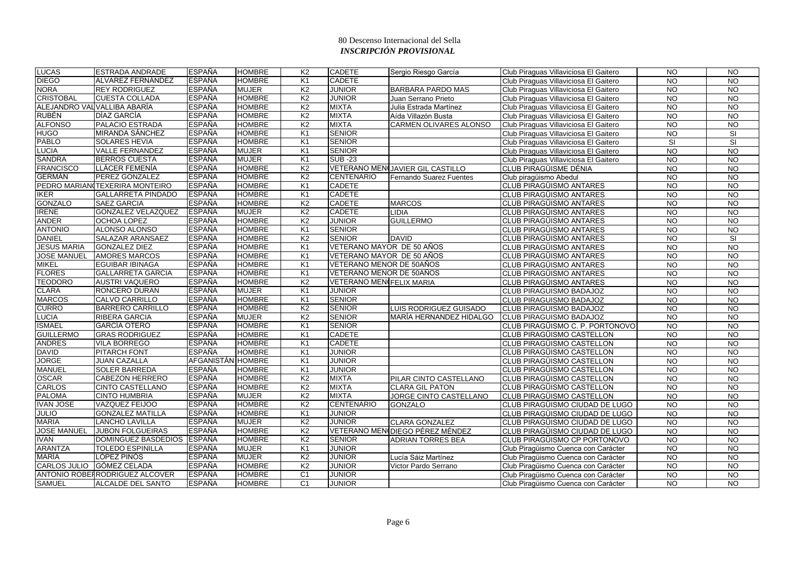| <b>LUCAS</b>        | <b>ESTRADA ANDRADE</b>          | <b>ESPAÑA</b>     | <b>HOMBRE</b> | K <sub>2</sub> | <b>CADETE</b>                   | Sergio Riesgo García             | Club Piraguas Villaviciosa El Gaitero | <b>NO</b>      | <b>NO</b>       |
|---------------------|---------------------------------|-------------------|---------------|----------------|---------------------------------|----------------------------------|---------------------------------------|----------------|-----------------|
| <b>DIEGO</b>        | ALVAREZ FERNÁNDEZ               | <b>ESPAÑA</b>     | <b>HOMBRE</b> | K1             | <b>CADETE</b>                   |                                  | Club Piraguas Villaviciosa El Gaitero | <b>NO</b>      | <b>NO</b>       |
| <b>NORA</b>         | <b>REY RODRIGUEZ</b>            | <b>ESPAÑA</b>     | <b>MUJER</b>  | K <sub>2</sub> | <b>JUNIOR</b>                   | BARBARA PARDO MAS                | Club Piraguas Villaviciosa El Gaitero | <b>NO</b>      | <b>NO</b>       |
| <b>CRISTOBAL</b>    | <b>CUESTA COLLADA</b>           | <b>ESPAÑA</b>     | <b>HOMBRE</b> | K <sub>2</sub> | <b>JUNIOR</b>                   | Juan Serrano Prieto              | Club Piraguas Villaviciosa El Gaitero | <b>NO</b>      | $\overline{3}$  |
|                     | ALEJANDRO VAL VALLIBA ABARÍA    | <b>ESPAÑA</b>     | <b>HOMBRE</b> | K <sub>2</sub> | <b>MIXTA</b>                    | Julia Estrada Martínez           | Club Piraguas Villaviciosa El Gaitero | <b>NO</b>      | <b>NO</b>       |
| <b>RUBÉN</b>        | DÍAZ GARCÍA                     | <b>ESPAÑA</b>     | <b>HOMBRE</b> | K2             | <b>MIXTA</b>                    | Aída Villazón Busta              | Club Piraguas Villaviciosa El Gaitero | <b>NO</b>      | <b>NO</b>       |
| <b>ALFONSO</b>      | <b>PALACIO ESTRADA</b>          | <b>ESPAÑA</b>     | <b>HOMBRE</b> | K2             | <b>MIXTA</b>                    | CARMEN OLIVARES ALONSO           | Club Piraguas Villaviciosa El Gaitero | <b>NO</b>      | $\overline{10}$ |
| <b>HUGO</b>         | <b>MIRANDA SÁNCHEZ</b>          | <b>ESPAÑA</b>     | <b>HOMBRE</b> | K <sub>1</sub> | <b>SENIOR</b>                   |                                  | Club Piraguas Villaviciosa El Gaitero | <b>NO</b>      | SI              |
| <b>PABLO</b>        | <b>SOLARES HEVIA</b>            | <b>ESPAÑA</b>     | <b>HOMBRE</b> | K <sub>1</sub> | <b>SENIOR</b>                   |                                  | Club Piraguas Villaviciosa El Gaitero | <b>SI</b>      | SI              |
| <b>LUCIA</b>        | <b>VALLE FERNANDEZ</b>          | <b>ESPAÑA</b>     | <b>MUJER</b>  | K <sub>1</sub> | <b>SENIOR</b>                   |                                  | Club Piraguas Villaviciosa El Gaitero | <b>NO</b>      | $\overline{3}$  |
| <b>SANDRA</b>       | <b>BERROS CUESTA</b>            | <b>ESPAÑA</b>     | <b>MUJER</b>  | K1             | <b>SUB-23</b>                   |                                  | Club Piraguas Villaviciosa El Gaitero | NO.            | <b>NO</b>       |
| <b>FRANCISCO</b>    | LLÁCER FEMENÍA                  | <b>ESPAÑA</b>     | <b>HOMBRE</b> | K <sub>2</sub> |                                 | VETERANO MENCJAVIER GIL CASTILLO | CLUB PIRAGÜISME DÉNIA                 | <b>NO</b>      | $\overline{10}$ |
| <b>GERMÁN</b>       | PEREZ GONZALEZ                  | <b>ESPAÑA</b>     | <b>HOMBRE</b> | K <sub>2</sub> | <b>CENTENARIO</b>               | <b>Fernando Suarez Fuentes</b>   | Club piraqüismo Abedul                | $\overline{N}$ | $\overline{10}$ |
|                     | PEDRO MARIAN TEXERIRA MONTEIRO  | <b>ESPAÑA</b>     | <b>HOMBRE</b> | K <sub>1</sub> | <b>CADETE</b>                   |                                  | CLUB PIRAGÜISMO ANTARES               | <b>NO</b>      | <b>NO</b>       |
| <b>IKER</b>         | <b>GALLARRETA PINDADO</b>       | <b>ESPAÑA</b>     | <b>HOMBRE</b> | K1             | <b>CADETE</b>                   |                                  | <b>CLUB PIRAGÜISMO ANTARES</b>        | <b>NO</b>      | <b>NO</b>       |
| <b>GONZALO</b>      | <b>SAEZ GARCIA</b>              | <b>ESPAÑA</b>     | <b>HOMBRE</b> | K <sub>2</sub> | <b>CADETE</b>                   | <b>MARCOS</b>                    | CLUB PIRAGÜISMO ANTARES               | <b>NO</b>      | <b>NO</b>       |
| <b>IRENE</b>        | <b>GONZALEZ VELAZQUEZ</b>       | <b>ESPAÑA</b>     | <b>MUJER</b>  | K2             | <b>CADETE</b>                   | <b>LIDIA</b>                     | <b>CLUB PIRAGÜISMO ANTARES</b>        | <b>NO</b>      | $\overline{3}$  |
| <b>ANDER</b>        | <b>OCHOA LOPEZ</b>              | <b>ESPAÑA</b>     | <b>HOMBRE</b> | K <sub>2</sub> | <b>JUNIOR</b>                   | <b>GUILLERMO</b>                 | <b>CLUB PIRAGÜISMO ANTARES</b>        | $\overline{N}$ | $\overline{NO}$ |
| <b>ANTONIO</b>      | ALONSO ALONSO                   | <b>ESPAÑA</b>     | <b>HOMBRE</b> | K1             | <b>SENIOR</b>                   |                                  | <b>CLUB PIRAGÜISMO ANTARES</b>        | <b>NO</b>      | <b>NO</b>       |
| <b>DANIEL</b>       | SALAZAR ARANSAEZ                | <b>ESPAÑA</b>     | <b>HOMBRE</b> | K <sub>2</sub> | <b>SENIOR</b>                   | <b>DAVID</b>                     | CLUB PIRAGÜISMO ANTARES               | <b>NO</b>      | <b>SI</b>       |
| <b>JESUS MARIA</b>  | <b>GONZALEZ DIEZ</b>            | <b>ESPAÑA</b>     | <b>HOMBRE</b> | K <sub>1</sub> | VETERANO MAYOR DE 50 AÑOS       |                                  | CLUB PIRAGÜISMO ANTARES               | <b>NO</b>      | N <sub>O</sub>  |
| <b>JOSE MANUEL</b>  | <b>AMORES MARCOS</b>            | <b>ESPAÑA</b>     | <b>HOMBRE</b> | K1             | VETERANO MAYOR DE 50 AÑOS       |                                  | CLUB PIRAGÜISMO ANTARES               | <b>NO</b>      | <b>NO</b>       |
| <b>MIKEL</b>        | <b>EGUIBAR IBINAGA</b>          | <b>ESPAÑA</b>     | <b>HOMBRE</b> | K <sub>1</sub> | VETERANO MENOR DE 50AÑOS        |                                  | <b>CLUB PIRAGÜISMO ANTARES</b>        | N <sub>O</sub> | $\overline{10}$ |
| <b>FLORES</b>       | <b>GALLARRETA GARCIA</b>        | <b>ESPAÑA</b>     | <b>HOMBRE</b> | K <sub>1</sub> | VETERANO MENOR DE 50AÑOS        |                                  | <b>CLUB PIRAGÜISMO ANTARES</b>        | <b>NO</b>      | $\overline{3}$  |
| <b>TEODORO</b>      | <b>AUSTRI VAQUERO</b>           | <b>ESPAÑA</b>     | <b>HOMBRE</b> | K <sub>2</sub> | <b>VETERANO MEN¢FELIX MARIA</b> |                                  | <b>CLUB PIRAGÜISMO ANTARES</b>        | <b>NO</b>      | <b>NO</b>       |
| <b>CLARA</b>        | <b>RONCERO DURAN</b>            | <b>ESPAÑA</b>     | <b>MUJER</b>  | K <sub>1</sub> | <b>JUNIOR</b>                   |                                  | CLUB PIRAGUISMO BADAJOZ               | <b>NO</b>      | <b>NO</b>       |
| <b>MARCOS</b>       | <b>CALVO CARRILLO</b>           | <b>ESPAÑA</b>     | <b>HOMBRE</b> | K <sub>1</sub> | <b>SENIOR</b>                   |                                  | <b>CLUB PIRAGUISMO BADAJOZ</b>        | <b>NO</b>      | <b>NO</b>       |
| <b>CURRO</b>        | <b>BARRERO CARRILLO</b>         | <b>ESPAÑA</b>     | <b>HOMBRE</b> | K <sub>2</sub> | <b>SENIOR</b>                   | LUIS RODRIGUEZ GUISADO           | <b>CLUB PIRAGUISMO BADAJOZ</b>        | <b>NO</b>      | <b>NO</b>       |
| <b>LUCIA</b>        | RIBERA GARCIA                   | <b>ESPAÑA</b>     | <b>MUJER</b>  | K <sub>2</sub> | <b>SENIOR</b>                   | MARÍA HERNANDEZ HIDALGO          | <b>CLUB PIRAGUISMO BADAJOZ</b>        | <b>NO</b>      | <b>NO</b>       |
| <b>ISMAEL</b>       | <b>GARCÍA OTERO</b>             | <b>ESPAÑA</b>     | <b>HOMBRE</b> | K <sub>1</sub> | <b>SENIOR</b>                   |                                  | CLUB PIRAGÜISMO C. P. PORTONOVO       | <b>NO</b>      | $\overline{N}$  |
| <b>GUILLERMO</b>    | <b>GRAS RODRIGUEZ</b>           | <b>ESPAÑA</b>     | <b>HOMBRE</b> | K1             | <b>CADETE</b>                   |                                  | CLUB PIRAGÜISMO CASTELLON             | <b>NO</b>      | <b>NO</b>       |
| <b>ANDRES</b>       | <b>VILA BORREGO</b>             | ESPAÑA            | <b>HOMBRE</b> | K1             | <b>CADETE</b>                   |                                  | CLUB PIRAGÜISMO CASTELLON             | <b>NO</b>      | <b>NO</b>       |
| <b>DAVID</b>        | <b>PITARCH FONT</b>             | <b>ESPAÑA</b>     | <b>HOMBRE</b> | K <sub>1</sub> | <b>JUNIOR</b>                   |                                  | CLUB PIRAGÜISMO CASTELLON             | <b>NO</b>      | <b>NO</b>       |
| <b>JORGE</b>        | <b>JUAN CAZALLA</b>             | AFGANISTÁN HOMBRE |               | K <sub>1</sub> | <b>JUNIOR</b>                   |                                  | CLUB PIRAGÜISMO CASTELLON             | <b>NO</b>      | <b>NO</b>       |
| <b>MANUEL</b>       | <b>SOLER BARREDA</b>            | <b>ESPAÑA</b>     | <b>HOMBRE</b> | K <sub>1</sub> | <b>JUNIOR</b>                   |                                  | CLUB PIRAGÜISMO CASTELLON             | <b>NO</b>      | $\overline{3}$  |
| <b>OSCAR</b>        | <b>CABEZON HERRERO</b>          | <b>ESPAÑA</b>     | <b>HOMBRE</b> | K <sub>2</sub> | <b>MIXTA</b>                    | PILAR CINTO CASTELLANO           | CLUB PIRAGÜISMO CASTELLON             | <b>NO</b>      | <b>NO</b>       |
| <b>CARLOS</b>       | CINTO CASTELLANO                | <b>ESPAÑA</b>     | <b>HOMBRE</b> | K <sub>2</sub> | <b>MIXTA</b>                    | <b>CLARA GIL PATON</b>           | CLUB PIRAGÜISMO CASTELLON             | <b>NO</b>      | <b>NO</b>       |
| <b>PALOMA</b>       | <b>CINTO HUMBRIA</b>            | <b>ESPAÑA</b>     | <b>MUJER</b>  | K <sub>2</sub> | <b>MIXTA</b>                    | JORGE CINTO CASTELLANO           | CLUB PIRAGÜISMO CASTELLON             | <b>NO</b>      | <b>NO</b>       |
| <b>IVAN JOSE</b>    | <b>VAZQUEZ FEIJOO</b>           | <b>ESPAÑA</b>     | <b>HOMBRE</b> | K <sub>2</sub> | <b>CENTENARIO</b>               | <b>GONZALO</b>                   | CLUB PIRAGÜISMO CIUDAD DE LUGO        | $\overline{N}$ | $\overline{N}$  |
| <b>JULIO</b>        | <b>GONZALEZ MATILLA</b>         | <b>ESPAÑA</b>     | <b>HOMBRE</b> | K <sub>1</sub> | <b>JUNIOR</b>                   |                                  | CLUB PIRAGÜISMO CIUDAD DE LUGO        | <b>NO</b>      | <b>NO</b>       |
| <b>MARIA</b>        | <b>LANCHO LAVILLA</b>           | <b>ESPAÑA</b>     | <b>MUJER</b>  | K <sub>2</sub> | <b>JUNIOR</b>                   | <b>CLARA GONZALEZ</b>            | CLUB PIRAGÜISMO CIUDAD DE LUGO        | <b>NO</b>      | <b>NO</b>       |
| <b>JOSE MANUEL</b>  | <b>JUBON FOLGUEIRAS</b>         | <b>ESPAÑA</b>     | <b>HOMBRE</b> | K <sub>2</sub> |                                 | VETERANO MENIDIEGO PÉREZ MÉNDEZ  | CLUB PIRAGÜISMO CIUDAD DE LUGO        | <b>NO</b>      | $\overline{3}$  |
| <b>IVAN</b>         | DOMINGUEZ BASDEDIOS             | <b>ESPAÑA</b>     | <b>HOMBRE</b> | K <sub>2</sub> | <b>SENIOR</b>                   | <b>ADRIAN TORRES BEA</b>         | CLUB PIRAGÜISMO CP PORTONOVO          | <b>NO</b>      | <b>NO</b>       |
| <b>ARANTZA</b>      | <b>TOLEDO ESPINILLA</b>         | <b>ESPAÑA</b>     | <b>MUJER</b>  | K <sub>1</sub> | <b>JUNIOR</b>                   |                                  | Club Piraqüismo Cuenca con Carácter   | $\overline{N}$ | $\overline{3}$  |
| <b>MARÍA</b>        | LÓPEZ PINÓS                     | <b>ESPAÑA</b>     | <b>MUJER</b>  | K <sub>2</sub> | <b>JUNIOR</b>                   | Lucía Sáiz Martínez              | Club Piraqüismo Cuenca con Carácter   | <b>NO</b>      | <b>NO</b>       |
| <b>CARLOS JULIO</b> | <b>GÓMEZ CELADA</b>             | <b>ESPAÑA</b>     | <b>HOMBRE</b> | K <sub>2</sub> | <b>JUNIOR</b>                   | Victor Pardo Serrano             | Club Piragüismo Cuenca con Carácter   | <b>NO</b>      | <b>NO</b>       |
|                     | ANTONIO ROBEH RODRIGUEZ ALCOVER | <b>ESPAÑA</b>     | HOMBRE        | C <sub>1</sub> | <b>JUNIOR</b>                   |                                  | Club Piraqüismo Cuenca con Carácter   | <b>NO</b>      | <b>NO</b>       |
| <b>SAMUEL</b>       | ALCALDE DEL SANTO               | ESPAÑA            | <b>HOMBRE</b> | C <sub>1</sub> | <b>JUNIOR</b>                   |                                  | Club Piragüismo Cuenca con Carácter   | <b>NO</b>      | <b>NO</b>       |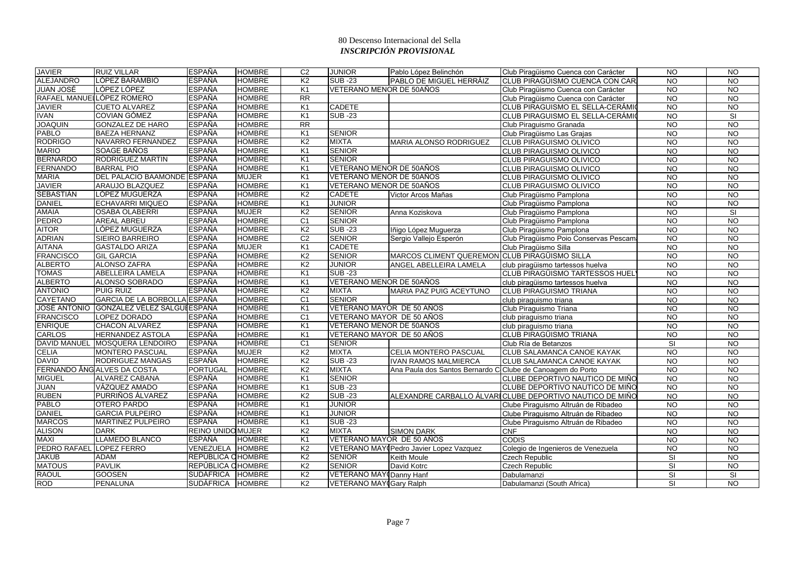| <b>JAVIER</b>            | <b>RUIZ VILLAR</b>                        | <b>ESPAÑA</b>           | <b>HOMBRE</b> | C <sub>2</sub>  | <b>JUNIOR</b>                  | Pablo López Belinchón                                      | Club Piragüismo Cuenca con Carácter                      | <b>NO</b>      | <b>NO</b>       |
|--------------------------|-------------------------------------------|-------------------------|---------------|-----------------|--------------------------------|------------------------------------------------------------|----------------------------------------------------------|----------------|-----------------|
| <b>ALEJANDRO</b>         | LÓPEZ BARAMBIO                            | <b>ESPAÑA</b>           | <b>HOMBRE</b> | K <sub>2</sub>  | <b>SUB-23</b>                  | PABLO DE MIGUEL HERRÁIZ                                    | CLUB PIRAGÜISMO CUENCA CON CAR                           | <b>NO</b>      | <b>NO</b>       |
| <b>JUAN JOSÉ</b>         | LÓPEZ LÓPEZ                               | <b>ESPAÑA</b>           | <b>HOMBRE</b> | K <sub>1</sub>  | VETERANO MENOR DE 50AÑOS       |                                                            | Club Piragüismo Cuenca con Carácter                      | <b>NO</b>      | <b>NO</b>       |
|                          | RAFAEL MANUELLÓPEZ ROMERO                 | <b>ESPAÑA</b>           | <b>HOMBRE</b> | $\overline{RR}$ |                                |                                                            | Club Piragüismo Cuenca con Carácter                      | <b>NO</b>      | $\overline{3}$  |
| <b>JAVIER</b>            | <b>CUETO ALVAREZ</b>                      | <b>ESPAÑA</b>           | <b>HOMBRE</b> | K <sub>1</sub>  | <b>CADETE</b>                  |                                                            | <b>CLUB PIRAGUISMO EL SELLA-CERÁMIO</b>                  | <b>NO</b>      | <b>NO</b>       |
| <b>IVAN</b>              | COVIAN GÓMEZ                              | ESPAÑA                  | <b>HOMBRE</b> | K <sub>1</sub>  | <b>SUB -23</b>                 |                                                            | CLUB PIRAGUISMO EL SELLA-CERÁMIO                         | <b>NO</b>      | SI              |
| <b>JOAQUIN</b>           | <b>GONZALEZ DE HARO</b>                   | <b>ESPAÑA</b>           | <b>HOMBRE</b> | $\overline{RR}$ |                                |                                                            | Club Piraguismo Granada                                  | <b>NO</b>      | N <sub>O</sub>  |
| <b>PABLO</b>             | <b>BAEZA HERNANZ</b>                      | <b>ESPAÑA</b>           | <b>HOMBRE</b> | K <sub>1</sub>  | <b>SENIOR</b>                  |                                                            | Club Piraqüismo Las Grajas                               | <b>NO</b>      | <b>NO</b>       |
| <b>RODRIGO</b>           | NAVARRO FERNANDEZ                         | <b>ESPAÑA</b>           | <b>HOMBRE</b> | K <sub>2</sub>  | <b>MIXTA</b>                   | MARIA ALONSO RODRIGUEZ                                     | <b>CLUB PIRAGUISMO OLIVICO</b>                           | <b>NO</b>      | <b>NO</b>       |
| <b>MARIO</b>             | SOAGE BAÑOS                               | <b>ESPAÑA</b>           | <b>HOMBRE</b> | K1              | <b>SENIOR</b>                  |                                                            | <b>CLUB PIRAGUISMO OLIVICO</b>                           | <b>NO</b>      | $\overline{N}$  |
| <b>BERNARDO</b>          | <b>RODRIGUEZ MARTIN</b>                   | <b>ESPAÑA</b>           | <b>HOMBRE</b> | K <sub>1</sub>  | <b>SENIOR</b>                  |                                                            | <b>CLUB PIRAGUISMO OLIVICO</b>                           | <b>NO</b>      | <b>NO</b>       |
| <b>FERNANDO</b>          | <b>BARRAL PIO</b>                         | <b>ESPAÑA</b>           | <b>HOMBRE</b> | K <sub>1</sub>  | VETERANO MENOR DE 50AÑOS       |                                                            | CLUB PIRAGUISMO OLIVICO                                  | <b>NO</b>      | <b>NO</b>       |
| <b>MARIA</b>             | DEL PALACIO BAAMONDE ESPAÑA               |                         | <b>MUJER</b>  | K <sub>1</sub>  | VETERANO MENOR DE 50AÑOS       |                                                            | <b>CLUB PIRAGUISMO OLIVICO</b>                           | <b>NO</b>      | $\overline{3}$  |
| <b>JAVIER</b>            | <b>ARAUJO BLAZQUEZ</b>                    | <b>ESPAÑA</b>           | <b>HOMBRE</b> | K <sub>1</sub>  | VETERANO MENOR DE 50AÑOS       |                                                            | CLUB PIRAGUISMO OLIVICO                                  | <b>NO</b>      | $\overline{3}$  |
| <b>SEBASTIÁN</b>         | LÓPEZ MUGUERZA                            | <b>ESPAÑA</b>           | <b>HOMBRE</b> | K <sub>2</sub>  | <b>CADETE</b>                  | Victor Arcos Mañas                                         | Club Piragüismo Pamplona                                 | $\overline{N}$ | $\overline{10}$ |
| <b>DANIEL</b>            | <b>ECHAVARRI MIQUEO</b>                   | <b>ESPAÑA</b>           | <b>HOMBRE</b> | K <sub>1</sub>  | <b>JUNIOR</b>                  |                                                            | Club Piragüismo Pamplona                                 | <b>NO</b>      | <b>NO</b>       |
| <b>AMAIA</b>             | <b>OSABA OLABERRI</b>                     | <b>ESPAÑA</b>           | <b>MUJER</b>  | K <sub>2</sub>  | <b>SENIOR</b>                  | Anna Koziskova                                             | Club Piragüismo Pamplona                                 | <b>NO</b>      | SI              |
| <b>PEDRO</b>             | <b>AREAL ABREU</b>                        | <b>ESPAÑA</b>           | <b>HOMBRE</b> | C <sub>1</sub>  | <b>SENIOR</b>                  |                                                            | Club Piragüismo Pamplona                                 | <b>NO</b>      | $\overline{NQ}$ |
| <b>AITOR</b>             | LÓPEZ MUGUERZA                            | <b>ESPAÑA</b>           | <b>HOMBRE</b> | K <sub>2</sub>  | <b>SUB-23</b>                  | Iñigo López Muguerza                                       | Club Piragüismo Pamplona                                 | <b>NO</b>      | $\overline{NO}$ |
| <b>ADRIAN</b>            | SIEIRO BARREIRO                           | <b>ESPAÑA</b>           | <b>HOMBRE</b> | C <sub>2</sub>  | <b>SENIOR</b>                  | Sergio Vallejo Esperón                                     | Club Piragüismo Poio Conservas Pescam                    | <b>NO</b>      | <b>NO</b>       |
| <b>AITANA</b>            | <b>GASTALDO ARIZA</b>                     | <b>ESPAÑA</b>           | <b>MUJER</b>  | K1              | <b>CADETE</b>                  |                                                            | Club Piragüismo Silla                                    | <b>NO</b>      | <b>NO</b>       |
| <b>FRANCISCO</b>         | <b>GIL GARCIA</b>                         | <b>ESPAÑA</b>           | <b>HOMBRE</b> | K <sub>2</sub>  | <b>SENIOR</b>                  | MARCOS CLIMENT QUEREMON CLUB PIRAGÜISMO SILLA              |                                                          | <b>NO</b>      | $\overline{N}$  |
| <b>ALBERTO</b>           | <b>ALONSO ZAFRA</b>                       | <b>ESPAÑA</b>           | <b>HOMBRE</b> | K <sub>2</sub>  | <b>JUNIOR</b>                  | ANGEL ABELLEIRA LAMELA                                     | club piraqüismo tartessos huelva                         | <b>NO</b>      | $\overline{3}$  |
| <b>TOMAS</b>             | ABELLEIRA LAMELA                          | <b>ESPAÑA</b>           | <b>HOMBRE</b> | K <sub>1</sub>  | <b>SUB-23</b>                  |                                                            | CLUB PIRAGÜISMO TARTESSOS HUEL                           | <b>NO</b>      | $\overline{3}$  |
| <b>ALBERTO</b>           | ALONSO SOBRADO                            | <b>ESPAÑA</b>           | <b>HOMBRE</b> | K <sub>1</sub>  | VETERANO MENOR DE 50AÑOS       |                                                            | club piraqüismo tartessos huelva                         | <b>NO</b>      | <b>NO</b>       |
| <b>ANTONIO</b>           | <b>PUIG RUIZ</b>                          | <b>ESPAÑA</b>           | <b>HOMBRE</b> | K <sub>2</sub>  | <b>MIXTA</b>                   | MARIA PAZ PUIG ACEYTUNO                                    | <b>CLUB PIRAGUISMO TRIANA</b>                            | <b>NO</b>      | <b>NO</b>       |
| <b>CAYETANO</b>          | GARCIA DE LA BORBOLLA ESPAÑA              |                         | <b>HOMBRE</b> | C <sub>1</sub>  | <b>SENIOR</b>                  |                                                            | club piraquismo triana                                   | <b>NO</b>      | $\overline{NQ}$ |
|                          | JOSÉ ANTONIO GONZALEZ VÉLEZ SALGUI ESPAÑA |                         | <b>HOMBRE</b> | K <sub>1</sub>  | VETERANO MAYOR DE 50 AÑOS      |                                                            | Club Piraguismo Triana                                   | <b>NO</b>      | <b>NO</b>       |
| <b>FRANCISCO</b>         | LOPEZ DORADO                              | <b>ESPAÑA</b>           | <b>HOMBRE</b> | C <sub>1</sub>  | VETERANO MAYOR DE 50 AÑOS      |                                                            | club piraguismo triana                                   | <b>NO</b>      | <b>NO</b>       |
| <b>ENRIQUE</b>           | CHACON ALVAREZ                            | <b>ESPAÑA</b>           | <b>HOMBRE</b> | K <sub>1</sub>  | VETERANO MENOR DE 50AÑOS       |                                                            | club piraguismo triana                                   | <b>NO</b>      | <b>NO</b>       |
| <b>CARLOS</b>            | <b>HERNANDEZ ASTOLA</b>                   | <b>ESPAÑA</b>           | <b>HOMBRE</b> | K <sub>1</sub>  | VETERANO MAYOR DE 50 AÑOS      |                                                            | CLUB PIRAGÜISMO TRIANA                                   | NO.            | <b>NO</b>       |
|                          | DAVID MANUEL MOSQUERA LENDOIRO            | <b>ESPAÑA</b>           | <b>HOMBRE</b> | C <sub>1</sub>  | <b>SENIOR</b>                  |                                                            | Club Ría de Betanzos                                     | <b>SI</b>      | $\overline{3}$  |
| <b>CELIA</b>             | <b>MONTERO PASCUAL</b>                    | <b>ESPAÑA</b>           | <b>MUJER</b>  | K <sub>2</sub>  | <b>MIXTA</b>                   | CELIA MONTERO PASCUAL                                      | CLUB SALAMANCA CANOE KAYAK                               | <b>NO</b>      | $\overline{3}$  |
| <b>DAVID</b>             | <b>RODRIGUEZ MANGAS</b>                   | <b>ESPAÑA</b>           | <b>HOMBRE</b> | K <sub>2</sub>  | <b>SUB-23</b>                  | <b>IVAN RAMOS MALMIERCA</b>                                | CLUB SALAMANCA CANOE KAYAK                               | <b>NO</b>      | <b>NO</b>       |
|                          | FERNANDO ÂNG ALVES DA COSTA               | <b>PORTUGAL</b>         | <b>HOMBRE</b> | K <sub>2</sub>  | <b>MIXTA</b>                   | Ana Paula dos Santos Bernardo C Clube de Canoagem do Porto |                                                          | <b>NO</b>      | <b>NO</b>       |
| <b>MIGUEL</b>            | <b>ALVAREZ CABANA</b>                     | <b>ESPAÑA</b>           | <b>HOMBRE</b> | K1              | <b>SENIOR</b>                  |                                                            | CLUBE DEPORTIVO NAUTICO DE MIÑO                          | <b>NO</b>      | $\overline{N}$  |
| <b>JUAN</b>              | VÁZQUEZ AMADO                             | <b>ESPAÑA</b>           | <b>HOMBRE</b> | K <sub>1</sub>  | <b>SUB-23</b>                  |                                                            | CLUBE DEPORTIVO NAUTICO DE MIÑO                          | <b>NO</b>      | $\overline{NQ}$ |
| <b>RUBEN</b>             | PURRIÑOS ÁLVAREZ                          | <b>ESPAÑA</b>           | <b>HOMBRE</b> | K <sub>2</sub>  | <b>SUB-23</b>                  |                                                            | ALEXANDRE CARBALLO ÁLVARICLUBE DEPORTIVO NAUTICO DE MIÑO | <b>NO</b>      | <b>NO</b>       |
| <b>PABLO</b>             | <b>OTERO PARDO</b>                        | <b>ESPAÑA</b>           | <b>HOMBRE</b> | K <sub>1</sub>  | <b>JUNIOR</b>                  |                                                            | Clube Piraguismo Altruán de Ribadeo                      | <b>NO</b>      | <b>NO</b>       |
| <b>DANIEL</b>            | <b>GARCIA PULPEIRO</b>                    | <b>ESPAÑA</b>           | <b>HOMBRE</b> | K <sub>1</sub>  | <b>JUNIOR</b>                  |                                                            | Clube Piraguismo Altruán de Ribadeo                      | <b>NO</b>      | <b>NO</b>       |
| <b>MARCOS</b>            | <b>MARTINEZ PULPEIRO</b>                  | <b>ESPAÑA</b>           | <b>HOMBRE</b> | K <sub>1</sub>  | <b>SUB -23</b>                 |                                                            | Clube Piraguismo Altruán de Ribadeo                      | <b>NO</b>      | $\overline{3}$  |
| <b>ALISON</b>            | <b>DARK</b>                               | <b>REINO UNIDOMUJER</b> |               | K <sub>2</sub>  | <b>MIXTA</b>                   | <b>SIMON DARK</b>                                          | <b>CNF</b>                                               | <b>NO</b>      | $\overline{10}$ |
| MAXI                     | <b>LLAMEDO BLANCO</b>                     | <b>ESPAÑA</b>           | <b>HOMBRE</b> | K <sub>1</sub>  | VETERANO MAYOR DE 50 AÑOS      |                                                            | <b>CODIS</b>                                             | <b>NO</b>      | <b>NO</b>       |
| PEDRO RAFAEL LOPEZ FERRO |                                           | VENEZUELA               | <b>HOMBRE</b> | K <sub>2</sub>  |                                | VETERANO MAY (Pedro Javier Lopez Vazquez                   | Colegio de Ingenieros de Venezuela                       | <b>NO</b>      | <b>NO</b>       |
| <b>JAKUB</b>             | <b>ADAM</b>                               | REPÚBLICA CHOMBRE       |               | K <sub>2</sub>  | <b>SENIOR</b>                  | Keith Moule                                                | <b>Czech Republic</b>                                    | <b>SI</b>      | $\overline{N}$  |
| <b>MATOUS</b>            | <b>PAVLIK</b>                             | REPÚBLICA CHOMBRE       |               | K <sub>2</sub>  | <b>SENIOR</b>                  | David Kotrc                                                | Czech Republic                                           | <b>SI</b>      | <b>NO</b>       |
| <b>RAOUL</b>             | <b>GOOSEN</b>                             | <b>SUDÁFRICA</b>        | <b>HOMBRE</b> | K <sub>2</sub>  | <b>VETERANO MAY Danny Hanf</b> |                                                            | Dabulamanzi                                              | SI             | SI              |
| <b>ROD</b>               | PENALUNA                                  | SUDÁFRICA               | <b>HOMBRE</b> | K <sub>2</sub>  | <b>VETERANO MAY Gary Ralph</b> |                                                            | Dabulamanzi (South Africa)                               | SI             | <b>NO</b>       |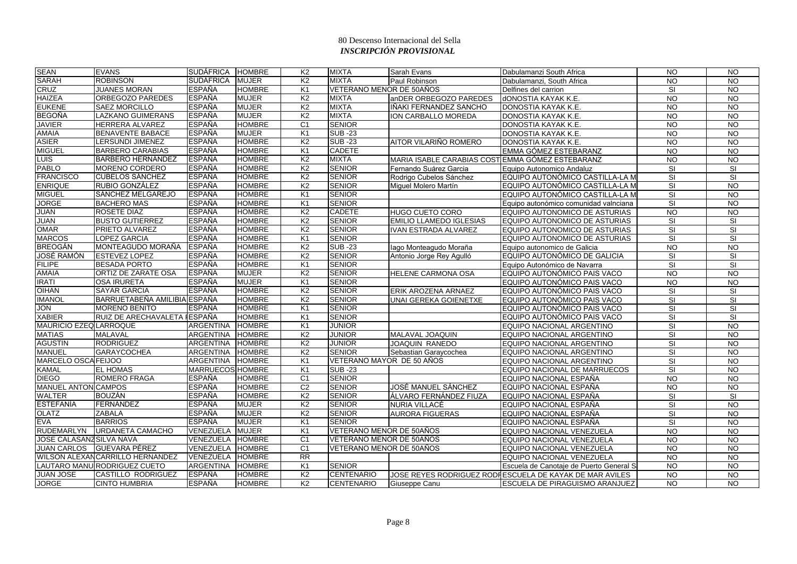| <b>SEAN</b>                   | <b>EVANS</b>                     | SUDÁFRICA        | <b>HOMBRE</b> | K <sub>2</sub>  | <b>MIXTA</b>              | Sarah Evans                                      | Dabulamanzi South Africa                                | <b>NO</b>                | $\overline{NQ}$          |
|-------------------------------|----------------------------------|------------------|---------------|-----------------|---------------------------|--------------------------------------------------|---------------------------------------------------------|--------------------------|--------------------------|
| <b>SARAH</b>                  | <b>ROBINSON</b>                  | <b>SUDÁFRICA</b> | <b>MUJER</b>  | K <sub>2</sub>  | <b>MIXTA</b>              | Paul Robinson                                    | Dabulamanzi, South Africa                               | <b>NO</b>                | <b>NO</b>                |
| <b>CRUZ</b>                   | <b>JUANES MORAN</b>              | <b>ESPAÑA</b>    | <b>HOMBRE</b> | K <sub>1</sub>  | VETERANO MENOR DE 50AÑOS  |                                                  | Delfines del carrion                                    | SI                       | <b>NO</b>                |
| <b>HAIZEA</b>                 | ORBEGOZO PAREDES                 | <b>ESPAÑA</b>    | <b>MUJER</b>  | K <sub>2</sub>  | <b>MIXTA</b>              | anDER ORBEGOZO PAREDES                           | dONOSTIA KAYAK K.E.                                     | <b>NO</b>                | $\overline{3}$           |
| <b>EUKENE</b>                 | <b>SAEZ MORCILLO</b>             | <b>ESPAÑA</b>    | <b>MUJER</b>  | K <sub>2</sub>  | <b>MIXTA</b>              | IÑAKI FERNANDEZ SANCHO                           | DONOSTIA KAYAK K.E.                                     | <b>NO</b>                | <b>NO</b>                |
| <b>BEGOÑA</b>                 | LAZKANO GUIMERANS                | <b>ESPAÑA</b>    | <b>MUJER</b>  | K <sub>2</sub>  | <b>MIXTA</b>              | ION CARBALLO MOREDA                              | DONOSTIA KAYAK K.E.                                     | <b>NO</b>                | <b>NO</b>                |
| <b>JAVIER</b>                 | HERRERA ALVAREZ                  | <b>ESPAÑA</b>    | <b>HOMBRE</b> | C <sub>1</sub>  | <b>SENIOR</b>             |                                                  | DONOSTIA KAYAK K.E.                                     | <b>NO</b>                | <b>NO</b>                |
| <b>AMAIA</b>                  | <b>BENAVENTE BABACE</b>          | <b>ESPAÑA</b>    | <b>MUJER</b>  | K <sub>1</sub>  | <b>SUB-23</b>             |                                                  | DONOSTIA KAYAK K.E.                                     | <b>NO</b>                | <b>NO</b>                |
| <b>ASIER</b>                  | LERSUNDI JIMENEZ                 | <b>ESPAÑA</b>    | <b>HOMBRE</b> | K <sub>2</sub>  | <b>SUB-23</b>             | AITOR VILARIÑO ROMERO                            | DONOSTIA KAYAK K.E.                                     | <b>NO</b>                | <b>NO</b>                |
| <b>MIGUEL</b>                 | <b>BARBERO CARABIAS</b>          | <b>ESPAÑA</b>    | <b>HOMBRE</b> | K <sub>1</sub>  | <b>CADETE</b>             |                                                  | EMMA GÓMEZ ESTEBARANZ                                   | <b>NO</b>                | $\overline{NQ}$          |
| <b>LUIS</b>                   | <b>BARBERO HERNÁNDEZ</b>         | <b>ESPAÑA</b>    | <b>HOMBRE</b> | K <sub>2</sub>  | <b>MIXTA</b>              | MARIA ISABLE CARABIAS COST EMMA GÓMEZ ESTEBARANZ |                                                         | <b>NO</b>                | <b>NO</b>                |
| <b>PABLO</b>                  | MORENO CORDERO                   | <b>ESPAÑA</b>    | <b>HOMBRE</b> | K <sub>2</sub>  | <b>SENIOR</b>             | Fernando Suárez Garcia                           | Equipo Autonomico Andaluz                               | SI                       | SI                       |
| <b>FRANCISCO</b>              | <b>CUBELOS SÁNCHEZ</b>           | <b>ESPAÑA</b>    | <b>HOMBRE</b> | K <sub>2</sub>  | <b>SENIOR</b>             | Rodrigo Cubelos Sánchez                          | EQUIPO AUTONÓMICO CASTILLA-LA M                         | SI                       | $\overline{\mathsf{SI}}$ |
| <b>ENRIQUE</b>                | <b>RUBIO GONZÁLEZ</b>            | <b>ESPAÑA</b>    | <b>HOMBRE</b> | K <sub>2</sub>  | <b>SENIOR</b>             | Miquel Molero Martín                             | EQUIPO AUTONÓMICO CASTILLA-LA M                         | SI                       | $\overline{10}$          |
| <b>MIGUEL</b>                 | SÁNCHEZ MELGAREJO                | <b>ESPAÑA</b>    | <b>HOMBRE</b> | K <sub>1</sub>  | <b>SENIOR</b>             |                                                  | EQUIPO AUTONÓMICO CASTILLA-LA M                         | SI                       | $\overline{10}$          |
| <b>JORGE</b>                  | <b>BACHERO MAS</b>               | <b>ESPAÑA</b>    | <b>HOMBRE</b> | K <sub>1</sub>  | <b>SENIOR</b>             |                                                  | Equipo autonómico comunidad valnciana                   | <b>SI</b>                | <b>NO</b>                |
| <b>JUAN</b>                   | ROSETE DIAZ                      | ESPAÑA           | <b>HOMBRE</b> | K <sub>2</sub>  | <b>CADETE</b>             | <b>HUGO CUETO CORO</b>                           | EQUIPO AUTONOMICO DE ASTURIAS                           | <b>NO</b>                | <b>NO</b>                |
| <b>JUAN</b>                   | <b>BUSTO GUTIERREZ</b>           | <b>ESPAÑA</b>    | <b>HOMBRE</b> | K <sub>2</sub>  | <b>SENIOR</b>             | <b>EMILIO LLAMEDO IGLESIAS</b>                   | EQUIPO AUTONOMICO DE ASTURIAS                           | SI                       | SI                       |
| <b>OMAR</b>                   | PRIETO ALVAREZ                   | ESPAÑA           | <b>HOMBRE</b> | K <sub>2</sub>  | <b>SENIOR</b>             | <b>IVAN ESTRADA ALVAREZ</b>                      | EQUIPO AUTONOMICO DE ASTURIAS                           | $\overline{\mathsf{SI}}$ | $\overline{\mathsf{SI}}$ |
| <b>MARCOS</b>                 | LOPEZ GARCIA                     | <b>ESPAÑA</b>    | <b>HOMBRE</b> | K <sub>1</sub>  | <b>SENIOR</b>             |                                                  | EQUIPO AUTONOMICO DE ASTURIAS                           | SI                       | SI                       |
| <b>BREOGÁN</b>                | MONTEAGUDO MORAÑA                | <b>ESPAÑA</b>    | <b>HOMBRE</b> | K <sub>2</sub>  | <b>SUB-23</b>             | lago Monteagudo Moraña                           | Equipo autonomico de Galicia                            | <b>NO</b>                | $\overline{10}$          |
| <b>JOSÉ RAMÓN</b>             | <b>ESTEVEZ LOPEZ</b>             | <b>ESPAÑA</b>    | <b>HOMBRE</b> | K <sub>2</sub>  | <b>SENIOR</b>             | Antonio Jorge Rey Agulló                         | EQUIPO AUTONÓMICO DE GALICIA                            | SI                       | SI                       |
| <b>FILIPE</b>                 | <b>BESADA PORTO</b>              | ESPAÑA           | <b>HOMBRE</b> | K <sub>1</sub>  | <b>SENIOR</b>             |                                                  | Equipo Autonómico de Navarra                            | SI                       | SI                       |
| <b>AMAIA</b>                  | <b>ORTIZ DE ZARATE OSA</b>       | <b>ESPAÑA</b>    | <b>MUJER</b>  | K <sub>2</sub>  | <b>SENIOR</b>             | <b>HELENE CARMONA OSA</b>                        | EQUIPO AUTONÓMICO PAIS VACO                             | <b>NO</b>                | $\overline{10}$          |
| <b>IRATI</b>                  | <b>OSA IRURETA</b>               | ESPAÑA           | <b>MUJER</b>  | K <sub>1</sub>  | <b>SENIOR</b>             |                                                  | EQUIPO AUTONÓMICO PAIS VACO                             | <b>NO</b>                | <b>NO</b>                |
| <b>OIHAN</b>                  | <b>SAYAR GARCIA</b>              | ESPAÑA           | <b>HOMBRE</b> | K <sub>2</sub>  | <b>SENIOR</b>             | <b>ERIK AROZENA ARNAEZ</b>                       | EQUIPO AUTONÓMICO PAIS VACO                             | <b>SI</b>                | <b>SI</b>                |
| <b>IMANOL</b>                 | BARRUETABEÑA AMILIBIA ESPAÑA     |                  | <b>HOMBRE</b> | K <sub>2</sub>  | <b>SENIOR</b>             | UNAI GEREKA GOIENETXE                            | EQUIPO AUTONÓMICO PAIS VACO                             | SI                       | SI                       |
| <b>JON</b>                    | <b>MORENO BENITO</b>             | <b>ESPAÑA</b>    | <b>HOMBRE</b> | K <sub>1</sub>  | <b>SENIOR</b>             |                                                  | EQUIPO AUTONÓMICO PAIS VACO                             | SI                       | SI                       |
| <b>XABIER</b>                 | RUIZ DE ARECHAVALETA I ESPAÑA    |                  | HOMBRE        | K <sub>1</sub>  | <b>SENIOR</b>             |                                                  | EQUIPO AUTONÓMICO PAIS VACO                             | SI                       | SI                       |
| <b>MAURICIO EZEQ LARROQUE</b> |                                  | ARGENTINA        | <b>HOMBRE</b> | K <sub>1</sub>  | <b>JUNIOR</b>             |                                                  | EQUIPO NACIONAL ARGENTINO                               | SI                       | <b>NO</b>                |
| <b>MATIAS</b>                 | <b>MALAVAL</b>                   | <b>ARGENTINA</b> | <b>HOMBRE</b> | K <sub>2</sub>  | <b>JUNIOR</b>             | MALAVAL JOAQUIN                                  | EQUIPO NACIONAL ARGENTINO                               | SI                       | <b>NO</b>                |
| <b>AGUSTIN</b>                | <b>RODRIGUEZ</b>                 | <b>ARGENTINA</b> | <b>HOMBRE</b> | K <sub>2</sub>  | <b>JUNIOR</b>             | JOAQUIN RANEDO                                   | EQUIPO NACIONAL ARGENTINO                               | SI                       | $\overline{10}$          |
| <b>MANUEL</b>                 | <b>GARAYCOCHEA</b>               | ARGENTINA        | <b>HOMBRE</b> | K <sub>2</sub>  | <b>SENIOR</b>             | Sebastian Garaycochea                            | EQUIPO NACIONAL ARGENTINO                               | SI                       | $\overline{10}$          |
| MARCELO OSCA FEIJOO           |                                  | ARGENTINA        | <b>HOMBRE</b> | K <sub>1</sub>  | VETERANO MAYOR DE 50 AÑOS |                                                  | EQUIPO NACIONAL ARGENTINO                               | SI                       | <b>NO</b>                |
| <b>KAMAL</b>                  | <b>EL HOMAS</b>                  | MARRUECOS HOMBRE |               | K <sub>1</sub>  | <b>SUB-23</b>             |                                                  | EQUIPO NACIONAL DE MARRUECOS                            | SI                       | $\overline{3}$           |
| <b>DIEGO</b>                  | <b>ROMERO FRAGA</b>              | <b>ESPAÑA</b>    | <b>HOMBRE</b> | C <sub>1</sub>  | <b>SENIOR</b>             |                                                  | EQUIPO NACIONAL ESPAÑA                                  | <b>NO</b>                | <b>NO</b>                |
| <b>MANUEL ANTON CAMPOS</b>    |                                  | <b>ESPAÑA</b>    | <b>HOMBRE</b> | C <sub>2</sub>  | <b>SENIOR</b>             | JOSÉ MANUEL SÁNCHEZ                              | EQUIPO NACIONAL ESPAÑA                                  | <b>NO</b>                | <b>NO</b>                |
| <b>WALTER</b>                 | <b>BOUZÁN</b>                    | <b>ESPAÑA</b>    | <b>HOMBRE</b> | K <sub>2</sub>  | <b>SENIOR</b>             | ÁLVARO FERNÁNDEZ FIUZA                           | EQUIPO NACIONAL ESPAÑA                                  | SI                       | SI                       |
| <b>ESTEFANÍA</b>              | <b>FERNÁNDEZ</b>                 | ESPAÑA           | <b>MUJER</b>  | K <sub>2</sub>  | <b>SENIOR</b>             | NURIA VILLACÉ                                    | EQUIPO NACIONAL ESPAÑA                                  | SI                       | $\overline{N}$           |
| <b>OLATZ</b>                  | <b>ZABALA</b>                    | <b>ESPAÑA</b>    | <b>MUJER</b>  | K <sub>2</sub>  | <b>SENIOR</b>             | <b>AURORA FIGUERAS</b>                           | EQUIPO NACIONAL ESPAÑA                                  | SI                       | <b>NO</b>                |
| <b>EVA</b>                    | <b>BARRIOS</b>                   | <b>ESPAÑA</b>    | <b>MUJER</b>  | K <sub>1</sub>  | <b>SENIOR</b>             |                                                  | EQUIPO NACIONAL ESPAÑA                                  | SI                       | <b>NO</b>                |
| <b>RUDEMARLYN</b>             | URDANETA CAMACHO                 | VENEZUELA        | <b>MUJER</b>  | K <sub>1</sub>  | VETERANO MENOR DE 50AÑOS  |                                                  | EQUIPO NACIONAL VENEZUELA                               | <b>NO</b>                | $\overline{10}$          |
| JOSE CALASANZ SILVA NAVA      |                                  | VENEZUELA        | <b>HOMBRE</b> | C <sub>1</sub>  | VETERANO MENOR DE 50AÑOS  |                                                  | EQUIPO NACIONAL VENEZUELA                               | NO.                      | <b>NO</b>                |
| <b>JUAN CARLOS</b>            | <b>GUEVARA PÉREZ</b>             | VENEZUELA        | <b>HOMBRE</b> | C <sub>1</sub>  | VETERANO MENOR DE 50AÑOS  |                                                  | EQUIPO NACIONAL VENEZUELA                               | <b>NO</b>                | $\overline{3}$           |
|                               | WILSON ALEXAN CARRILLO HERNANDEZ | VENEZUELA        | <b>HOMBRE</b> | $\overline{RR}$ |                           |                                                  | EQUIPO NACIONAL VENEZUELA                               | <b>NO</b>                | <b>NO</b>                |
|                               | LAUTARO MANU RODRIGUEZ CUETO     | <b>ARGENTINA</b> | <b>HOMBRE</b> | K <sub>1</sub>  | <b>SENIOR</b>             |                                                  | Escuela de Canotaje de Puerto General S                 | <b>NO</b>                | <b>NO</b>                |
| <b>JUAN JOSE</b>              | <b>CASTILLO RODRIGUEZ</b>        | <b>ESPAÑA</b>    | <b>HOMBRE</b> | K <sub>2</sub>  | <b>CENTENARIO</b>         |                                                  | JOSE REYES RODRIGUEZ RODIESCUELA DE KAYAK DE MAR AVILES | <b>NO</b>                | <b>NO</b>                |
| <b>JORGE</b>                  | <b>CINTO HUMBRIA</b>             | <b>ESPAÑA</b>    | <b>HOMBRE</b> | K <sub>2</sub>  | <b>CENTENARIO</b>         | Giuseppe Canu                                    | ESCUELA DE PIRAGUISMO ARANJUEZ                          | <b>NO</b>                | <b>NO</b>                |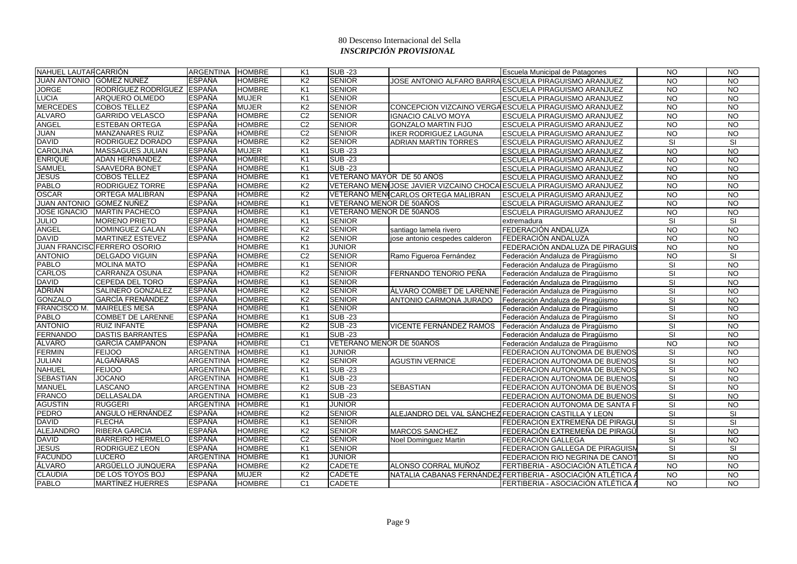| NAHUEL LAUTAR CARRIÓN    |                              | ARGENTINA HOMBRE |               | K <sub>1</sub> | <b>SUB-23</b>             |                                                      | Escuela Municipal de Patagones                                      | <b>NO</b>       | <b>NO</b>       |
|--------------------------|------------------------------|------------------|---------------|----------------|---------------------------|------------------------------------------------------|---------------------------------------------------------------------|-----------------|-----------------|
|                          | JUAN ANTONIO  GÓMEZ NÚÑEZ    | <b>ESPAÑA</b>    | <b>HOMBRE</b> | K <sub>2</sub> | <b>SENIOR</b>             |                                                      | JOSE ANTONIO ALFARO BARRAIESCUELA PIRAGUISMO ARANJUEZ               | <b>NO</b>       | <b>NO</b>       |
| <b>JORGE</b>             | <b>RODRÍGUEZ RODRÍGUEZ</b>   | <b>ESPAÑA</b>    | <b>HOMBRE</b> | K1             | <b>SENIOR</b>             |                                                      | ESCUELA PIRAGUISMO ARANJUEZ                                         | <b>NO</b>       | <b>NO</b>       |
| <b>LUCIA</b>             | <b>ARQUERO OLMEDO</b>        | <b>ESPAÑA</b>    | <b>MUJER</b>  | K1             | <b>SENIOR</b>             |                                                      | ESCUELA PIRAGUISMO ARANJUEZ                                         | <b>NO</b>       | N <sub>O</sub>  |
| <b>MERCEDES</b>          | <b>COBOS TELLEZ</b>          | <b>ESPAÑA</b>    | <b>MUJER</b>  | K <sub>2</sub> | <b>SENIOR</b>             |                                                      | CONCEPCION VIZCAINO VERGAESCUELA PIRAGUISMO ARANJUEZ                | <b>NO</b>       | <b>NO</b>       |
| <b>ALVARO</b>            | <b>GARRIDO VELASCO</b>       | <b>ESPAÑA</b>    | <b>HOMBRE</b> | C <sub>2</sub> | <b>SENIOR</b>             | IGNACIO CALVO MOYA                                   | ESCUELA PIRAGUISMO ARANJUEZ                                         | NO.             | <b>NO</b>       |
| <b>ANGEL</b>             | <b>ESTEBAN ORTEGA</b>        | <b>ESPAÑA</b>    | <b>HOMBRE</b> | C <sub>2</sub> | <b>SENIOR</b>             | <b>GONZALO MARTIN FIJO</b>                           | ESCUELA PIRAGUISMO ARANJUEZ                                         | <b>NO</b>       | <b>NO</b>       |
| JUAN                     | <b>MANZANARES RUIZ</b>       | <b>ESPAÑA</b>    | <b>HOMBRE</b> | C <sub>2</sub> | <b>SENIOR</b>             | <b>IKER RODRIGUEZ LAGUNA</b>                         | ESCUELA PIRAGUISMO ARANJUEZ                                         | <b>NO</b>       | <b>NO</b>       |
| <b>DAVID</b>             | RODRIGUEZ DORADO             | <b>ESPAÑA</b>    | <b>HOMBRE</b> | K <sub>2</sub> | <b>SENIOR</b>             | <b>ADRIAN MARTIN TORRES</b>                          | ESCUELA PIRAGUISMO ARANJUEZ                                         | SI              | <b>SI</b>       |
| <b>CAROLINA</b>          | <b>MASSAGUES JULIAN</b>      | <b>ESPAÑA</b>    | <b>MUJER</b>  | K <sub>1</sub> | <b>SUB-23</b>             |                                                      | ESCUELA PIRAGUISMO ARANJUEZ                                         | <b>NO</b>       | <b>NO</b>       |
| <b>ENRIQUE</b>           | <b>ADAN HERNANDEZ</b>        | <b>ESPAÑA</b>    | <b>HOMBRE</b> | K <sub>1</sub> | $SUB - 23$                |                                                      | ESCUELA PIRAGUISMO ARANJUEZ                                         | <b>NO</b>       | <b>NO</b>       |
| <b>SAMUEL</b>            | <b>SAAVEDRA BONET</b>        | <b>ESPAÑA</b>    | <b>HOMBRE</b> | K <sub>1</sub> | <b>SUB-23</b>             |                                                      | ESCUELA PIRAGUISMO ARANJUEZ                                         | N <sub>O</sub>  | N <sub>O</sub>  |
| <b>JESUS</b>             | <b>COBOS TELLEZ</b>          | <b>ESPAÑA</b>    | <b>HOMBRE</b> | K <sub>1</sub> | VETERANO MAYOR DE 50 AÑOS |                                                      | <b>ESCUELA PIRAGUISMO ARANJUEZ</b>                                  | $\overline{NO}$ | N <sub>O</sub>  |
| <b>PABLO</b>             | <b>RODRIGUEZ TORRE</b>       | <b>ESPAÑA</b>    | <b>HOMBRE</b> | K <sub>2</sub> |                           |                                                      | VETERANO MENIJOSE JAVIER VIZCAINO CHOCA ESCUELA PIRAGUISMO ARANJUEZ | <b>NO</b>       | <b>NO</b>       |
| <b>OSCAR</b>             | <b>ORTEGA MALIBRAN</b>       | <b>ESPAÑA</b>    | <b>HOMBRE</b> | K <sub>2</sub> |                           | VETERANO MENICARLOS ORTEGA MALIBRAN                  | ESCUELA PIRAGUISMO ARANJUEZ                                         | <b>NO</b>       | <b>NO</b>       |
| JUAN ANTONIO GOMEZ NUÑEZ |                              | <b>ESPAÑA</b>    | <b>HOMBRE</b> | K1             | VETERANO MENOR DE 50AÑOS  |                                                      | ESCUELA PIRAGUISMO ARANJUEZ                                         | <b>NO</b>       | <b>NO</b>       |
| <b>JOSE IGNACIO</b>      | <b>MARTIN PACHECO</b>        | <b>ESPAÑA</b>    | <b>HOMBRE</b> | K1             | VETERANO MENOR DE 50AÑOS  |                                                      | ESCUELA PIRAGUISMO ARANJUEZ                                         | <b>NO</b>       | N <sub>O</sub>  |
| <b>JULIO</b>             | <b>MORENO PRIETO</b>         | <b>ESPAÑA</b>    | <b>HOMBRE</b> | K <sub>1</sub> | <b>SENIOR</b>             |                                                      | extremadura                                                         | <b>SI</b>       | <b>SI</b>       |
| <b>ANGEL</b>             | <b>DOMINGUEZ GALAN</b>       | <b>ESPAÑA</b>    | <b>HOMBRE</b> | K <sub>2</sub> | <b>SENIOR</b>             | santiago lamela rivero                               | FEDERACIÓN ANDALUZA                                                 | <b>NO</b>       | <b>NO</b>       |
| <b>DAVID</b>             | <b>MARTINEZ ESTEVEZ</b>      | <b>ESPAÑA</b>    | <b>HOMBRE</b> | K <sub>2</sub> | <b>SENIOR</b>             | jose antonio cespedes calderon                       | FEDERACIÓN ANDALUZA                                                 | <b>NO</b>       | <b>NO</b>       |
|                          | JUAN FRANCISC FERRERO OSORIO |                  | <b>HOMBRE</b> | K <sub>1</sub> | <b>JUNIOR</b>             |                                                      | FEDERACIÓN ANDALUZA DE PIRAGUIS                                     | <b>NO</b>       | <b>NO</b>       |
| <b>ANTONIO</b>           | <b>DELGADO VIGUIN</b>        | <b>ESPAÑA</b>    | <b>HOMBRE</b> | C <sub>2</sub> | <b>SENIOR</b>             | Ramo Figueroa Fernández                              | Federación Andaluza de Piragüismo                                   | <b>NO</b>       | SI              |
| <b>PABLO</b>             | <b>MOLINA MATO</b>           | <b>ESPAÑA</b>    | <b>HOMBRE</b> | K1             | <b>SENIOR</b>             |                                                      | Federación Andaluza de Piragüismo                                   | SI              | <b>NO</b>       |
| <b>CARLOS</b>            | <b>CARRANZA OSUNA</b>        | <b>ESPAÑA</b>    | <b>HOMBRE</b> | K <sub>2</sub> | <b>SENIOR</b>             | FERNANDO TENORIO PEÑA                                | Federación Andaluza de Piragüismo                                   | SI              | <b>NO</b>       |
| <b>DAVID</b>             | <b>CEPEDA DEL TORO</b>       | <b>ESPAÑA</b>    | <b>HOMBRE</b> | K1             | <b>SENIOR</b>             |                                                      | Federación Andaluza de Piragüismo                                   | SI              | <b>NO</b>       |
| <b>ADRIÁN</b>            | SALINERO GONZALEZ            | <b>ESPAÑA</b>    | <b>HOMBRE</b> | K <sub>2</sub> | <b>SENIOR</b>             |                                                      | ÁLVARO COMBET DE LARENNE Federación Andaluza de Piragüismo          | <b>SI</b>       | <b>NO</b>       |
| <b>GONZALO</b>           | GARCÍA FRENÁNDEZ             | <b>ESPAÑA</b>    | <b>HOMBRE</b> | K <sub>2</sub> | <b>SENIOR</b>             | ANTONIO CARMONA JURADO                               | Federación Andaluza de Piragüismo                                   | <b>SI</b>       | <b>NO</b>       |
| FRANCISCO M.             | <b>MAIRELES MESA</b>         | <b>ESPAÑA</b>    | <b>HOMBRE</b> | K <sub>1</sub> | <b>SENIOR</b>             |                                                      | Federación Andaluza de Piragüismo                                   | <b>SI</b>       | <b>NO</b>       |
| <b>PABLO</b>             | <b>COMBET DE LARENNE</b>     | <b>ESPAÑA</b>    | <b>HOMBRE</b> | K <sub>1</sub> | <b>SUB-23</b>             |                                                      | Federación Andaluza de Piragüismo                                   | SI              | <b>NO</b>       |
| <b>ANTONIO</b>           | <b>RUIZ INFANTE</b>          | <b>ESPAÑA</b>    | <b>HOMBRE</b> | K <sub>2</sub> | <b>SUB-23</b>             | VICENTE FERNÁNDEZ RAMOS                              | Federación Andaluza de Piragüismo                                   | SI              | <b>NO</b>       |
| <b>FERNANDO</b>          | <b>DASTIS BARRANTES</b>      | <b>ESPAÑA</b>    | <b>HOMBRE</b> | K <sub>1</sub> | <b>SUB-23</b>             |                                                      | Federación Andaluza de Piragüismo                                   | SI              | <b>NO</b>       |
| ÁLVARO                   | GARCÍA CAMPAÑON              | <b>ESPAÑA</b>    | <b>HOMBRE</b> | C <sub>1</sub> | VETERANO MENOR DE 50AÑOS  |                                                      | Federación Andaluza de Piragüismo                                   | <b>NO</b>       | <b>NO</b>       |
| <b>FERMIN</b>            | <b>FEIJOO</b>                | <b>ARGENTINA</b> | <b>HOMBRE</b> | K1             | <b>JUNIOR</b>             |                                                      | FEDERACION AUTONOMA DE BUENOS                                       | <b>SI</b>       | <b>NO</b>       |
| JULIAN                   | ALGAÑARAS                    | <b>ARGENTINA</b> | <b>HOMBRE</b> | K <sub>2</sub> | <b>SENIOR</b>             | <b>AGUSTIN VERNICE</b>                               | FEDERACION AUTONOMA DE BUENOS                                       | <b>SI</b>       | <b>NO</b>       |
| <b>NAHUEL</b>            | <b>FEIJOO</b>                | <b>ARGENTINA</b> | <b>HOMBRE</b> | K <sub>1</sub> | <b>SUB -23</b>            |                                                      | <b>FEDERACION AUTONOMA DE BUENOS</b>                                | SI              | N <sub>O</sub>  |
| <b>SEBASTIAN</b>         | <b>JOCANO</b>                | <b>ARGENTINA</b> | <b>HOMBRE</b> | K <sub>1</sub> | <b>SUB-23</b>             |                                                      | FEDERACION AUTONOMA DE BUENOS                                       | SI              | <b>NO</b>       |
| <b>MANUEL</b>            | LASCANO                      | <b>ARGENTINA</b> | <b>HOMBRE</b> | K <sub>2</sub> | <b>SUB-23</b>             | <b>SEBASTIAN</b>                                     | FEDERACION AUTONOMA DE BUENOS                                       | SI              | <b>NO</b>       |
| <b>FRANCO</b>            | <b>DELLASALDA</b>            | <b>ARGENTINA</b> | <b>HOMBRE</b> | K <sub>1</sub> | <b>SUB-23</b>             |                                                      | FEDERACION AUTONOMA DE BUENOS                                       | <b>SI</b>       | <b>NO</b>       |
| <b>AGUSTIN</b>           | <b>RUGGERI</b>               | <b>ARGENTINA</b> | <b>HOMBRE</b> | K <sub>1</sub> | <b>JUNIOR</b>             |                                                      | FEDERACION AUTONOMA DE SANTA F                                      | SI              | $\overline{NQ}$ |
| <b>PEDRO</b>             | ANGULO HERNÁNDEZ             | <b>ESPAÑA</b>    | <b>HOMBRE</b> | K <sub>2</sub> | <b>SENIOR</b>             | ALEJANDRO DEL VAL SÁNCHEZ FEDERACION CASTILLA Y LEON |                                                                     | SI              | SI              |
| <b>DAVID</b>             | <b>FLECHA</b>                | <b>ESPAÑA</b>    | <b>HOMBRE</b> | K1             | <b>SENIOR</b>             |                                                      | FEDERACION EXTREMEÑA DE PIRAGU                                      | SI              | SI              |
| <b>ALEJANDRO</b>         | <b>RIBERA GARCIA</b>         | <b>ESPAÑA</b>    | <b>HOMBRE</b> | K <sub>2</sub> | <b>SENIOR</b>             | <b>MARCOS SANCHEZ</b>                                | FEDERACIÓN EXTREMEÑA DE PIRAGÜ                                      | SI              | <b>NO</b>       |
| <b>DAVID</b>             | <b>BARREIRO HERMELO</b>      | <b>ESPAÑA</b>    | <b>HOMBRE</b> | C <sub>2</sub> | <b>SENIOR</b>             | Noel Dominguez Martin                                | <b>FEDERACION GALLEGA</b>                                           | SI              | <b>NO</b>       |
| <b>JESUS</b>             | <b>RODRIGUEZ LEON</b>        | <b>ESPAÑA</b>    | <b>HOMBRE</b> | K1             | <b>SENIOR</b>             |                                                      | <b>FEDERACION GALLEGA DE PIRAGUISN</b>                              | <b>SI</b>       | <b>SI</b>       |
| <b>FACUNDO</b>           | <b>LUCERO</b>                | <b>ARGENTINA</b> | <b>HOMBRE</b> | K <sub>1</sub> | <b>JUNIOR</b>             |                                                      | FEDERACION RIO NEGRINA DE CANOT                                     | <b>SI</b>       | <b>NO</b>       |
| ÁLVARO                   | ARGÜELLO JUNQUERA            | <b>ESPAÑA</b>    | <b>HOMBRE</b> | K <sub>2</sub> | <b>CADETE</b>             | ALONSO CORRAL MUÑOZ                                  | FERTIBERIA - ASOCIACIÓN ATLÉTICA /                                  | <b>NO</b>       | NO              |
| <b>CLAUDIA</b>           | DE LOS TOYOS BOJ             | <b>ESPAÑA</b>    | <b>MUJER</b>  | K <sub>2</sub> | <b>CADETE</b>             |                                                      | NATALIA CABANAS FERNÁNDEZ FERTIBERIA - ASOCIACIÓN ATLÉTICA /        | <b>NO</b>       | <b>NO</b>       |
| <b>PABLO</b>             | <b>MARTÍNEZ HUERRES</b>      | <b>ESPAÑA</b>    | <b>HOMBRE</b> | C <sub>1</sub> | <b>CADETE</b>             |                                                      | FERTIBERIA - ASOCIACIÓN ATLÉTICA A                                  | <b>NO</b>       | <b>NO</b>       |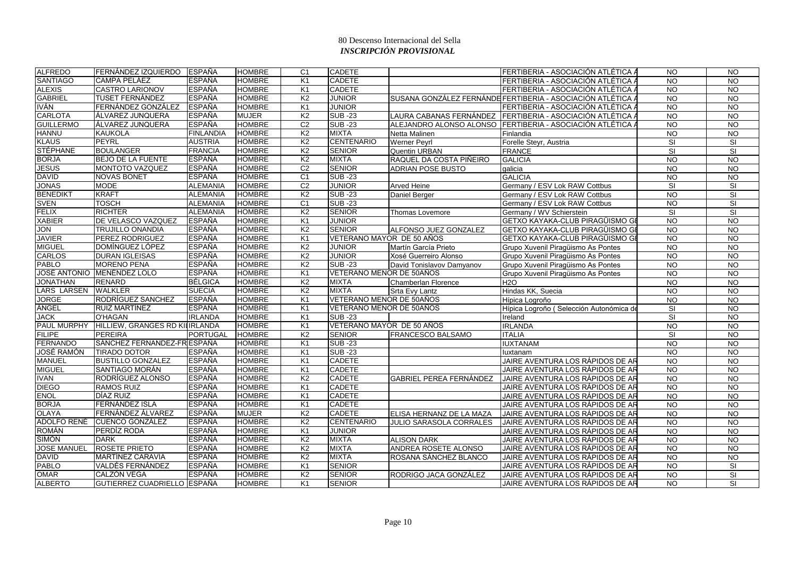| <b>ALFREDO</b>     | FERNÁNDEZ IZQUIERDO                        | <b>ESPAÑA</b>    | <b>HOMBRE</b> | C <sub>1</sub> | <b>CADETE</b>             |                                | FERTIBERIA - ASOCIACIÓN ATLÉTICA A                          | <b>NO</b>       | <b>NO</b>               |
|--------------------|--------------------------------------------|------------------|---------------|----------------|---------------------------|--------------------------------|-------------------------------------------------------------|-----------------|-------------------------|
| <b>SANTIAGO</b>    | <b>CAMPA PELÁEZ</b>                        | <b>ESPAÑA</b>    | <b>HOMBRE</b> | K <sub>1</sub> | <b>CADETE</b>             |                                | FERTIBERIA - ASOCIACIÓN ATLÉTICA /                          | <b>NO</b>       | <b>NO</b>               |
| <b>ALEXIS</b>      | <b>CASTRO LARIONOV</b>                     | <b>ESPAÑA</b>    | <b>HOMBRE</b> | K <sub>1</sub> | <b>CADETE</b>             |                                | FERTIBERIA - ASOCIACIÓN ATLÉTICA /                          | <b>NO</b>       | <b>NO</b>               |
| <b>GABRIEL</b>     | TUSET FERNÁNDEZ                            | <b>ESPAÑA</b>    | <b>HOMBRE</b> | K <sub>2</sub> | JUNIOR                    |                                | SUSANA GONZÁLEZ FERNÁNDE FERTIBERIA - ASOCIACIÓN ATLÉTICA / | <b>NO</b>       | <b>NO</b>               |
| <b>IVÁN</b>        | FERNÁNDEZ GONZÁLEZ                         | <b>ESPAÑA</b>    | <b>HOMBRE</b> | K <sub>1</sub> | JUNIOR                    |                                | FERTIBERIA - ASOCIACIÓN ATLÉTICA /                          | <b>NO</b>       | <b>NO</b>               |
| <b>CARLOTA</b>     | ÁLVAREZ JUNQUERA                           | <b>ESPAÑA</b>    | <b>MUJER</b>  | K <sub>2</sub> | <b>SUB-23</b>             |                                | LAURA CABANAS FERNÁNDEZ FERTIBERIA - ASOCIACIÓN ATLÉTICA /  | <b>NO</b>       | N <sub>O</sub>          |
| <b>GUILLERMO</b>   | ÁLVAREZ JUNQUERA                           | <b>ESPAÑA</b>    | <b>HOMBRE</b> | C <sub>2</sub> | <b>SUB-23</b>             |                                | ALEJANDRO ALONSO ALONSO FERTIBERIA - ASOCIACIÓN ATLÉTICA /  | <b>NO</b>       | <b>NO</b>               |
| <b>HANNU</b>       | <b>KAUKOLA</b>                             | <b>FINLANDIA</b> | <b>HOMBRE</b> | K <sub>2</sub> | <b>MIXTA</b>              | Netta Malinen                  | Finlandia                                                   | <b>NO</b>       | <b>NO</b>               |
| <b>KLAUS</b>       | <b>PEYRL</b>                               | <b>AUSTRIA</b>   | <b>HOMBRE</b> | K <sub>2</sub> | <b>CENTENARIO</b>         | <b>Werner Peyrl</b>            | Forelle Steyr, Austria                                      | <b>SI</b>       | <b>SI</b>               |
| <b>STÉPHANE</b>    | <b>BOULANGER</b>                           | <b>FRANCIA</b>   | <b>HOMBRE</b> | K <sub>2</sub> | <b>SENIOR</b>             | Quentin URBAN                  | <b>FRANCE</b>                                               | <b>SI</b>       | $\overline{\mathbf{s}}$ |
| <b>BORJA</b>       | <b>BEJO DE LA FUENTE</b>                   | <b>ESPAÑA</b>    | <b>HOMBRE</b> | K <sub>2</sub> | <b>MIXTA</b>              | RAQUEL DA COSTA PIÑEIRO        | <b>GALICIA</b>                                              | <b>NO</b>       | <b>NO</b>               |
| <b>JESUS</b>       | MONTOTO VAZQUEZ                            | <b>ESPAÑA</b>    | <b>HOMBRE</b> | C <sub>2</sub> | <b>SENIOR</b>             | <b>ADRIAN POSE BUSTO</b>       | galicia                                                     | <b>NO</b>       | <b>NO</b>               |
| <b>DAVID</b>       | <b>NOVAS BONET</b>                         | <b>ESPAÑA</b>    | <b>HOMBRE</b> | C1             | <b>SUB-23</b>             |                                | <b>GALICIA</b>                                              | <b>NO</b>       | <b>NO</b>               |
| <b>JONAS</b>       | <b>MODE</b>                                | <b>ALEMANIA</b>  | <b>HOMBRE</b> | C <sub>2</sub> | <b>JUNIOR</b>             | <b>Arved Heine</b>             | Germany / ESV Lok RAW Cottbus                               | <b>SI</b>       | SI                      |
| <b>BENEDIKT</b>    | <b>KRAFT</b>                               | <b>ALEMANIA</b>  | <b>HOMBRE</b> | K <sub>2</sub> | <b>SUB-23</b>             | Daniel Berger                  | Germany / ESV Lok RAW Cottbus                               | <b>NO</b>       | SI                      |
| <b>SVEN</b>        | <b>TOSCH</b>                               | <b>ALEMANIA</b>  | <b>HOMBRE</b> | C <sub>1</sub> | <b>SUB-23</b>             |                                | Germany / ESV Lok RAW Cottbus                               | <b>NO</b>       | SI                      |
| <b>FELIX</b>       | <b>RICHTER</b>                             | <b>ALEMANIA</b>  | <b>HOMBRE</b> | K <sub>2</sub> | <b>SENIOR</b>             | Thomas Lovemore                | Germany / WV Schierstein                                    | <b>SI</b>       | SI                      |
| <b>XABIER</b>      | DE VELASCO VAZQUEZ                         | <b>ESPAÑA</b>    | <b>HOMBRE</b> | K <sub>1</sub> | JUNIOR                    |                                | GETXO KAYAKA-CLUB PIRAGÜISMO GI                             | <b>NO</b>       | <b>NO</b>               |
| <b>JON</b>         | <b>TRUJILLO ONANDIA</b>                    | <b>ESPAÑA</b>    | <b>HOMBRE</b> | K <sub>2</sub> | <b>SENIOR</b>             | ALFONSO JUEZ GONZALEZ          | GETXO KAYAKA-CLUB PIRAGÜISMO GI                             | $\overline{N}$  | $\overline{NQ}$         |
| <b>JAVIER</b>      | PEREZ RODRIGUEZ                            | <b>ESPAÑA</b>    | <b>HOMBRE</b> | K <sub>1</sub> | VETERANO MAYOR DE 50 AÑOS |                                | GETXO KAYAKA-CLUB PIRAGÜISMO GI                             | <b>NO</b>       | <b>NO</b>               |
| <b>MIGUEL</b>      | DOMÍNGUEZ LÓPEZ                            | <b>ESPAÑA</b>    | <b>HOMBRE</b> | K <sub>2</sub> | <b>JUNIOR</b>             | Martín García Prieto           | Grupo Xuvenil Piragüismo As Pontes                          | <b>NO</b>       | <b>NO</b>               |
| <b>CARLOS</b>      | <b>DURAN IGLEISAS</b>                      | <b>ESPAÑA</b>    | <b>HOMBRE</b> | K <sub>2</sub> | <b>JUNIOR</b>             | Xosé Guerreiro Alonso          | Grupo Xuvenil Piragüismo As Pontes                          | <b>NO</b>       | <b>NO</b>               |
| <b>PABLO</b>       | <b>MORENO PENA</b>                         | <b>ESPAÑA</b>    | <b>HOMBRE</b> | K2             | <b>SUB -23</b>            | David Tonislavov Damyanov      | Grupo Xuvenil Piragüismo As Pontes                          | $\overline{10}$ | N <sub>O</sub>          |
|                    | JOSÉ ANTONIO MENÉNDEZ LOLO                 | <b>ESPAÑA</b>    | <b>HOMBRE</b> | K <sub>1</sub> | VETERANO MENOR DE 50AÑOS  |                                | Grupo Xuvenil Piraqüismo As Pontes                          | <b>NO</b>       | <b>NO</b>               |
| <b>JONATHAN</b>    | <b>RENARD</b>                              | <b>BÉLGICA</b>   | <b>HOMBRE</b> | K <sub>2</sub> | <b>MIXTA</b>              | Chamberlan Florence            | <b>H2O</b>                                                  | <b>NO</b>       | <b>NO</b>               |
| LARS LARSEN        | <b>WALKLER</b>                             | <b>SUECIA</b>    | <b>HOMBRE</b> | K <sub>2</sub> | <b>MIXTA</b>              | <b>Srta Evy Lantz</b>          | Hindas KK, Suecia                                           | <b>NO</b>       | <b>NO</b>               |
| <b>JORGE</b>       | <b>RODRÍGUEZ SANCHEZ</b>                   | <b>ESPAÑA</b>    | <b>HOMBRE</b> | K <sub>1</sub> | VETERANO MENOR DE 50AÑOS  |                                | Hípica Logroño                                              | <b>NO</b>       | <b>NO</b>               |
| ÁNGEL              | <b>RUIZ MARTÍNEZ</b>                       | <b>ESPAÑA</b>    | <b>HOMBRE</b> | K <sub>1</sub> | VETERANO MENOR DE 50AÑOS  |                                | Hípica Logroño (Selección Autonómica de                     | <b>SI</b>       | <b>NO</b>               |
| <b>JACK</b>        | O'HAGAN                                    | <b>IRLANDA</b>   | <b>HOMBRE</b> | K <sub>1</sub> | <b>SUB -23</b>            |                                | Ireland                                                     | <b>SI</b>       | <b>NO</b>               |
|                    | PAUL MURPHY HILLIEW, GRANGES RD KILIRLANDA |                  | <b>HOMBRE</b> | K <sub>1</sub> | VETERANO MAYOR DE 50 AÑOS |                                | <b>IRLANDA</b>                                              | <b>NO</b>       | <b>NO</b>               |
| <b>FILIPE</b>      | <b>PEREIRA</b>                             | <b>PORTUGAL</b>  | <b>HOMBRE</b> | K <sub>2</sub> | <b>SENIOR</b>             | <b>FRANCESCO BALSAMO</b>       | <b>ITALIA</b>                                               | <b>SI</b>       | <b>NO</b>               |
| <b>FERNANDO</b>    | SÁNCHEZ FERNANDEZ-FR ESPAÑA                |                  | <b>HOMBRE</b> | K <sub>1</sub> | <b>SUB-23</b>             |                                | <b>IUXTANAM</b>                                             | $\overline{N}$  | N <sub>O</sub>          |
| <b>JOSÉ RAMÓN</b>  | <b>TIRADO DOTOR</b>                        | <b>ESPAÑA</b>    | <b>HOMBRE</b> | K <sub>1</sub> | <b>SUB-23</b>             |                                | luxtanam                                                    | <b>NO</b>       | <b>NO</b>               |
| MANUEL             | <b>BUSTILLO GONZALEZ</b>                   | <b>ESPAÑA</b>    | <b>HOMBRE</b> | K <sub>1</sub> | <b>CADETE</b>             |                                | JAIRE AVENTURA LOS RÁPIDOS DE AR                            | <b>NO</b>       | <b>NO</b>               |
| <b>MIGUEL</b>      | SANTIAGO MORÁN                             | <b>ESPAÑA</b>    | <b>HOMBRE</b> | K <sub>1</sub> | <b>CADETE</b>             |                                | JAIRE AVENTURA LOS RÁPIDOS DE AR                            | <b>NO</b>       | <b>NO</b>               |
| <b>IVAN</b>        | RODRÍGUEZ ALONSO                           | <b>ESPAÑA</b>    | <b>HOMBRE</b> | K <sub>2</sub> | <b>CADETE</b>             | <b>GABRIEL PEREA FERNÁNDEZ</b> | JAIRE AVENTURA LOS RÁPIDOS DE AR                            | $\overline{N}$  | $\overline{NO}$         |
| <b>DIEGO</b>       | <b>RAMOS RUIZ</b>                          | <b>ESPAÑA</b>    | <b>HOMBRE</b> | K <sub>1</sub> | <b>CADETE</b>             |                                | JAIRE AVENTURA LOS RÁPIDOS DE AR                            | $\overline{10}$ | $\overline{NO}$         |
| <b>ENOL</b>        | DÍAZ RUIZ                                  | <b>ESPAÑA</b>    | <b>HOMBRE</b> | K <sub>1</sub> | <b>CADETE</b>             |                                | JAIRE AVENTURA LOS RÁPIDOS DE AR                            | <b>NO</b>       | <b>NO</b>               |
| <b>BORJA</b>       | FERNÁNDEZ ISLA                             | <b>ESPAÑA</b>    | <b>HOMBRE</b> | K <sub>1</sub> | <b>CADETE</b>             |                                | JAIRE AVENTURA LOS RÁPIDOS DE AR                            | <b>NO</b>       | <b>NO</b>               |
| <b>OLAYA</b>       | FERNÁNDEZ ÁLVAREZ                          | <b>ESPAÑA</b>    | <b>MUJER</b>  | K <sub>2</sub> | <b>CADETE</b>             | ELISA HERNANZ DE LA MAZA       | JAIRE AVENTURA LOS RÁPIDOS DE AR                            | <b>NO</b>       | <b>NO</b>               |
| ADOLFO RENÉ        | CUENCO GONZÁLEZ                            | <b>ESPAÑA</b>    | <b>HOMBRE</b> | K <sub>2</sub> | <b>CENTENARIO</b>         | JULIO SARASOLA CORRALES        | JAIRE AVENTURA LOS RÁPIDOS DE AR                            | $\overline{10}$ | N <sub>O</sub>          |
| <b>ROMÁN</b>       | <b>PERDÍZ RODA</b>                         | <b>ESPAÑA</b>    | <b>HOMBRE</b> | K1             | <b>JUNIOR</b>             |                                | JAIRE AVENTURA LOS RÁPIDOS DE AR                            | <b>NO</b>       | <b>NO</b>               |
| <b>SIMÓN</b>       | <b>DARK</b>                                | ESPAÑA           | <b>HOMBRE</b> | K <sub>2</sub> | <b>MIXTA</b>              | <b>ALISON DARK</b>             | JAIRE AVENTURA LOS RÁPIDOS DE AR                            | <b>NO</b>       | <b>NO</b>               |
| <b>JOSE MANUEL</b> | <b>ROSETE PRIETO</b>                       | <b>ESPAÑA</b>    | <b>HOMBRE</b> | K <sub>2</sub> | <b>MIXTA</b>              | ANDREA ROSETE ALONSO           | JAIRE AVENTURA LOS RÁPIDOS DE AR                            | <b>NO</b>       | <b>NO</b>               |
| <b>DAVID</b>       | MARTÍNEZ CARAVIA                           | <b>ESPAÑA</b>    | <b>HOMBRE</b> | K <sub>2</sub> | <b>MIXTA</b>              | ROSANA SÁNCHEZ BLANCO          | JAIRE AVENTURA LOS RÁPIDOS DE AR                            | $\overline{10}$ | $\overline{NO}$         |
| <b>PABLO</b>       | VALDÉS FERNÁNDEZ                           | <b>ESPAÑA</b>    | <b>HOMBRE</b> | K <sub>1</sub> | <b>SENIOR</b>             |                                | JAIRE AVENTURA LOS RÁPIDOS DE AR                            | $\overline{10}$ | <b>SI</b>               |
| <b>OMAR</b>        | CALZÓN VEGA                                | <b>ESPAÑA</b>    | <b>HOMBRE</b> | K <sub>2</sub> | <b>SENIOR</b>             | RODRIGO JACA GONZÁLEZ          | JAIRE AVENTURA LOS RÁPIDOS DE AR                            | <b>NO</b>       | SI                      |
| <b>ALBERTO</b>     | GUTIERREZ CUADRIELLO ESPAÑA                |                  | <b>HOMBRE</b> | K <sub>1</sub> | <b>SENIOR</b>             |                                | JAIRE AVENTURA LOS RÁPIDOS DE AR                            | <b>NO</b>       | SI                      |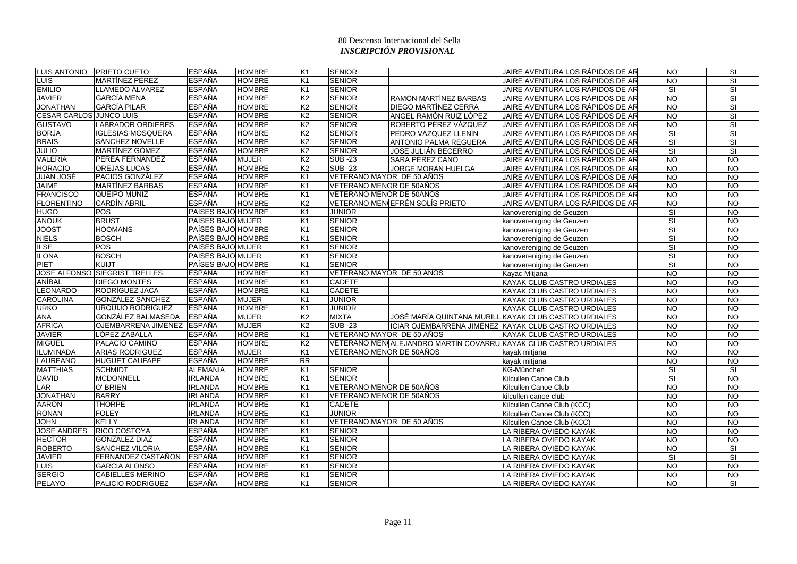|                                | LUIS ANTONIO PRIETO CUETO     | <b>ESPAÑA</b>      | <b>HOMBRE</b> | K1             | <b>SENIOR</b>             |                                 | JAIRE AVENTURA LOS RÁPIDOS DE AR                                 | <b>NO</b>               | SI                       |
|--------------------------------|-------------------------------|--------------------|---------------|----------------|---------------------------|---------------------------------|------------------------------------------------------------------|-------------------------|--------------------------|
| <b>LUIS</b>                    | MARTÍNEZ PÉREZ                | <b>ESPAÑA</b>      | <b>HOMBRE</b> | K <sub>1</sub> | <b>SENIOR</b>             |                                 | JAIRE AVENTURA LOS RÁPIDOS DE AF                                 | <b>NO</b>               | SI                       |
| <b>EMILIO</b>                  | LLAMEDO ÁLVAREZ               | <b>ESPAÑA</b>      | <b>HOMBRE</b> | K <sub>1</sub> | <b>SENIOR</b>             |                                 | JAIRE AVENTURA LOS RÁPIDOS DE AR                                 | SI                      | SI                       |
| <b>JAVIER</b>                  | <b>GARCÍA MENA</b>            | <b>ESPAÑA</b>      | <b>HOMBRE</b> | K <sub>2</sub> | <b>SENIOR</b>             | RAMÓN MARTÍNEZ BARBAS           | JAIRE AVENTURA LOS RÁPIDOS DE AR                                 | <b>NO</b>               | SI                       |
| <b>JONATHAN</b>                | <b>GARCÍA PILAR</b>           | <b>ESPAÑA</b>      | <b>HOMBRE</b> | K <sub>2</sub> | <b>SENIOR</b>             | DIEGO MARTÍNEZ CERRA            | JAIRE AVENTURA LOS RÁPIDOS DE AF                                 | <b>NO</b>               | SI                       |
| <b>CESAR CARLOS JUNCO LUIS</b> |                               | <b>ESPAÑA</b>      | <b>HOMBRE</b> | K <sub>2</sub> | <b>SENIOR</b>             | ANGEL RAMÓN RUIZ LÓPEZ          | JAIRE AVENTURA LOS RÁPIDOS DE AR                                 | $\overline{N}$          | $\overline{\mathbf{s}}$  |
| <b>GUSTAVO</b>                 | <b>LABRADOR ORDIERES</b>      | <b>ESPAÑA</b>      | <b>HOMBRE</b> | K <sub>2</sub> | <b>SENIOR</b>             | ROBERTO PÉREZ VÁZQUEZ           | JAIRE AVENTURA LOS RÁPIDOS DE AF                                 | N <sub>O</sub>          | SI                       |
| <b>BORJA</b>                   | <b>IGLESIAS MOSQUERA</b>      | <b>ESPAÑA</b>      | <b>HOMBRE</b> | K <sub>2</sub> | <b>SENIOR</b>             | PEDRO VÁZQUEZ LLENÍN            | JAIRE AVENTURA LOS RÁPIDOS DE AR                                 | <b>SI</b>               | SI                       |
| <b>BRAIS</b>                   | SÁNCHEZ NOVELLE               | <b>ESPAÑA</b>      | <b>HOMBRE</b> | K <sub>2</sub> | <b>SENIOR</b>             | <b>ANTONIO PALMA REGUERA</b>    | JAIRE AVENTURA LOS RÁPIDOS DE AR                                 | SI                      | SI                       |
| <b>JULIO</b>                   | MARTÍNEZ GÓMEZ                | <b>ESPAÑA</b>      | <b>HOMBRE</b> | K <sub>2</sub> | <b>SENIOR</b>             | <b>JOSE JULIÁN BECERRO</b>      | JAIRE AVENTURA LOS RÁPIDOS DE AF                                 | $\overline{\mathsf{S}}$ | SI                       |
| <b>VALERIA</b>                 | PEREA FERNÁNDEZ               | <b>ESPAÑA</b>      | <b>MUJER</b>  | K <sub>2</sub> | <b>SUB -23</b>            | SARA PÉREZ CANO                 | JAIRE AVENTURA LOS RÁPIDOS DE AF                                 | $\overline{NQ}$         | $\overline{NQ}$          |
| <b>HORACIO</b>                 | <b>OREJAS LUCAS</b>           | <b>ESPAÑA</b>      | <b>HOMBRE</b> | K <sub>2</sub> | <b>SUB -23</b>            | JORGE MORÁN HUELGA              | JAIRE AVENTURA LOS RÁPIDOS DE AR                                 | N <sub>O</sub>          | <b>NO</b>                |
| JUAN JOSÉ                      | <b>PACIOS GONZÁLEZ</b>        | <b>ESPAÑA</b>      | <b>HOMBRE</b> | K <sub>1</sub> | VETERANO MAYOR DE 50 AÑOS |                                 | JAIRE AVENTURA LOS RÁPIDOS DE AR                                 | <b>NO</b>               | $\overline{10}$          |
| JAIME                          | <b>MARTÍNEZ BARBAS</b>        | <b>ESPAÑA</b>      | <b>HOMBRE</b> | K <sub>1</sub> | VETERANO MENOR DE 50AÑOS  |                                 | JAIRE AVENTURA LOS RÁPIDOS DE AR                                 | <b>NO</b>               | <b>NO</b>                |
| <b>FRANCISCO</b>               | QUEIPO MUÑIZ                  | <b>ESPAÑA</b>      | <b>HOMBRE</b> | K1             | VETERANO MENOR DE 50AÑOS  |                                 | JAIRE AVENTURA LOS RÁPIDOS DE AR                                 | <b>NO</b>               | $\overline{3}$           |
| <b>FLORENTINO</b>              | <b>CARDÍN ABRIL</b>           | <b>ESPAÑA</b>      | <b>HOMBRE</b> | K <sub>2</sub> |                           | VETERANO MENIEFRÉN SOLÍS PRIETO | JAIRE AVENTURA LOS RÁPIDOS DE AF                                 | N <sub>O</sub>          | $\overline{10}$          |
| <b>HUGO</b>                    | <b>POS</b>                    | PAÍSES BAJO HOMBRE |               | K1             | <b>JUNIOR</b>             |                                 | kanovereniging de Geuzen                                         | SI                      | $\overline{10}$          |
| <b>ANOUK</b>                   | <b>BRUST</b>                  | PAÍSES BAJO MUJER  |               | K <sub>1</sub> | <b>SENIOR</b>             |                                 | kanovereniging de Geuzen                                         | SI                      | <b>NO</b>                |
| <b>JOOST</b>                   | <b>HOOMANS</b>                | PAÍSES BAJO HOMBRE |               | K <sub>1</sub> | <b>SENIOR</b>             |                                 | kanovereniging de Geuzen                                         | $\overline{\mathbf{s}}$ | $\overline{3}$           |
| <b>NIELS</b>                   | <b>BOSCH</b>                  | PAÍSES BAJO HOMBRE |               | K <sub>1</sub> | <b>SENIOR</b>             |                                 | kanovereniging de Geuzen                                         | SI                      | <b>NO</b>                |
| <b>ILSE</b>                    | <b>POS</b>                    | PAÍSES BAJO MUJER  |               | K <sub>1</sub> | <b>SENIOR</b>             |                                 | kanovereniging de Geuzen                                         | $\overline{\mathbf{s}}$ | N <sub>O</sub>           |
| <b>ILONA</b>                   | <b>BOSCH</b>                  | PAÍSES BAJO MUJER  |               | K <sub>1</sub> | <b>SENIOR</b>             |                                 | kanovereniging de Geuzen                                         | SI                      | $\overline{3}$           |
| PIET                           | KUIJT                         | PAÍSES BAJO HOMBRE |               | K <sub>1</sub> | <b>SENIOR</b>             |                                 | kanovereniging de Geuzen                                         | SI                      | <b>NO</b>                |
|                                | JOSE ALFONSO SIEGRIST TRELLES | <b>ESPAÑA</b>      | <b>HOMBRE</b> | K1             | VETERANO MAYOR DE 50 AÑOS |                                 | Kayac Mitjana                                                    | $\overline{N}$          | <b>NO</b>                |
| ANÍBAL                         | <b>DIEGO MONTES</b>           | <b>ESPAÑA</b>      | <b>HOMBRE</b> | K <sub>1</sub> | <b>CADETE</b>             |                                 | KAYAK CLUB CASTRO URDIALES                                       | <b>NO</b>               | <b>NO</b>                |
| <b>LEONARDO</b>                | <b>RODRÍGUEZ JACA</b>         | <b>ESPAÑA</b>      | <b>HOMBRE</b> | K1             | <b>CADETE</b>             |                                 | KAYAK CLUB CASTRO URDIALES                                       | $\overline{N}$          | $\overline{10}$          |
| <b>CAROLINA</b>                | GONZÁLEZ SÁNCHEZ              | <b>ESPAÑA</b>      | <b>MUJER</b>  | K1             | <b>JUNIOR</b>             |                                 | KAYAK CLUB CASTRO URDIALES                                       | <b>NO</b>               | <b>NO</b>                |
| <b>URKO</b>                    | URQUIJO RODRÍGUEZ             | <b>ESPAÑA</b>      | <b>HOMBRE</b> | K <sub>1</sub> | <b>JUNIOR</b>             |                                 | KAYAK CLUB CASTRO URDIALES                                       | <b>NO</b>               | <b>NO</b>                |
| <b>ANA</b>                     | GONZÁLEZ BALMASEDA            | <b>ESPAÑA</b>      | <b>MUJER</b>  | K <sub>2</sub> | <b>MIXTA</b>              |                                 | JOSÉ MARÍA QUINTANA MURILL KAYAK CLUB CASTRO URDIALES            | <b>NO</b>               | <b>NO</b>                |
| ÁFRICA                         | <b>OJEMBARRENA JIMÉNEZ</b>    | <b>ESPAÑA</b>      | <b>MUJER</b>  | K <sub>2</sub> | <b>SUB-23</b>             |                                 | ICIAR OJEMBARRENA JIMÉNEZ KAYAK CLUB CASTRO URDIALES             | $\overline{N}$          | N <sub>O</sub>           |
| <b>JAVIER</b>                  | LÓPEZ ZABALLA                 | <b>ESPAÑA</b>      | <b>HOMBRE</b> | K <sub>1</sub> | VETERANO MAYOR DE 50 AÑOS |                                 | KAYAK CLUB CASTRO URDIALES                                       | <b>NO</b>               | <b>NO</b>                |
| <b>MIGUEL</b>                  | PALACIO CAMINO                | <b>ESPAÑA</b>      | <b>HOMBRE</b> | K <sub>2</sub> |                           |                                 | VETERANO MEN ALEJANDRO MARTÍN COVARRU KAYAK CLUB CASTRO URDIALES | <b>NO</b>               | <b>NO</b>                |
| <b>ILUMINADA</b>               | <b>ARIAS RODRIGUEZ</b>        | <b>ESPAÑA</b>      | <b>MUJER</b>  | K1             | VETERANO MENOR DE 50AÑOS  |                                 | kayak mitjana                                                    | $\overline{N}$          | N <sub>O</sub>           |
| LAUREANO                       | <b>HUGUET CAUFAPE</b>         | <b>ESPAÑA</b>      | <b>HOMBRE</b> | <b>RR</b>      |                           |                                 | kayak mitjana                                                    | <b>NO</b>               | <b>NO</b>                |
| <b>MATTHIAS</b>                | <b>SCHMIDT</b>                | <b>ALEMANIA</b>    | <b>HOMBRE</b> | K1             | <b>SENIOR</b>             |                                 | KG-München                                                       | SI                      | $\overline{\mathsf{SI}}$ |
| <b>DAVID</b>                   | MCDONNELL                     | <b>IRLANDA</b>     | <b>HOMBRE</b> | K <sub>1</sub> | <b>SENIOR</b>             |                                 | Kilcullen Canoe Club                                             | SI                      | $\overline{3}$           |
| LAR                            | O' BRIEN                      | <b>IRLANDA</b>     | <b>HOMBRE</b> | K1             | VETERANO MENOR DE 50AÑOS  |                                 | Kilcullen Canoe Club                                             | <b>NO</b>               | <b>NO</b>                |
| <b>JONATHAN</b>                | <b>BARRY</b>                  | <b>IRLANDA</b>     | <b>HOMBRE</b> | K <sub>1</sub> | VETERANO MENOR DE 50AÑOS  |                                 | kilcullen canoe club                                             | N <sub>O</sub>          | $\overline{3}$           |
| <b>AARON</b>                   | <b>THORPE</b>                 | <b>IRLANDA</b>     | <b>HOMBRE</b> | K1             | <b>CADETE</b>             |                                 | Kilcullen Canoe Club (KCC)                                       | <b>NO</b>               | $\overline{N}$           |
| <b>RONAN</b>                   | <b>FOLEY</b>                  | <b>IRLANDA</b>     | <b>HOMBRE</b> | K <sub>1</sub> | <b>JUNIOR</b>             |                                 | Kilcullen Canoe Club (KCC)                                       | $\overline{NQ}$         | $\overline{NQ}$          |
| <b>JOHN</b>                    | <b>KELLY</b>                  | <b>IRLANDA</b>     | <b>HOMBRE</b> | K <sub>1</sub> | VETERANO MAYOR DE 50 AÑOS |                                 | Kilcullen Canoe Club (KCC)                                       | <b>NO</b>               | N <sub>O</sub>           |
| <b>JOSE ANDRES</b>             | <b>RICO COSTOYA</b>           | <b>ESPAÑA</b>      | <b>HOMBRE</b> | K <sub>1</sub> | <b>SENIOR</b>             |                                 | LA RIBERA OVIEDO KAYAK                                           | $\overline{N}$          | $\overline{10}$          |
| <b>HECTOR</b>                  | <b>GONZALEZ DIAZ</b>          | <b>ESPAÑA</b>      | <b>HOMBRE</b> | K <sub>1</sub> | <b>SENIOR</b>             |                                 | LA RIBERA OVIEDO KAYAK                                           | <b>NO</b>               | <b>NO</b>                |
| <b>ROBERTO</b>                 | <b>SANCHEZ VILORIA</b>        | <b>ESPAÑA</b>      | <b>HOMBRE</b> | K1             | <b>SENIOR</b>             |                                 | LA RIBERA OVIEDO KAYAK                                           | <b>NO</b>               | SI                       |
| JAVIER                         | <b>FERNANDEZ CASTAÑON</b>     | <b>ESPAÑA</b>      | <b>HOMBRE</b> | K <sub>1</sub> | <b>SENIOR</b>             |                                 | LA RIBERA OVIEDO KAYAK                                           | <b>SI</b>               | SI                       |
| <b>LUIS</b>                    | <b>GARCIA ALONSO</b>          | <b>ESPAÑA</b>      | <b>HOMBRE</b> | K1             | <b>SENIOR</b>             |                                 | LA RIBERA OVIEDO KAYAK                                           | <b>NO</b>               | $\overline{3}$           |
| <b>SERGIO</b>                  | <b>CABIELLES MERINO</b>       | <b>ESPAÑA</b>      | <b>HOMBRE</b> | K <sub>1</sub> | <b>SENIOR</b>             |                                 | LA RIBERA OVIEDO KAYAK                                           | <b>NO</b>               | $\overline{10}$          |
| PELAYO                         | <b>PALICIO RODRIGUEZ</b>      | <b>ESPAÑA</b>      | <b>HOMBRE</b> | K1             | <b>SENIOR</b>             |                                 | LA RIBERA OVIEDO KAYAK                                           | <b>NO</b>               | SI                       |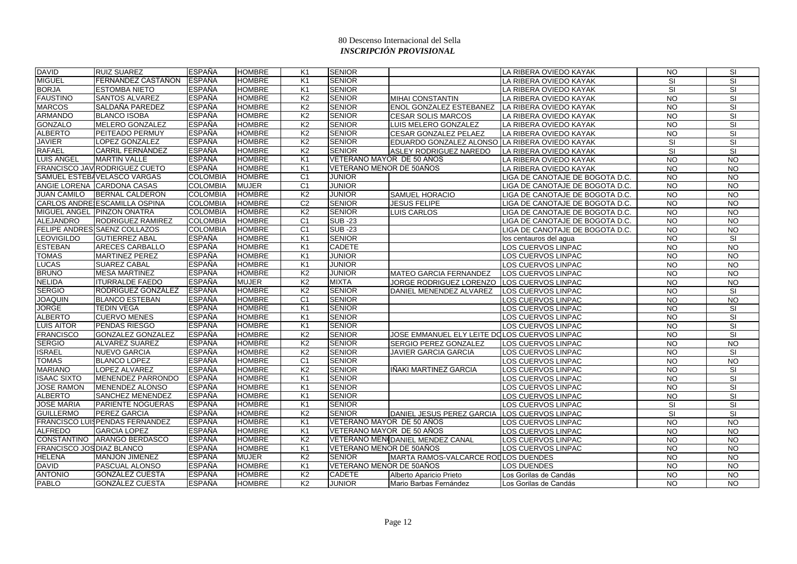| <b>DAVID</b>                     | <b>RUIZ SUAREZ</b>             | <b>ESPAÑA</b>   | <b>HOMBRE</b> | K1             | <b>SENIOR</b>             |                                                | LA RIBERA OVIEDO KAYAK          | <b>NO</b>       | <b>SI</b>                |
|----------------------------------|--------------------------------|-----------------|---------------|----------------|---------------------------|------------------------------------------------|---------------------------------|-----------------|--------------------------|
| <b>MIGUEL</b>                    | FERNANDEZ CASTAÑON             | <b>ESPAÑA</b>   | <b>HOMBRE</b> | K <sub>1</sub> | <b>SENIOR</b>             |                                                | LA RIBERA OVIEDO KAYAK          | SI              | SI                       |
| <b>BORJA</b>                     | <b>ESTOMBA NIETO</b>           | <b>ESPAÑA</b>   | <b>HOMBRE</b> | K <sub>1</sub> | <b>SENIOR</b>             |                                                | LA RIBERA OVIEDO KAYAK          | SI              | SI                       |
| <b>FAUSTINO</b>                  | <b>SANTOS ALVAREZ</b>          | <b>ESPAÑA</b>   | <b>HOMBRE</b> | K <sub>2</sub> | <b>SENIOR</b>             | <b>MIHAI CONSTANTIN</b>                        | LA RIBERA OVIEDO KAYAK          | <b>NO</b>       | SI                       |
| <b>MARCOS</b>                    | SALDAÑA PAREDEZ                | <b>ESPAÑA</b>   | <b>HOMBRE</b> | K <sub>2</sub> | <b>SENIOR</b>             | ENOL GONZALEZ ESTEBANEZ                        | LA RIBERA OVIEDO KAYAK          | <b>NO</b>       | SI                       |
| <b>ARMANDO</b>                   | <b>BLANCO ISOBA</b>            | <b>ESPAÑA</b>   | <b>HOMBRE</b> | K <sub>2</sub> | <b>SENIOR</b>             | <b>CESAR SOLIS MARCOS</b>                      | LA RIBERA OVIEDO KAYAK          | $\overline{N}$  | $\overline{\mathbf{s}}$  |
| <b>GONZALO</b>                   | <b>MELERO GONZALEZ</b>         | <b>ESPAÑA</b>   | <b>HOMBRE</b> | K <sub>2</sub> | <b>SENIOR</b>             | LUIS MELERO GONZALEZ                           | LA RIBERA OVIEDO KAYAK          | <b>NO</b>       | SI                       |
| <b>ALBERTO</b>                   | <b>PEITEADO PERMUY</b>         | <b>ESPAÑA</b>   | <b>HOMBRE</b> | K <sub>2</sub> | <b>SENIOR</b>             | <b>CESAR GONZALEZ PELAEZ</b>                   | LA RIBERA OVIEDO KAYAK          | <b>NO</b>       | SI                       |
| <b>JAVIER</b>                    | LOPEZ GONZALEZ                 | <b>ESPAÑA</b>   | <b>HOMBRE</b> | K <sub>2</sub> | <b>SENIOR</b>             | EDUARDO GONZALEZ ALONSO LA RIBERA OVIEDO KAYAK |                                 | SI              | SI                       |
| <b>RAFAEL</b>                    | <b>CARRIL FERNÁNDEZ</b>        | <b>ESPAÑA</b>   | <b>HOMBRE</b> | K <sub>2</sub> | <b>SENIOR</b>             | ASLEY RODRIGUEZ NAREDO                         | LA RIBERA OVIEDO KAYAK          | SI              | <b>SI</b>                |
| <b>LUIS ANGEL</b>                | <b>MARTIN VALLE</b>            | <b>ESPAÑA</b>   | <b>HOMBRE</b> | K <sub>1</sub> | VETERANO MAYOR DE 50 AÑOS |                                                | LA RIBERA OVIEDO KAYAK          | $\overline{NQ}$ | $\overline{NQ}$          |
|                                  | FRANCISCO JAV RODRIGUEZ CUETO  | <b>ESPAÑA</b>   | <b>HOMBRE</b> | K <sub>1</sub> | VETERANO MENOR DE 50AÑOS  |                                                | LA RIBERA OVIEDO KAYAK          | $\overline{NQ}$ | $\overline{NQ}$          |
|                                  | SAMUEL ESTEBAVELASCO VARGAS    | <b>COLOMBIA</b> | <b>HOMBRE</b> | C <sub>1</sub> | <b>JUNIOR</b>             |                                                | LIGA DE CANOTAJE DE BOGOTA D.C. | <b>NO</b>       | $\overline{10}$          |
|                                  | ANGIE LORENA CARDONA CASAS     | <b>COLOMBIA</b> | <b>MUJER</b>  | C1             | <b>JUNIOR</b>             |                                                | LIGA DE CANOTAJE DE BOGOTA D.C. | <b>NO</b>       | <b>NO</b>                |
| <b>JUAN CAMILO</b>               | <b>BERNAL CALDERON</b>         | <b>COLOMBIA</b> | <b>HOMBRE</b> | K <sub>2</sub> | <b>JUNIOR</b>             | <b>SAMUEL HORACIO</b>                          | LIGA DE CANOTAJE DE BOGOTA D.C. | <b>NO</b>       | $\overline{3}$           |
|                                  | CARLOS ANDRE ESCAMILLA OSPINA  | <b>COLOMBIA</b> | <b>HOMBRE</b> | C <sub>2</sub> | <b>SENIOR</b>             | <b>JESUS FELIPE</b>                            | LIGA DE CANOTAJE DE BOGOTA D.C. | <b>NO</b>       | $\overline{10}$          |
|                                  | MIGUEL ANGEL PINZON ONATRA     | <b>COLOMBIA</b> | <b>HOMBRE</b> | K <sub>2</sub> | <b>SENIOR</b>             | LUIS CARLOS                                    | LIGA DE CANOTAJE DE BOGOTA D.C. | <b>NO</b>       | $\overline{10}$          |
| <b>ALEJANDRO</b>                 | <b>RODRIGUEZ RAMIREZ</b>       | <b>COLOMBIA</b> | <b>HOMBRE</b> | C <sub>1</sub> | <b>SUB-23</b>             |                                                | LIGA DE CANOTAJE DE BOGOTA D.C. | <b>NO</b>       | <b>NO</b>                |
|                                  | FELIPE ANDRES SAENZ COLLAZOS   | <b>COLOMBIA</b> | <b>HOMBRE</b> | C <sub>1</sub> | <b>SUB-23</b>             |                                                | LIGA DE CANOTAJE DE BOGOTA D.C. | $\overline{N}$  | $\overline{N}$           |
| <b>EOVIGILDO</b>                 | <b>GUTIERREZ ABAL</b>          | <b>ESPAÑA</b>   | <b>HOMBRE</b> | K <sub>1</sub> | <b>SENIOR</b>             |                                                | los centauros del agua          | <b>NO</b>       | <b>SI</b>                |
| <b>ESTEBAN</b>                   | <b>ARECES CARBALLO</b>         | <b>ESPAÑA</b>   | <b>HOMBRE</b> | K <sub>1</sub> | <b>CADETE</b>             |                                                | LOS CUERVOS LINPAC              | $\overline{N}$  | N <sub>O</sub>           |
| <b>TOMAS</b>                     | <b>MARTINEZ PEREZ</b>          | <b>ESPAÑA</b>   | <b>HOMBRE</b> | K <sub>1</sub> | <b>JUNIOR</b>             |                                                | LOS CUERVOS LINPAC              | <b>NO</b>       | <b>NO</b>                |
| <b>LUCAS</b>                     | <b>SUAREZ CABAL</b>            | <b>ESPAÑA</b>   | <b>HOMBRE</b> | K1             | <b>JUNIOR</b>             |                                                | LOS CUERVOS LINPAC              | <b>NO</b>       | <b>NO</b>                |
| <b>BRUNO</b>                     | <b>MESA MARTINEZ</b>           | <b>ESPAÑA</b>   | <b>HOMBRE</b> | K <sub>2</sub> | <b>JUNIOR</b>             | <b>MATEO GARCIA FERNANDEZ</b>                  | LOS CUERVOS LINPAC              | $\overline{N}$  | $\overline{10}$          |
| <b>NELIDA</b>                    | <b>ITURRALDE FAEDO</b>         | <b>ESPAÑA</b>   | <b>MUJER</b>  | K <sub>2</sub> | <b>MIXTA</b>              | JORGE RODRIGUEZ LORENZO                        | LOS CUERVOS LINPAC              | <b>NO</b>       | <b>NO</b>                |
| <b>SERGIO</b>                    | RODRÍGUEZ GONZÁLEZ             | <b>ESPAÑA</b>   | <b>HOMBRE</b> | K <sub>2</sub> | <b>SENIOR</b>             | DANIEL MENENDEZ ALVAREZ                        | LOS CUERVOS LINPAC              | $\overline{N}$  | <b>SI</b>                |
| <b>JOAQUIN</b>                   | <b>BLANCO ESTEBAN</b>          | <b>ESPAÑA</b>   | <b>HOMBRE</b> | C <sub>1</sub> | <b>SENIOR</b>             |                                                | LOS CUERVOS LINPAC              | <b>NO</b>       | <b>NO</b>                |
| <b>JORGE</b>                     | <b>TEDIN VEGA</b>              | <b>ESPAÑA</b>   | <b>HOMBRE</b> | K1             | <b>SENIOR</b>             |                                                | LOS CUERVOS LINPAC              | <b>NO</b>       | <b>SI</b>                |
| <b>ALBERTO</b>                   | <b>CUERVO MENES</b>            | <b>ESPAÑA</b>   | <b>HOMBRE</b> | K <sub>1</sub> | <b>SENIOR</b>             |                                                | LOS CUERVOS LINPAC              | <b>NO</b>       | <b>SI</b>                |
| <b>LUIS AITOR</b>                | <b>PENDAS RIESGO</b>           | <b>ESPAÑA</b>   | <b>HOMBRE</b> | K1             | <b>SENIOR</b>             |                                                | LOS CUERVOS LINPAC              | $\overline{NQ}$ | $\overline{\mathsf{SI}}$ |
| <b>FRANCISCO</b>                 | <b>GONZALEZ GONZALEZ</b>       | <b>ESPAÑA</b>   | <b>HOMBRE</b> | K <sub>2</sub> | <b>SENIOR</b>             | JOSE EMMANUEL ELY LEITE DOLOS CUERVOS LINPAC   |                                 | <b>NO</b>       | SI                       |
| <b>SERGIO</b>                    | <b>ALVAREZ SUAREZ</b>          | <b>ESPAÑA</b>   | <b>HOMBRE</b> | K <sub>2</sub> | <b>SENIOR</b>             | SERGIO PEREZ GONZALEZ                          | LOS CUERVOS LINPAC              | <b>NO</b>       | <b>NO</b>                |
| <b>ISRAEL</b>                    | <b>NUEVO GARCIA</b>            | <b>ESPAÑA</b>   | <b>HOMBRE</b> | K <sub>2</sub> | <b>SENIOR</b>             | <b>JAVIER GARCIA GARCIA</b>                    | LOS CUERVOS LINPAC              | $\overline{N}$  | SI                       |
| <b>TOMAS</b>                     | <b>BLANCO LOPEZ</b>            | <b>ESPAÑA</b>   | <b>HOMBRE</b> | C <sub>1</sub> | <b>SENIOR</b>             |                                                | LOS CUERVOS LINPAC              | <b>NO</b>       | <b>NO</b>                |
| <b>MARIANO</b>                   | LOPEZ ALVAREZ                  | <b>ESPAÑA</b>   | <b>HOMBRE</b> | K <sub>2</sub> | <b>SENIOR</b>             | IÑAKI MARTINEZ GARCIA                          | LOS CUERVOS LINPAC              | $\overline{N}$  | SI                       |
| <b>ISAAC SIXTO</b>               | MENENDEZ PARRONDO              | <b>ESPAÑA</b>   | <b>HOMBRE</b> | K1             | <b>SENIOR</b>             |                                                | LOS CUERVOS LINPAC              | <b>NO</b>       | SI                       |
| <b>JOSE RAMON</b>                | MENENDEZ ALONSO                | <b>ESPAÑA</b>   | <b>HOMBRE</b> | K1             | <b>SENIOR</b>             |                                                | LOS CUERVOS LINPAC              | <b>NO</b>       | <b>SI</b>                |
| <b>ALBERTO</b>                   | <b>SANCHEZ MENENDEZ</b>        | <b>ESPAÑA</b>   | <b>HOMBRE</b> | K <sub>1</sub> | <b>SENIOR</b>             |                                                | LOS CUERVOS LINPAC              | <b>NO</b>       | SI                       |
| <b>JOSE MARIA</b>                | <b>PARIENTE NOGUERAS</b>       | <b>ESPAÑA</b>   | <b>HOMBRE</b> | K <sub>1</sub> | <b>SENIOR</b>             |                                                | LOS CUERVOS LINPAC              | <b>SI</b>       | SI                       |
| <b>GUILLERMO</b>                 | PEREZ GARCIA                   | <b>ESPAÑA</b>   | <b>HOMBRE</b> | K <sub>2</sub> | <b>SENIOR</b>             | DANIEL JESUS PEREZ GARCIA                      | LOS CUERVOS LINPAC              | SI              | SI                       |
|                                  | FRANCISCO LUISPENDAS FERNANDEZ | <b>ESPAÑA</b>   | <b>HOMBRE</b> | K <sub>1</sub> | VETERANO MAYOR DE 50 AÑOS |                                                | LOS CUERVOS LINPAC              | <b>NO</b>       | $\overline{10}$          |
| <b>ALFREDO</b>                   | <b>GARCIA LOPEZ</b>            | <b>ESPAÑA</b>   | <b>HOMBRE</b> | K <sub>1</sub> | VETERANO MAYOR DE 50 AÑOS |                                                | LOS CUERVOS LINPAC              | $\overline{N}$  | $\overline{10}$          |
|                                  | CONSTANTINO ARANGO BERDASCO    | <b>ESPAÑA</b>   | <b>HOMBRE</b> | K <sub>2</sub> |                           | VETERANO MEN(DANIEL MENDEZ CANAL               | LOS CUERVOS LINPAC              | <b>NO</b>       | <b>NO</b>                |
| <b>FRANCISCO JOS DIAZ BLANCO</b> |                                | <b>ESPAÑA</b>   | <b>HOMBRE</b> | K1             | VETERANO MENOR DE 50AÑOS  |                                                | LOS CUERVOS LINPAC              | <b>NO</b>       | <b>NO</b>                |
| <b>HELENA</b>                    | <b>MANJON JIMENEZ</b>          | <b>ESPAÑA</b>   | <b>MUJER</b>  | K <sub>2</sub> | <b>SENIOR</b>             | MARTA RAMOS-VALCARCE RODLOS DUENDES            |                                 | <b>NO</b>       | $\overline{10}$          |
| <b>DAVID</b>                     | PASCUAL ALONSO                 | <b>ESPAÑA</b>   | <b>HOMBRE</b> | K1             | VETERANO MENOR DE 50AÑOS  |                                                | LOS DUENDES                     | <b>NO</b>       | <b>NO</b>                |
| <b>ANTONIO</b>                   | GONZÁLEZ CUESTA                | <b>ESPAÑA</b>   | <b>HOMBRE</b> | K <sub>2</sub> | CADETE                    | Alberto Aparicio Prieto                        | Los Gorilas de Candás           | <b>NO</b>       | $\overline{3}$           |
| <b>PABLO</b>                     | <b>GONZÁLEZ CUESTA</b>         | <b>ESPAÑA</b>   | <b>HOMBRE</b> | K <sub>2</sub> | <b>JUNIOR</b>             | Mario Barbas Fernández                         | Los Gorilas de Candás           | <b>NO</b>       | <b>NO</b>                |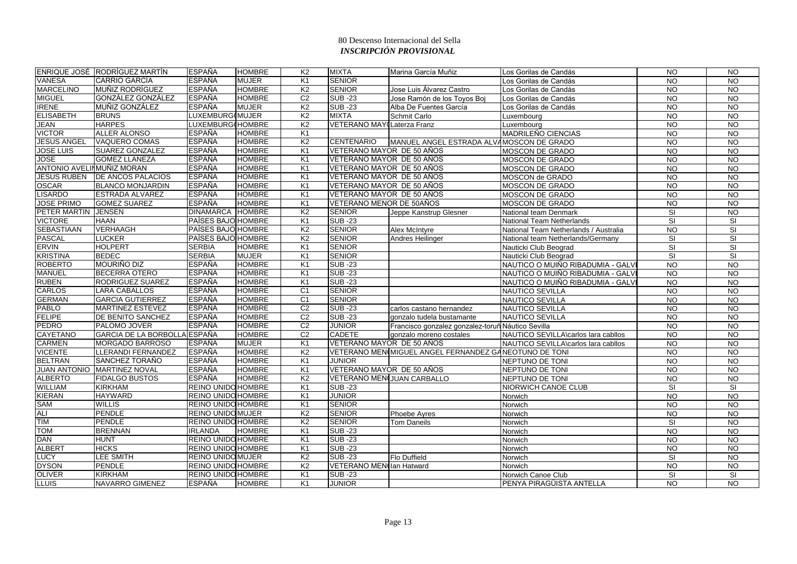|                            | ENRIQUE JOSÉ RODRÍGUEZ MARTÍN | <b>ESPAÑA</b>             | <b>HOMBRE</b> | K <sub>2</sub>  | <b>MIXTA</b>               | Marina García Muñiz                                   | Los Gorilas de Candás                 | <b>NO</b>               | $\overline{N}$           |
|----------------------------|-------------------------------|---------------------------|---------------|-----------------|----------------------------|-------------------------------------------------------|---------------------------------------|-------------------------|--------------------------|
| <b>VANESA</b>              | <b>CARRIO GARCÍA</b>          | <b>ESPAÑA</b>             | <b>MUJER</b>  | K <sub>1</sub>  | <b>SENIOR</b>              |                                                       | Los Gorilas de Candás                 | <b>NO</b>               | <b>NO</b>                |
| <b>MARCELINO</b>           | <b>MUÑIZ RODRÍGUEZ</b>        | <b>ESPAÑA</b>             | <b>HOMBRE</b> | K <sub>2</sub>  | <b>SENIOR</b>              | Jose Luis Álvarez Castro                              | Los Gorilas de Candás                 | <b>NO</b>               | $\overline{10}$          |
| <b>MIGUEL</b>              | GONZÁLEZ GONZÁLEZ             | <b>ESPAÑA</b>             | <b>HOMBRE</b> | C <sub>2</sub>  | <b>SUB -23</b>             | Jose Ramón de los Toyos Boj                           | Los Gorilas de Candás                 | $\overline{N}$          | $\overline{3}$           |
| <b>IRENE</b>               | MUÑIZ GONZÁLEZ                | <b>ESPAÑA</b>             | <b>MUJER</b>  | K <sub>2</sub>  | $SUB - 23$                 | Alba De Fuentes García                                | Los Gorilas de Candás                 | <b>NO</b>               | <b>NO</b>                |
| <b>ELISABETH</b>           | <b>BRUNS</b>                  | LUXEMBURG(MUJER           |               | K <sub>2</sub>  | <b>MIXTA</b>               | Schmit Carlo                                          | Luxembourg                            | <b>NO</b>               | $\overline{10}$          |
| <b>JEAN</b>                | <b>HARPES</b>                 | LUXEMBURG(HOMBRE          |               | K <sub>2</sub>  | VETERANO MAY Laterza Franz |                                                       | Luxemboura                            | <b>NO</b>               | $\overline{N}$           |
| <b>VICTOR</b>              | <b>ALLER ALONSO</b>           | <b>ESPAÑA</b>             | <b>HOMBRE</b> | K <sub>1</sub>  |                            |                                                       | MADRILEÑO CIENCIAS                    | <b>NO</b>               | $\overline{N}$           |
| <b>JESUS ANGEL</b>         | <b>VAQUERO COMAS</b>          | <b>ESPAÑA</b>             | <b>HOMBRE</b> | K <sub>2</sub>  | <b>CENTENARIO</b>          | MANUEL ANGEL ESTRADA ALVAMOSCON DE GRADO              |                                       | <b>NO</b>               | $\overline{N}$           |
| <b>JOSE LUIS</b>           | <b>SUAREZ GONZALEZ</b>        | <b>ESPAÑA</b>             | <b>HOMBRE</b> | K <sub>1</sub>  | VETERANO MAYOR DE 50 AÑOS  |                                                       | MOSCON DE GRADO                       | <b>NO</b>               | $\overline{NQ}$          |
| <b>JOSE</b>                | <b>GOMEZ LLANEZA</b>          | <b>ESPAÑA</b>             | <b>HOMBRE</b> | K <sub>1</sub>  | VETERANO MAYOR DE 50 AÑOS  |                                                       | MOSCON DE GRADO                       | <b>NO</b>               | <b>NO</b>                |
| ANTONIO AVELII MUÑIZ MORAN |                               | <b>ESPAÑA</b>             | <b>HOMBRE</b> | K1              | VETERANO MAYOR DE 50 AÑOS  |                                                       | <b>MOSCON DE GRADO</b>                | <b>NO</b>               | <b>NO</b>                |
|                            | JESUS RUBEN DE ANCOS PALACIOS | <b>ESPAÑA</b>             | <b>HOMBRE</b> | K <sub>1</sub>  | VETERANO MAYOR DE 50 AÑOS  |                                                       | MOSCON de GRADO                       | $\overline{N}$          | N <sub>O</sub>           |
| <b>OSCAR</b>               | <b>BLANCO MONJARDIN</b>       | <b>ESPAÑA</b>             | <b>HOMBRE</b> | K1              | VETERANO MAYOR DE 50 AÑOS  |                                                       | MOSCON DE GRADO                       | <b>NO</b>               | $\overline{10}$          |
| <b>LISARDO</b>             | <b>ESTRADA ALVAREZ</b>        | <b>ESPAÑA</b>             | <b>HOMBRE</b> | K1              | VETERANO MAYOR DE 50 AÑOS  |                                                       | <b>MOSCON DE GRADO</b>                | $\overline{NQ}$         | $\overline{10}$          |
| <b>JOSE PRIMO</b>          | <b>GOMEZ SUAREZ</b>           | <b>ESPAÑA</b>             | <b>HOMBRE</b> | K1              | VETERANO MENOR DE 50AÑOS   |                                                       | MOSCON DE GRADO                       | <b>NO</b>               | <b>NO</b>                |
| PETER MARTIN JENSEN        |                               | <b>DINAMARCA</b>          | <b>HOMBRE</b> | K <sub>2</sub>  | <b>SENIOR</b>              | Jeppe Kanstrup Glesner                                | National team Denmark                 | SI                      | <b>NO</b>                |
| <b>VICTORE</b>             | <b>HAAN</b>                   | PAÍSES BAJO HOMBRE        |               | K <sub>1</sub>  | <b>SUB-23</b>              |                                                       | National Team Netherlands             | SI                      | SI                       |
| <b>SEBASTIAAN</b>          | <b>VERHAAGH</b>               | PAÍSES BAJO HOMBRE        |               | K <sub>2</sub>  | <b>SENIOR</b>              | Alex McIntyre                                         | National Team Netherlands / Australia | N <sub>O</sub>          | $\overline{\mathsf{SI}}$ |
| <b>PASCAL</b>              | <b>LUCKER</b>                 | PAÍSES BAJO HOMBRE        |               | K <sub>2</sub>  | <b>SENIOR</b>              | Andres Heilinger                                      | National team Netherlands/Germany     | SI                      | SI                       |
| <b>ERVIN</b>               | <b>HOLPERT</b>                | <b>SERBIA</b>             | <b>HOMBRE</b> | K1              | <b>SENIOR</b>              |                                                       | Nauticki Club Beograd                 | <b>SI</b>               | SI                       |
| <b>KRISTINA</b>            | <b>BEDEC</b>                  | <b>SERBIA</b>             | <b>MUJER</b>  | K <sub>1</sub>  | <b>SENIOR</b>              |                                                       | Nauticki Club Beograd                 | $\overline{\mathsf{S}}$ | $\overline{\mathsf{SI}}$ |
| <b>ROBERTO</b>             | <b>MOURIÑO DIZ</b>            | <b>ESPAÑA</b>             | <b>HOMBRE</b> | K <sub>1</sub>  | <b>SUB-23</b>              |                                                       | NAUTICO O MUIÑO RIBADUMIA - GALV      | N <sub>O</sub>          | $\overline{10}$          |
| <b>MANUEL</b>              | <b>BECERRA OTERO</b>          | <b>ESPAÑA</b>             | <b>HOMBRE</b> | K1              | <b>SUB-23</b>              |                                                       | NAUTICO O MUIÑO RIBADUMIA - GALVI     | <b>NO</b>               | $\overline{3}$           |
| <b>RUBEN</b>               | <b>RODRIGUEZ SUAREZ</b>       | <b>ESPAÑA</b>             | <b>HOMBRE</b> | K <sub>1</sub>  | <b>SUB-23</b>              |                                                       | NAUTICO O MUIÑO RIBADUMIA - GALV      | <b>NO</b>               | <b>NO</b>                |
| <b>CARLOS</b>              | <b>LARA CABALLOS</b>          | <b>ESPAÑA</b>             | <b>HOMBRE</b> | C <sub>1</sub>  | <b>SENIOR</b>              |                                                       | NAUTICO SEVILLA                       | <b>NO</b>               | $\overline{N}$           |
| <b>GERMAN</b>              | <b>GARCIA GUTIERREZ</b>       | <b>ESPAÑA</b>             | <b>HOMBRE</b> | $\overline{C1}$ | <b>SENIOR</b>              |                                                       | NAUTICO SEVILLA                       | $\overline{NQ}$         | $\overline{10}$          |
| <b>PABLO</b>               | MARTINEZ ESTEVEZ              | <b>ESPAÑA</b>             | <b>HOMBRE</b> | $\overline{C2}$ | <b>SUB-23</b>              | carlos castano hernandez                              | NAUTICO SEVILLA                       | <b>NO</b>               | $\overline{N}$           |
| <b>FELIPE</b>              | DE BENITO SANCHEZ             | <b>ESPAÑA</b>             | <b>HOMBRE</b> | C <sub>2</sub>  | <b>SUB-23</b>              | gonzalo tudela bustamante                             | NAUTICO SEVILLA                       | <b>NO</b>               | $\overline{3}$           |
| <b>PEDRO</b>               | PALOMO JOVER                  | <b>ESPAÑA</b>             | <b>HOMBRE</b> | C <sub>2</sub>  | <b>JUNIOR</b>              | Francisco gonzalez gonzalez-toruñ Náutico Sevilla     |                                       | <b>NO</b>               | $\overline{10}$          |
| <b>CAYETANO</b>            | GARCIA DE LA BORBOLLA ESPAÑA  |                           | <b>HOMBRE</b> | C <sub>2</sub>  | <b>CADETE</b>              | gonzalo moreno costales                               | NAUTICO SEVILLA\carlos lara cabllos   | <b>NO</b>               | <b>NO</b>                |
| <b>CARMEN</b>              | MORGADO BARROSO               | <b>ESPAÑA</b>             | <b>MUJER</b>  | K <sub>1</sub>  | VETERANO MAYOR DE 50 AÑOS  |                                                       | NAUTICO SEVILLA\carlos lara cabllos   | N <sub>O</sub>          | $\overline{10}$          |
| <b>VICENTE</b>             | LLERANDI FERNANDEZ            | <b>ESPAÑA</b>             | <b>HOMBRE</b> | K <sub>2</sub>  |                            | VETERANO MEN MIGUEL ANGEL FERNANDEZ GANEOTUNO DE TONI |                                       | $\overline{N}$          | $\overline{10}$          |
| <b>BELTRAN</b>             | SANCHEZ TORAÑO                | <b>ESPAÑA</b>             | <b>HOMBRE</b> | K <sub>1</sub>  | <b>JUNIOR</b>              |                                                       | NEPTUNO DE TONI                       | <b>NO</b>               | $\overline{3}$           |
|                            | JUAN ANTONIO MARTINEZ NOVAL   | <b>ESPAÑA</b>             | <b>HOMBRE</b> | K1              | VETERANO MAYOR DE 50 AÑOS  |                                                       | NEPTUNO DE TONI                       | <b>NO</b>               | $\overline{3}$           |
| <b>ALBERTO</b>             | <b>FIDALGO BUSTOS</b>         | <b>ESPAÑA</b>             | <b>HOMBRE</b> | K <sub>2</sub>  |                            | <b>VETERANO MEN¢JUAN CARBALLO</b>                     | NEPTUNO DE TONI                       | <b>NO</b>               | <b>NO</b>                |
| <b>WILLIAM</b>             | <b>KIRKHAM</b>                | <b>REINO UNIDO HOMBRE</b> |               | K <sub>1</sub>  | <b>SUB-23</b>              |                                                       | <b>NIORWICH CANOE CLUB</b>            | <b>SI</b>               | <b>SI</b>                |
| <b>KIERAN</b>              | <b>HAYWARD</b>                | <b>REINO UNIDO HOMBRE</b> |               | K <sub>1</sub>  | <b>JUNIOR</b>              |                                                       | Norwich                               | $\overline{NQ}$         | $\overline{NQ}$          |
| <b>SAM</b>                 | <b>WILLIS</b>                 | <b>REINO UNIDO HOMBRE</b> |               | K1              | <b>SENIOR</b>              |                                                       | Norwich                               | $\overline{NQ}$         | N <sub>O</sub>           |
| ALI                        | <b>PENDLE</b>                 | <b>REINO UNIDO MUJER</b>  |               | K <sub>2</sub>  | <b>SENIOR</b>              | Phoebe Ayres                                          | Norwich                               | <b>NO</b>               | $\overline{10}$          |
| <b>TIM</b>                 | <b>PENDLE</b>                 | <b>REINO UNIDO HOMBRE</b> |               | K <sub>2</sub>  | <b>SENIOR</b>              | Tom Daneils                                           | Norwich                               | SI                      | N <sub>O</sub>           |
| <b>TOM</b>                 | <b>BRENNAN</b>                | <b>IRLANDA</b>            | <b>HOMBRE</b> | K1              | <b>SUB-23</b>              |                                                       | Norwich                               | N <sub>O</sub>          | $\overline{10}$          |
| <b>DAN</b>                 | <b>HUNT</b>                   | <b>REINO UNIDO HOMBRE</b> |               | K1              | <b>SUB-23</b>              |                                                       | Norwich                               | <b>NO</b>               | <b>NO</b>                |
| <b>ALBERT</b>              | <b>HICKS</b>                  | <b>REINO UNIDO HOMBRE</b> |               | K <sub>1</sub>  | <b>SUB-23</b>              |                                                       | Norwich                               | $\overline{N}$          | <b>NO</b>                |
| <b>LUCY</b>                | <b>LEE SMITH</b>              | <b>REINO UNIDO MUJER</b>  |               | K <sub>2</sub>  | <b>SUB-23</b>              | <b>Flo Duffield</b>                                   | Norwich                               | <b>SI</b>               | $\overline{10}$          |
| <b>DYSON</b>               | <b>PENDLE</b>                 | <b>REINO UNIDO HOMBRE</b> |               | K <sub>2</sub>  | VETERANO MEN(lan Hatward   |                                                       | Norwich                               | <b>NO</b>               | <b>NO</b>                |
| <b>OLIVER</b>              | <b>KIRKHAM</b>                | <b>REINO UNIDO HOMBRE</b> |               | K <sub>1</sub>  | $SUB -23$                  |                                                       | Norwich Canoe Club                    | SI                      | SI                       |
| <b>LLUIS</b>               | NAVARRO GIMENEZ               | <b>ESPAÑA</b>             | <b>HOMBRE</b> | K <sub>1</sub>  | <b>JUNIOR</b>              |                                                       | PENYA PIRAGÜISTA ANTELLA              | <b>NO</b>               | <b>NO</b>                |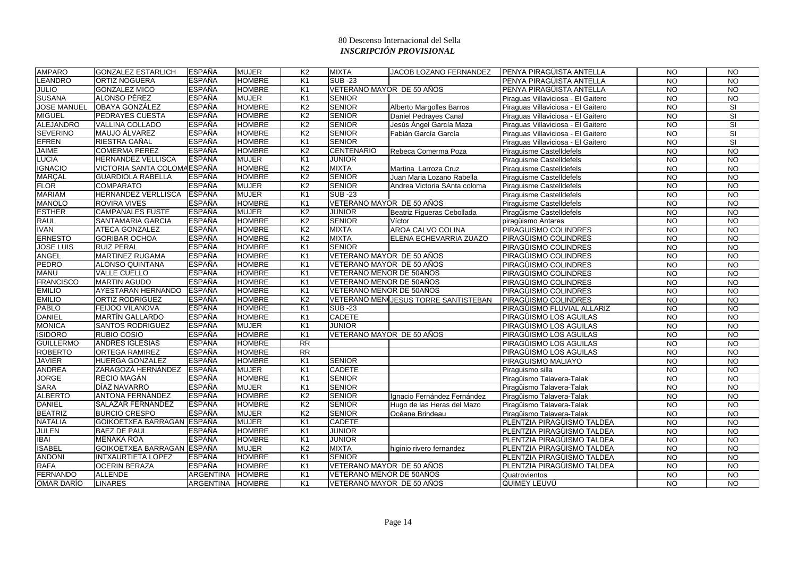| <b>AMPARO</b>      | <b>GONZALEZ ESTARLICH</b>    | <b>ESPAÑA</b>    | <b>MUJER</b>  | K <sub>2</sub>  | <b>MIXTA</b>              | <b>JACOB LOZANO FERNANDEZ</b>        | <b>PENYA PIRAGÜISTA ANTELLA</b>    | <b>NO</b>       | $\overline{NQ}$ |
|--------------------|------------------------------|------------------|---------------|-----------------|---------------------------|--------------------------------------|------------------------------------|-----------------|-----------------|
| <b>LEANDRO</b>     | <b>ORTIZ NOGUERA</b>         | <b>ESPAÑA</b>    | <b>HOMBRE</b> | K <sub>1</sub>  | $SUB - 23$                |                                      | PENYA PIRAGÜISTA ANTELLA           | <b>NO</b>       | <b>NO</b>       |
| <b>JULIO</b>       | <b>GONZALEZ MICO</b>         | <b>ESPAÑA</b>    | <b>HOMBRE</b> | K1              | VETERANO MAYOR DE 50 AÑOS |                                      | PENYA PIRAGÜISTA ANTELLA           | <b>NO</b>       | <b>NO</b>       |
| <b>SUSANA</b>      | ALONSO PÉREZ                 | <b>ESPAÑA</b>    | <b>MUJER</b>  | K1              | <b>SENIOR</b>             |                                      | Piraguas Villaviciosa - El Gaitero | <b>NO</b>       | $\overline{10}$ |
| <b>JOSE MANUEL</b> | <b>OBAYA GONZÁLEZ</b>        | <b>ESPAÑA</b>    | <b>HOMBRE</b> | K <sub>2</sub>  | <b>SENIOR</b>             | Alberto Margolles Barros             | Piraguas Villaviciosa - El Gaitero | <b>NO</b>       | <b>SI</b>       |
| <b>MIGUEL</b>      | <b>PEDRAYES CUESTA</b>       | <b>ESPAÑA</b>    | <b>HOMBRE</b> | K <sub>2</sub>  | <b>SENIOR</b>             | Daniel Pedrayes Canal                | Piraguas Villaviciosa - El Gaitero | $\overline{N}$  | SI              |
| <b>ALEJANDRO</b>   | <b>VALLINA COLLADO</b>       | <b>ESPAÑA</b>    | <b>HOMBRE</b> | K <sub>2</sub>  | <b>SENIOR</b>             | Jesús Ángel García Maza              | Piraguas Villaviciosa - El Gaitero | <b>NO</b>       | SI              |
| <b>SEVERINO</b>    | MAUJO ÁLVAREZ                | <b>ESPAÑA</b>    | <b>HOMBRE</b> | K <sub>2</sub>  | <b>SENIOR</b>             | Fabián García García                 | Piraguas Villaviciosa - El Gaitero | <b>NO</b>       | SI              |
| <b>EFREN</b>       | RIESTRA CAÑAL                | <b>ESPAÑA</b>    | <b>HOMBRE</b> | K <sub>1</sub>  | <b>SENIOR</b>             |                                      | Piraguas Villaviciosa - El Gaitero | <b>NO</b>       | SI              |
| <b>JAIME</b>       | <b>COMERMA PEREZ</b>         | <b>ESPAÑA</b>    | <b>HOMBRE</b> | K <sub>2</sub>  | <b>CENTENARIO</b>         | Rebeca Comerma Poza                  | Piraguisme Castelldefels           | <b>NO</b>       | $\overline{NQ}$ |
| <b>LUCIA</b>       | <b>HERNANDEZ VELLISCA</b>    | <b>ESPAÑA</b>    | <b>MUJER</b>  | K <sub>1</sub>  | <b>JUNIOR</b>             |                                      | Piraguisme Castelldefels           | <b>NO</b>       | $\overline{10}$ |
| <b>IGNACIO</b>     | VICTORIA SANTA COLOMA ESPAÑA |                  | <b>HOMBRE</b> | K <sub>2</sub>  | <b>MIXTA</b>              | Martina Larroza Cruz                 | Piraguisme Castelldefels           | N <sub>O</sub>  | $\overline{10}$ |
| <b>MARÇAL</b>      | <b>GUARDIOLA RABELLA</b>     | <b>ESPAÑA</b>    | <b>HOMBRE</b> | K <sub>2</sub>  | <b>SENIOR</b>             | Juan Maria Lozano Rabella            | Piraguisme Castelldefels           | <b>NO</b>       | $\overline{10}$ |
| <b>FLOR</b>        | <b>COMPARATO</b>             | ESPAÑA           | <b>MUJER</b>  | K <sub>2</sub>  | <b>SENIOR</b>             | Andrea Victoria SAnta coloma         | Piraguisme Castelldefels           | <b>NO</b>       | <b>NO</b>       |
| <b>MARIAM</b>      | <b>HERNANDEZ VERLLISCA</b>   | <b>ESPAÑA</b>    | <b>MUJER</b>  | K <sub>1</sub>  | <b>SUB-23</b>             |                                      | Piraguisme Castelldefels           | <b>NO</b>       | $\overline{NQ}$ |
| <b>MANOLO</b>      | <b>ROVIRA VIVES</b>          | <b>ESPAÑA</b>    | <b>HOMBRE</b> | K <sub>1</sub>  | VETERANO MAYOR DE 50 AÑOS |                                      | Piraguisme Castelldefels           | <b>NO</b>       | $\overline{3}$  |
| <b>ESTHER</b>      | <b>CAMPANALES FUSTE</b>      | <b>ESPAÑA</b>    | <b>MUJER</b>  | K <sub>2</sub>  | <b>JUNIOR</b>             | Beatriz Figueras Cebollada           | Piragüisme Castelldefels           | $\overline{NQ}$ | $\overline{N}$  |
| <b>RAUL</b>        | SANTAMARIA GARCIA            | <b>ESPAÑA</b>    | <b>HOMBRE</b> | K <sub>2</sub>  | <b>SENIOR</b>             | Víctor                               | piraqüismo Antares                 | <b>NO</b>       | $\overline{NQ}$ |
| <b>IVAN</b>        | <b>ATECA GONZALEZ</b>        | <b>ESPAÑA</b>    | <b>HOMBRE</b> | K <sub>2</sub>  | <b>MIXTA</b>              | AROA CALVO COLINA                    | PIRAGUISMO COLINDRES               | <b>NO</b>       | $\overline{10}$ |
| <b>ERNESTO</b>     | <b>GORIBAR OCHOA</b>         | <b>ESPAÑA</b>    | <b>HOMBRE</b> | K <sub>2</sub>  | <b>MIXTA</b>              | ELENA ECHEVARRIA ZUAZO               | PIRAGÜISMO COLINDRES               | <b>NO</b>       | <b>NO</b>       |
| <b>JOSE LUIS</b>   | <b>RUIZ PERAL</b>            | <b>ESPAÑA</b>    | <b>HOMBRE</b> | K <sub>1</sub>  | <b>SENIOR</b>             |                                      | PIRAGÜISMO COLINDRES               | $\overline{N}$  | $\overline{10}$ |
| <b>ANGEL</b>       | <b>MARTINEZ RUGAMA</b>       | <b>ESPAÑA</b>    | <b>HOMBRE</b> | K1              | VETERANO MAYOR DE 50 AÑOS |                                      | PIRAGÜISMO COLINDRES               | $\overline{N}$  | $\overline{10}$ |
| <b>PEDRO</b>       | <b>ALONSO QUINTANA</b>       | <b>ESPAÑA</b>    | <b>HOMBRE</b> | K1              | VETERANO MAYOR DE 50 AÑOS |                                      | PIRAGÜISMO COLINDRES               | <b>NO</b>       | <b>NO</b>       |
| <b>MANU</b>        | <b>VALLE CUELLO</b>          | <b>ESPAÑA</b>    | <b>HOMBRE</b> | K <sub>1</sub>  | VETERANO MENOR DE 50AÑOS  |                                      | PIRAGÜISMO COLINDRES               | <b>NO</b>       | $\overline{10}$ |
| <b>FRANCISCO</b>   | <b>MARTIN AGUDO</b>          | <b>ESPAÑA</b>    | <b>HOMBRE</b> | K <sub>1</sub>  | VETERANO MENOR DE 50AÑOS  |                                      | PIRAGÜISMO COLINDRES               | <b>NO</b>       | <b>NO</b>       |
| <b>EMILIO</b>      | AYESTARAN HERNANDO           | <b>ESPAÑA</b>    | <b>HOMBRE</b> | K <sub>1</sub>  | VETERANO MENOR DE 50AÑOS  |                                      | PIRAGÜISMO COLINDRES               | $\overline{N}$  | N <sub>O</sub>  |
| <b>EMILIO</b>      | <b>ORTIZ RODRIGUEZ</b>       | <b>ESPAÑA</b>    | <b>HOMBRE</b> | K <sub>2</sub>  |                           | VETERANO MENIJESUS TORRE SANTISTEBAN | PIRAGÜISMO COLINDRES               | <b>NO</b>       | $\overline{N}$  |
| <b>PABLO</b>       | <b>FEIJOO VILANOVA</b>       | <b>ESPAÑA</b>    | <b>HOMBRE</b> | K <sub>1</sub>  | <b>SUB-23</b>             |                                      | PIRAGÜISMO FLUVIAL ALLARIZ         | <b>NO</b>       | <b>NO</b>       |
| <b>DANIEL</b>      | <b>MARTÍN GALLARDO</b>       | <b>ESPAÑA</b>    | <b>HOMBRE</b> | K <sub>1</sub>  | <b>CADETE</b>             |                                      | PIRAGÜISMO LOS AGUILAS             | <b>NO</b>       | <b>NO</b>       |
| <b>MONICA</b>      | <b>SANTOS RODRIGUEZ</b>      | <b>ESPAÑA</b>    | <b>MUJER</b>  | K <sub>1</sub>  | <b>JUNIOR</b>             |                                      | PIRAGÜISMO LOS AGUILAS             | $\overline{N}$  | $\overline{NQ}$ |
| <b>ISIDORO</b>     | <b>RUBIO COSIO</b>           | <b>ESPAÑA</b>    | <b>HOMBRE</b> | K <sub>1</sub>  | VETERANO MAYOR DE 50 AÑOS |                                      | PIRAGÜISMO LOS AGUILAS             | <b>NO</b>       | <b>NO</b>       |
| <b>GUILLERMO</b>   | <b>ANDRÉS IGLESIAS</b>       | <b>ESPAÑA</b>    | <b>HOMBRE</b> | $\overline{RR}$ |                           |                                      | PIRAGÜISMO LOS AGUILAS             | <b>NO</b>       | $\overline{10}$ |
| <b>ROBERTO</b>     | <b>ORTEGA RAMIREZ</b>        | <b>ESPAÑA</b>    | <b>HOMBRE</b> | $\overline{RR}$ |                           |                                      | PIRAGÜISMO LOS AGUILAS             | <b>NO</b>       | $\overline{10}$ |
| <b>JAVIER</b>      | <b>HUERGA GONZALEZ</b>       | <b>ESPAÑA</b>    | <b>HOMBRE</b> | K <sub>1</sub>  | <b>SENIOR</b>             |                                      | PIRAGUISMO MALIAYO                 | <b>NO</b>       | <b>NO</b>       |
| <b>ANDREA</b>      | ZARAGOZÁ HERNÁNDEZ           | <b>ESPAÑA</b>    | <b>MUJER</b>  | K <sub>1</sub>  | <b>CADETE</b>             |                                      | Piraguismo silla                   | $\overline{N}$  | N <sub>O</sub>  |
| <b>JORGE</b>       | <b>RECIO MAGÁN</b>           | <b>ESPAÑA</b>    | <b>HOMBRE</b> | K <sub>1</sub>  | <b>SENIOR</b>             |                                      | Piraqüismo Talavera-Talak          | <b>NO</b>       | $\overline{N}$  |
| <b>SARA</b>        | DÍAZ NAVARRO                 | <b>ESPAÑA</b>    | <b>MUJER</b>  | K1              | <b>SENIOR</b>             |                                      | Piragüismo Talavera-Talak          | <b>NO</b>       | $\overline{N}$  |
| <b>ALBERTO</b>     | ANTONA FERNÁNDEZ             | <b>ESPAÑA</b>    | <b>HOMBRE</b> | K <sub>2</sub>  | <b>SENIOR</b>             | Ignacio Fernández Fernández          | Piragüismo Talavera-Talak          | <b>NO</b>       | $\overline{10}$ |
| <b>DANIEL</b>      | SALAZAR FERNÁNDEZ            | <b>ESPAÑA</b>    | <b>HOMBRE</b> | K <sub>2</sub>  | <b>SENIOR</b>             | Hugo de las Heras del Mazo           | Piraqüismo Talavera-Talak          | <b>NO</b>       | <b>NO</b>       |
| <b>BEATRIZ</b>     | <b>BURCIO CRESPO</b>         | <b>ESPAÑA</b>    | <b>MUJER</b>  | K <sub>2</sub>  | <b>SENIOR</b>             | Ocêane Brindeau                      | Piragüismo Talavera-Talak          | $\overline{NO}$ | $\overline{NQ}$ |
| <b>NATALIA</b>     | GOIKOETXEA BARRAGAN ESPAÑA   |                  | <b>MUJER</b>  | K1              | <b>CADETE</b>             |                                      | PLENTZIA PIRAGÜISMO TALDEA         | <b>NO</b>       | $\overline{10}$ |
| <b>JULEN</b>       | <b>BAEZ DE PAUL</b>          | <b>ESPAÑA</b>    | <b>HOMBRE</b> | K <sub>1</sub>  | <b>JUNIOR</b>             |                                      | PLENTZIA PIRAGÜISMO TALDEA         | <b>NO</b>       | $\overline{10}$ |
| <b>IBAI</b>        | MEÑAKA ROA                   | <b>ESPAÑA</b>    | <b>HOMBRE</b> | K <sub>1</sub>  | <b>JUNIOR</b>             |                                      | PLENTZIA PIRAGÜISMO TALDEA         | <b>NO</b>       | <b>NO</b>       |
| <b>ISABEL</b>      | GOIKOETXEA BARRAGAN ESPAÑA   |                  | <b>MUJER</b>  | K <sub>2</sub>  | <b>MIXTA</b>              | higinio rivero fernandez             | PLENTZIA PIRAGÜISMO TALDEA         | <b>NO</b>       | $\overline{N}$  |
| <b>ANDONI</b>      | <b>INTXAURTIETA LOPEZ</b>    | <b>ESPAÑA</b>    | <b>HOMBRE</b> | K <sub>1</sub>  | <b>SENIOR</b>             |                                      | PLENTZIA PIRAGÜISMO TALDEA         | <b>NO</b>       | $\overline{N}$  |
| <b>RAFA</b>        | <b>OCERIN BERAZA</b>         | <b>ESPAÑA</b>    | <b>HOMBRE</b> | K1              | VETERANO MAYOR DE 50 AÑOS |                                      | PLENTZIA PIRAGÜISMO TALDEA         | <b>NO</b>       | $\overline{N}$  |
| <b>FERNANDO</b>    | <b>ALLENDE</b>               | <b>ARGENTINA</b> | <b>HOMBRE</b> | K <sub>1</sub>  | VETERANO MENOR DE 50AÑOS  |                                      | Quatrovientos                      | <b>NO</b>       | $\overline{NQ}$ |
| <b>OMAR DARÍO</b>  | <b>LINARES</b>               | <b>ARGENTINA</b> | <b>HOMBRE</b> | K <sub>1</sub>  | VETERANO MAYOR DE 50 AÑOS |                                      | QUIMEY LEUVÚ                       | <b>NO</b>       | <b>NO</b>       |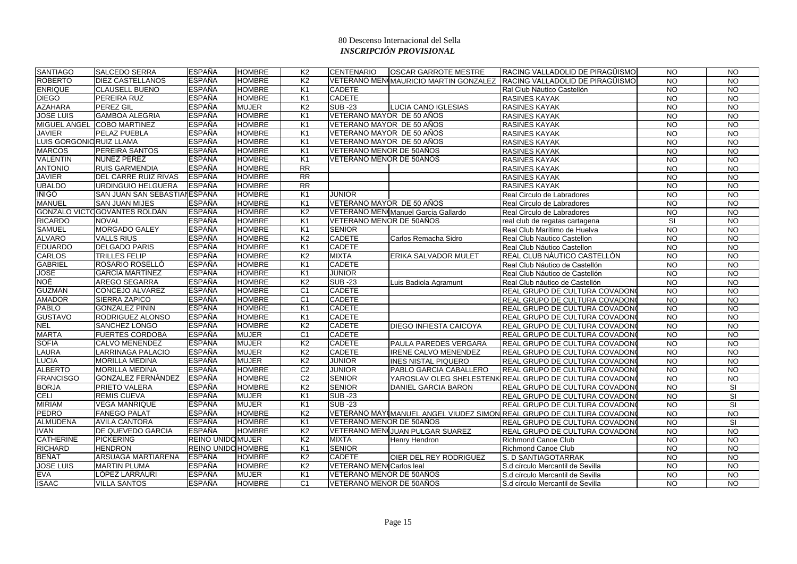| <b>SANTIAGO</b>          | <b>SALCEDO SERRA</b>          | <b>ESPAÑA</b>             | <b>HOMBRE</b> | K <sub>2</sub>  | <b>CENTENARIO</b>               | <b>OSCAR GARROTE MESTRE</b>           | RACING VALLADOLID DE PIRAGÜISMO                                       | <b>NO</b>       | <b>NO</b>       |
|--------------------------|-------------------------------|---------------------------|---------------|-----------------|---------------------------------|---------------------------------------|-----------------------------------------------------------------------|-----------------|-----------------|
| <b>ROBERTO</b>           | <b>DIEZ CASTELLANOS</b>       | <b>ESPAÑA</b>             | <b>HOMBRE</b> | K <sub>2</sub>  |                                 | VETERANO MENIMAURICIO MARTIN GONZALEZ | RACING VALLADOLID DE PIRAGÜISMO                                       | <b>NO</b>       | <b>NO</b>       |
| <b>ENRIQUE</b>           | <b>CLAUSELL BUENO</b>         | <b>ESPAÑA</b>             | <b>HOMBRE</b> | K <sub>1</sub>  | <b>CADETE</b>                   |                                       | Ral Club Náutico Castellón                                            | <b>NO</b>       | <b>NO</b>       |
| <b>DIEGO</b>             | PEREIRA RUZ                   | <b>ESPAÑA</b>             | <b>HOMBRE</b> | K <sub>1</sub>  | <b>CADETE</b>                   |                                       | <b>RASINES KAYAK</b>                                                  | $\overline{3}$  | N <sub>O</sub>  |
| <b>AZAHARA</b>           | <b>PEREZ GIL</b>              | <b>ESPAÑA</b>             | <b>MUJER</b>  | K <sub>2</sub>  | <b>SUB-23</b>                   | LUCIA CANO IGLESIAS                   | <b>RASINES KAYAK</b>                                                  | <b>NO</b>       | <b>NO</b>       |
| <b>JOSE LUIS</b>         | <b>GAMBOA ALEGRIA</b>         | <b>ESPAÑA</b>             | <b>HOMBRE</b> | K <sub>1</sub>  | VETERANO MAYOR DE 50 AÑOS       |                                       | <b>RASINES KAYAK</b>                                                  | <b>NO</b>       | N <sub>O</sub>  |
|                          | MIGUEL ANGEL COBO MARTINEZ    | <b>ESPAÑA</b>             | <b>HOMBRE</b> | K <sub>1</sub>  | VETERANO MAYOR DE 50 AÑOS       |                                       | <b>RASINES KAYAK</b>                                                  | <b>NO</b>       | $\overline{N}$  |
| <b>JAVIER</b>            | PELAZ PUEBLA                  | <b>ESPAÑA</b>             | <b>HOMBRE</b> | K <sub>1</sub>  | VETERANO MAYOR DE 50 AÑOS       |                                       | <b>RASINES KAYAK</b>                                                  | <b>NO</b>       | <b>NO</b>       |
| LUIS GORGONIC RUIZ LLAMA |                               | <b>ESPAÑA</b>             | <b>HOMBRE</b> | K <sub>1</sub>  | VETERANO MAYOR DE 50 AÑOS       |                                       | <b>RASINES KAYAK</b>                                                  | <b>NO</b>       | N <sub>O</sub>  |
| <b>MARCOS</b>            | <b>PEREIRA SANTOS</b>         | <b>ESPAÑA</b>             | <b>HOMBRE</b> | K <sub>1</sub>  | VETERANO MENOR DE 50AÑOS        |                                       | <b>RASINES KAYAK</b>                                                  | <b>NO</b>       | $\overline{N}$  |
| <b>VALENTIN</b>          | NUÑEZ PEREZ                   | <b>ESPAÑA</b>             | <b>HOMBRE</b> | K <sub>1</sub>  | VETERANO MENOR DE 50AÑOS        |                                       | <b>RASINES KAYAK</b>                                                  | <b>NO</b>       | $\overline{NQ}$ |
| <b>ANTONIO</b>           | <b>RUIS GARMENDIA</b>         | <b>ESPAÑA</b>             | <b>HOMBRE</b> | $\overline{RR}$ |                                 |                                       | <b>RASINES KAYAK</b>                                                  | <b>NO</b>       | N <sub>O</sub>  |
| <b>JAVIER</b>            | <b>DEL CARRE RUIZ RIVAS</b>   | <b>ESPAÑA</b>             | <b>HOMBRE</b> | RR              |                                 |                                       | <b>RASINES KAYAK</b>                                                  | N <sub>O</sub>  | N <sub>O</sub>  |
| <b>UBALDO</b>            | URDINGUIO HELGUERA            | <b>ESPAÑA</b>             | <b>HOMBRE</b> | $\overline{RR}$ |                                 |                                       | <b>RASINES KAYAK</b>                                                  | <b>NO</b>       | <b>NO</b>       |
| <b>IÑIGO</b>             | SAN JUAN SAN SEBASTIAI ESPAÑA |                           | <b>HOMBRE</b> | K <sub>1</sub>  | JUNIOR                          |                                       | Real Circulo de Labradores                                            | <b>NO</b>       | <b>NO</b>       |
| <b>MANUEL</b>            | <b>SAN JUAN MIJES</b>         | <b>ESPAÑA</b>             | <b>HOMBRE</b> | K <sub>1</sub>  | VETERANO MAYOR DE 50 AÑOS       |                                       | Real Circulo de Labradores                                            | <b>NO</b>       | $\overline{N}$  |
|                          | GONZALO VICTO GOVANTES ROLDÁN | <b>ESPAÑA</b>             | <b>HOMBRE</b> | K <sub>2</sub>  |                                 | VETERANO MENI Manuel Garcia Gallardo  | Real Circulo de Labradores                                            | <b>NO</b>       | <b>NO</b>       |
| <b>RICARDO</b>           | <b>NOVAL</b>                  | <b>ESPAÑA</b>             | <b>HOMBRE</b> | K <sub>1</sub>  | VETERANO MENOR DE 50AÑOS        |                                       | real club de regatas cartagena                                        | SI              | N <sub>O</sub>  |
| <b>SAMUEL</b>            | MORGADO GALEY                 | <b>ESPAÑA</b>             | <b>HOMBRE</b> | K <sub>1</sub>  | <b>SENIOR</b>                   |                                       | Real Club Marítimo de Huelva                                          | <b>NO</b>       | N <sub>O</sub>  |
| <b>ALVARO</b>            | <b>VALLS RIUS</b>             | <b>ESPAÑA</b>             | <b>HOMBRE</b> | K <sub>2</sub>  | <b>CADETE</b>                   | Carlos Remacha Sidro                  | Real Club Nautico Castellon                                           | <b>NO</b>       | <b>NO</b>       |
| <b>EDUARDO</b>           | <b>DELGADO PARIS</b>          | <b>ESPAÑA</b>             | <b>HOMBRE</b> | K <sub>1</sub>  | <b>CADETE</b>                   |                                       | Real Club Náutico Castellon                                           | N <sub>O</sub>  | N <sub>O</sub>  |
| <b>CARLOS</b>            | <b>TRILLES FELIP</b>          | <b>ESPAÑA</b>             | <b>HOMBRE</b> | K <sub>2</sub>  | <b>MIXTA</b>                    | ERIKA SALVADOR MULET                  | REAL CLUB NÁUTICO CASTELLÓN                                           | $\overline{NQ}$ | N <sub>O</sub>  |
| <b>GABRIEL</b>           | ROSARIO ROSELLÓ               | <b>ESPAÑA</b>             | <b>HOMBRE</b> | K <sub>1</sub>  | <b>CADETE</b>                   |                                       | Real Club Náutico de Castellón                                        | <b>NO</b>       | <b>NO</b>       |
| <b>JOSÉ</b>              | <b>GARCÍA MARTÍNEZ</b>        | <b>ESPAÑA</b>             | <b>HOMBRE</b> | K <sub>1</sub>  | <b>JUNIOR</b>                   |                                       | Real Club Náutico de Castellón                                        | <b>NO</b>       | N <sub>O</sub>  |
| <b>NOÉ</b>               | <b>AREGO SEGARRA</b>          | <b>ESPAÑA</b>             | <b>HOMBRE</b> | K <sub>2</sub>  | <b>SUB-23</b>                   | Luis Badiola Agramunt                 | Real Club náutico de Castellón                                        | <b>NO</b>       | <b>NO</b>       |
| <b>GUZMAN</b>            | CONCEJO ALVAREZ               | <b>ESPAÑA</b>             | <b>HOMBRE</b> | C <sub>1</sub>  | <b>CADETE</b>                   |                                       | REAL GRUPO DE CULTURA COVADON                                         | <b>NO</b>       | <b>NO</b>       |
| <b>AMADOR</b>            | <b>SIERRA ZAPICO</b>          | <b>ESPAÑA</b>             | <b>HOMBRE</b> | C <sub>1</sub>  | <b>CADETE</b>                   |                                       | REAL GRUPO DE CULTURA COVADON                                         | $\overline{N}$  | N <sub>O</sub>  |
| <b>PABLO</b>             | <b>GONZALEZ PININ</b>         | <b>ESPAÑA</b>             | <b>HOMBRE</b> | K <sub>1</sub>  | <b>CADETE</b>                   |                                       | REAL GRUPO DE CULTURA COVADON                                         | <b>NO</b>       | <b>NO</b>       |
| <b>GUSTAVO</b>           | RODRIGUEZ ALONSO              | <b>ESPAÑA</b>             | <b>HOMBRE</b> | K <sub>1</sub>  | <b>CADETE</b>                   |                                       | REAL GRUPO DE CULTURA COVADON                                         | <b>NO</b>       | <b>NO</b>       |
| <b>NEL</b>               | <b>SANCHEZ LONGO</b>          | <b>ESPAÑA</b>             | <b>HOMBRE</b> | K <sub>2</sub>  | <b>CADETE</b>                   | <b>DIEGO INFIESTA CAICOYA</b>         | REAL GRUPO DE CULTURA COVADON                                         | $\overline{10}$ | $\overline{NO}$ |
| <b>MARTA</b>             | <b>FUERTES CORDOBA</b>        | <b>ESPAÑA</b>             | <b>MUJER</b>  | C <sub>1</sub>  | <b>CADETE</b>                   |                                       | REAL GRUPO DE CULTURA COVADON                                         | <b>NO</b>       | <b>NO</b>       |
| <b>SOFIA</b>             | CALVO MENENDEZ                | <b>ESPAÑA</b>             | <b>MUJER</b>  | K2              | <b>CADETE</b>                   | <b>PAULA PAREDES VERGARA</b>          | REAL GRUPO DE CULTURA COVADON                                         | <b>NO</b>       | <b>NO</b>       |
| <b>LAURA</b>             | <b>LARRINAGA PALACIO</b>      | <b>ESPAÑA</b>             | <b>MUJER</b>  | K <sub>2</sub>  | <b>CADETE</b>                   | <b>IRENE CALVO MENENDEZ</b>           | REAL GRUPO DE CULTURA COVADON                                         | <b>NO</b>       | <b>NO</b>       |
| <b>LUCIA</b>             | <b>MORILLA MEDINA</b>         | <b>ESPAÑA</b>             | <b>MUJER</b>  | K <sub>2</sub>  | <b>JUNIOR</b>                   | <b>INES NISTAL PIQUERO</b>            | REAL GRUPO DE CULTURA COVADON                                         | <b>NO</b>       | <b>NO</b>       |
| <b>ALBERTO</b>           | <b>MORILLA MEDINA</b>         | <b>ESPAÑA</b>             | <b>HOMBRE</b> | C <sub>2</sub>  | <b>JUNIOR</b>                   | PABLO GARCIA CABALLERO                | REAL GRUPO DE CULTURA COVADON                                         | N <sub>O</sub>  | N <sub>O</sub>  |
| <b>FRANCISGO</b>         | <b>GONZALEZ FERNÁNDEZ</b>     | <b>ESPAÑA</b>             | <b>HOMBRE</b> | C <sub>2</sub>  | <b>SENIOR</b>                   |                                       | YAROSLAV OLEG SHELESTENK REAL GRUPO DE CULTURA COVADON                | $\overline{N}$  | N <sub>O</sub>  |
| <b>BORJA</b>             | <b>PRIETO VALERA</b>          | <b>ESPAÑA</b>             | <b>HOMBRE</b> | K <sub>2</sub>  | <b>SENIOR</b>                   | DANIEL GARCIA BARON                   | REAL GRUPO DE CULTURA COVADON                                         | $\overline{N}$  | SI              |
| <b>CELI</b>              | <b>REMIS CUEVA</b>            | <b>ESPAÑA</b>             | <b>MUJER</b>  | K <sub>1</sub>  | <b>SUB-23</b>                   |                                       | REAL GRUPO DE CULTURA COVADON                                         | <b>NO</b>       | SI              |
| <b>MIRIAM</b>            | <b>VEGA MANRIQUE</b>          | <b>ESPAÑA</b>             | <b>MUJER</b>  | K <sub>1</sub>  | <b>SUB-23</b>                   |                                       | REAL GRUPO DE CULTURA COVADON                                         | <b>NO</b>       | <b>SI</b>       |
| <b>PEDRO</b>             | <b>FANEGO PALAT</b>           | <b>ESPAÑA</b>             | <b>HOMBRE</b> | K <sub>2</sub>  |                                 |                                       | VETERANO MAY MANUEL ANGEL VIUDEZ SIMON REAL GRUPO DE CULTURA COVADONO | <b>NO</b>       | N <sub>O</sub>  |
| <b>ALMUDENA</b>          | <b>AVILA CANTORA</b>          | <b>ESPAÑA</b>             | <b>HOMBRE</b> | K <sub>1</sub>  | VETERANO MENOR DE 50AÑOS        |                                       | REAL GRUPO DE CULTURA COVADON                                         | $\overline{3}$  | SI              |
| <b>IVAN</b>              | <b>DE QUEVEDO GARCIA</b>      | <b>ESPAÑA</b>             | <b>HOMBRE</b> | K <sub>2</sub>  |                                 | VETERANO MENIJUAN PULGAR SUAREZ       | REAL GRUPO DE CULTURA COVADON                                         | <b>NO</b>       | N <sub>O</sub>  |
| <b>CATHERINE</b>         | <b>PICKERING</b>              | <b>REINO UNIDOMUJER</b>   |               | K <sub>2</sub>  | <b>MIXTA</b>                    | <b>Henry Hendron</b>                  | <b>Richmond Canoe Club</b>                                            | <b>NO</b>       | <b>NO</b>       |
| <b>RICHARD</b>           | <b>HENDRON</b>                | <b>REINO UNIDO HOMBRE</b> |               | K <sub>1</sub>  | <b>SENIOR</b>                   |                                       | <b>Richmond Canoe Club</b>                                            | <b>NO</b>       | <b>NO</b>       |
| <b>BEÑAT</b>             | ARSUAGA MARTIARENA            | <b>ESPAÑA</b>             | <b>HOMBRE</b> | K2              | <b>CADETE</b>                   | <b>OIER DEL REY RODRIGUEZ</b>         | S. D SANTIAGOTARRAK                                                   | $\overline{N}$  | N <sub>O</sub>  |
| <b>JOSE LUIS</b>         | <b>MARTIN PLUMA</b>           | <b>ESPAÑA</b>             | <b>HOMBRE</b> | K <sub>2</sub>  | <b>VETERANO MEN(Carlos leal</b> |                                       | S.d círculo Mercantil de Sevilla                                      | $\overline{N}$  | $\overline{N}$  |
| <b>EVA</b>               | LÓPEZ LARRAURI                | ESPAÑA                    | <b>MUJER</b>  | K <sub>1</sub>  | VETERANO MENOR DE 50AÑOS        |                                       | S.d círculo Mercantil de Sevilla                                      | <b>NO</b>       | <b>NO</b>       |
| <b>ISAAC</b>             | <b>VILLA SANTOS</b>           | ESPAÑA                    | <b>HOMBRE</b> | C <sub>1</sub>  | VETERANO MENOR DE 50AÑOS        |                                       | S.d círculo Mercantil de Sevilla                                      | <b>NO</b>       | <b>NO</b>       |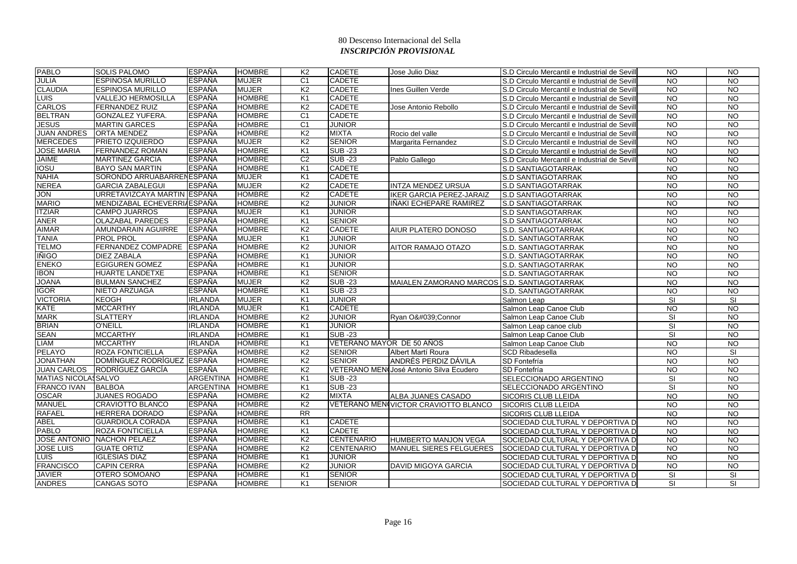| <b>PABLO</b>               | <b>SOLIS PALOMO</b>         | <b>ESPAÑA</b>    | <b>HOMBRE</b> | K <sub>2</sub>  | <b>CADETE</b>             | Jose Julio Diaz                             | S.D Circulo Mercantil e Industrial de Sevill | <b>NO</b>               | $\overline{N}$  |
|----------------------------|-----------------------------|------------------|---------------|-----------------|---------------------------|---------------------------------------------|----------------------------------------------|-------------------------|-----------------|
| <b>JULIA</b>               | <b>ESPINOSA MURILLO</b>     | <b>ESPAÑA</b>    | <b>MUJER</b>  | C <sub>1</sub>  | <b>CADETE</b>             |                                             | S.D Circulo Mercantil e Industrial de Sevill | <b>NO</b>               | <b>NO</b>       |
| <b>CLAUDIA</b>             | <b>ESPINOSA MURILLO</b>     | <b>ESPAÑA</b>    | <b>MUJER</b>  | K <sub>2</sub>  | <b>CADETE</b>             | Ines Guillen Verde                          | S.D Circulo Mercantil e Industrial de Sevill | <b>NO</b>               | <b>NO</b>       |
| <b>LUIS</b>                | <b>VALLEJO HERMOSILLA</b>   | <b>ESPAÑA</b>    | <b>HOMBRE</b> | K <sub>1</sub>  | <b>CADETE</b>             |                                             | S.D Circulo Mercantil e Industrial de Sevill | <b>NO</b>               | $\overline{3}$  |
| <b>CARLOS</b>              | <b>FERNANDEZ RUIZ</b>       | <b>ESPAÑA</b>    | <b>HOMBRE</b> | K <sub>2</sub>  | <b>CADETE</b>             | Jose Antonio Rebollo                        | S.D Circulo Mercantil e Industrial de Sevill | <b>NO</b>               | <b>NO</b>       |
| <b>BELTRAN</b>             | <b>GONZALEZ YUFERA.</b>     | ESPAÑA           | <b>HOMBRE</b> | C <sub>1</sub>  | <b>CADETE</b>             |                                             | S.D Circulo Mercantil e Industrial de Sevill | NO.                     | <b>NO</b>       |
| <b>JESUS</b>               | <b>MARTIN GARCES</b>        | <b>ESPAÑA</b>    | <b>HOMBRE</b> | C <sub>1</sub>  | <b>JUNIOR</b>             |                                             | S.D Circulo Mercantil e Industrial de Sevill | <b>NO</b>               | $\overline{10}$ |
| <b>JUAN ANDRES</b>         | <b>ORTA MENDEZ</b>          | <b>ESPAÑA</b>    | <b>HOMBRE</b> | K <sub>2</sub>  | <b>MIXTA</b>              | Rocio del valle                             | S.D Circulo Mercantil e Industrial de Sevill | <b>NO</b>               | <b>NO</b>       |
| <b>MERCEDES</b>            | PRIETO IZQUIERDO            | <b>ESPAÑA</b>    | <b>MUJER</b>  | K <sub>2</sub>  | <b>SENIOR</b>             | Margarita Fernandez                         | S.D Circulo Mercantil e Industrial de Sevill | <b>NO</b>               | $\overline{3}$  |
| <b>JOSE MARIA</b>          | <b>FERNANDEZ ROMAN</b>      | <b>ESPAÑA</b>    | <b>HOMBRE</b> | K <sub>1</sub>  | <b>SUB-23</b>             |                                             | S.D Circulo Mercantil e Industrial de Sevill | <b>NO</b>               | $\overline{3}$  |
| <b>JAIME</b>               | <b>MARTINEZ GARCIA</b>      | <b>ESPAÑA</b>    | <b>HOMBRE</b> | C <sub>2</sub>  | <b>SUB-23</b>             | Pablo Gallego                               | S.D Circulo Mercantil e Industrial de Sevill | NO.                     | <b>NO</b>       |
| <b>IOSU</b>                | <b>BAYO SAN MARTIN</b>      | <b>ESPAÑA</b>    | <b>HOMBRE</b> | K <sub>1</sub>  | <b>CADETE</b>             |                                             | <b>S.D SANTIAGOTARRAK</b>                    | <b>NO</b>               | $\overline{10}$ |
| <b>NAHIA</b>               | SORONDO ARRUABARRENESPAÑA   |                  | <b>MUJER</b>  | K <sub>1</sub>  | <b>CADETE</b>             |                                             | <b>S.D SANTIAGOTARRAK</b>                    | $\overline{N}$          | $\overline{10}$ |
| <b>NEREA</b>               | <b>GARCIA ZABALEGUI</b>     | <b>ESPAÑA</b>    | <b>MUJER</b>  | K <sub>2</sub>  | <b>CADETE</b>             | <b>INTZA MENDEZ URSUA</b>                   | S.D SANTIAGOTARRAK                           | <b>NO</b>               | <b>NO</b>       |
| <b>NOL</b>                 | URRETAVIZCAYA MARTIN ESPAÑA |                  | <b>HOMBRE</b> | K <sub>2</sub>  | <b>CADETE</b>             | IKER GARCIA PEREZ-JARAIZ                    | <b>S.D SANTIAGOTARRAK</b>                    | <b>NO</b>               | <b>NO</b>       |
| <b>MARIO</b>               | MENDIZABAL ECHEVERRI/ESPAÑA |                  | <b>HOMBRE</b> | K <sub>2</sub>  | <b>JUNIOR</b>             | IÑAKI ECHEPARE RAMIREZ                      | <b>S.D SANTIAGOTARRAK</b>                    | <b>NO</b>               | <b>NO</b>       |
| <b>ITZIAR</b>              | <b>CAMPO JUARROS</b>        | ESPAÑA           | <b>MUJER</b>  | K <sub>1</sub>  | <b>JUNIOR</b>             |                                             | <b>S.D SANTIAGOTARRAK</b>                    | <b>NO</b>               | $\overline{3}$  |
| <b>ANER</b>                | <b>OLAZABAL PAREDES</b>     | <b>ESPAÑA</b>    | <b>HOMBRE</b> | K <sub>1</sub>  | <b>SENIOR</b>             |                                             | <b>S.D SANTIAGOTARRAK</b>                    | $\overline{N}$          | $\overline{3}$  |
| <b>AIMAR</b>               | <b>AMUNDARAIN AGUIRRE</b>   | <b>ESPAÑA</b>    | <b>HOMBRE</b> | K <sub>2</sub>  | <b>CADETE</b>             | AIUR PLATERO DONOSO                         | S.D. SANTIAGOTARRAK                          | <b>NO</b>               | $\overline{N}$  |
| <b>TANIA</b>               | <b>PROL PROL</b>            | <b>ESPAÑA</b>    | <b>MUJER</b>  | K <sub>1</sub>  | <b>JUNIOR</b>             |                                             | S.D. SANTIAGOTARRAK                          | <b>NO</b>               | <b>NO</b>       |
| <b>TELMO</b>               | FERNANDEZ COMPADRE          | <b>ESPAÑA</b>    | <b>HOMBRE</b> | K <sub>2</sub>  | <b>JUNIOR</b>             | AITOR RAMAJO OTAZO                          | S.D. SANTIAGOTARRAK                          | <b>NO</b>               | <b>NO</b>       |
| <b>IÑIGO</b>               | <b>DIEZ ZABALA</b>          | <b>ESPAÑA</b>    | <b>HOMBRE</b> | K <sub>1</sub>  | <b>JUNIOR</b>             |                                             | <b>S.D. SANTIAGOTARRAK</b>                   | <b>NO</b>               | <b>NO</b>       |
| <b>ENEKO</b>               | <b>EGIGUREN GOMEZ</b>       | <b>ESPAÑA</b>    | <b>HOMBRE</b> | K <sub>1</sub>  | <b>JUNIOR</b>             |                                             | S.D. SANTIAGOTARRAK                          | N <sub>O</sub>          | $\overline{10}$ |
| <b>IBON</b>                | <b>HUARTE LANDETXE</b>      | <b>ESPAÑA</b>    | <b>HOMBRE</b> | K <sub>1</sub>  | <b>SENIOR</b>             |                                             | S.D. SANTIAGOTARRAK                          | <b>NO</b>               | $\overline{3}$  |
| <b>JOANA</b>               | <b>BULMAN SANCHEZ</b>       | <b>ESPAÑA</b>    | <b>MUJER</b>  | K <sub>2</sub>  | <b>SUB-23</b>             | MAIALEN ZAMORANO MARCOS S.D. SANTIAGOTARRAK |                                              | <b>NO</b>               | <b>NO</b>       |
| <b>IGOR</b>                | NIETO ARZUAGA               | <b>ESPAÑA</b>    | <b>HOMBRE</b> | K <sub>1</sub>  | <b>SUB-23</b>             |                                             | S.D. SANTIAGOTARRAK                          | <b>NO</b>               | N <sub>O</sub>  |
| <b>VICTORIA</b>            | <b>KEOGH</b>                | <b>IRLANDA</b>   | <b>MUJER</b>  | K <sub>1</sub>  | <b>JUNIOR</b>             |                                             | Salmon Leap                                  | <b>SI</b>               | <b>SI</b>       |
| <b>KATE</b>                | <b>MCCARTHY</b>             | <b>IRLANDA</b>   | <b>MUJER</b>  | K1              | <b>CADETE</b>             |                                             | Salmon Leap Canoe Club                       | <b>NO</b>               | <b>NO</b>       |
| <b>MARK</b>                | <b>SLATTERY</b>             | <b>IRLANDA</b>   | <b>HOMBRE</b> | K <sub>2</sub>  | <b>JUNIOR</b>             | Ryan O'Connor                               | Salmon Leap Canoe Club                       | SI                      | <b>NO</b>       |
| <b>BRIAN</b>               | <b>O'NEILL</b>              | <b>IRLANDA</b>   | <b>HOMBRE</b> | K <sub>1</sub>  | <b>JUNIOR</b>             |                                             | Salmon Leap canoe club                       | $\overline{\mathsf{S}}$ | $\overline{N}$  |
| <b>SEAN</b>                | <b>MCCARTHY</b>             | <b>IRLANDA</b>   | <b>HOMBRE</b> | K <sub>1</sub>  | <b>SUB-23</b>             |                                             | Salmon Leap Canoe Club                       | SI                      | <b>NO</b>       |
| <b>LIAM</b>                | <b>MCCARTHY</b>             | <b>IRLANDA</b>   | <b>HOMBRE</b> | K <sub>1</sub>  | VETERANO MAYOR DE 50 AÑOS |                                             | Salmon Leap Canoe Club                       | <b>NO</b>               | <b>NO</b>       |
| <b>PELAYO</b>              | <b>ROZA FONTICIELLA</b>     | <b>ESPAÑA</b>    | <b>HOMBRE</b> | K <sub>2</sub>  | <b>SENIOR</b>             | Albert Martí Roura                          | <b>SCD Ribadesella</b>                       | <b>NO</b>               | SI              |
| <b>JONATHAN</b>            | DOMÍNGUEZ RODRÍGUEZ ESPAÑA  |                  | <b>HOMBRE</b> | K <sub>2</sub>  | <b>SENIOR</b>             | ANDRÉS PERDIZ DÁVILA                        | SD Fontefría                                 | <b>NO</b>               | $\overline{3}$  |
| <b>JUAN CARLOS</b>         | RODRÍGUEZ GARCÍA            | ESPAÑA           | <b>HOMBRE</b> | K <sub>2</sub>  |                           | VETERANO MENO José Antonio Silva Ecudero    | SD Fontefría                                 | <b>NO</b>               | $\overline{3}$  |
| <b>MATIAS NICOLASSALVO</b> |                             | <b>ARGENTINA</b> | <b>HOMBRE</b> | K <sub>1</sub>  | <b>SUB-23</b>             |                                             | SELECCIONADO ARGENTINO                       | SI                      | <b>NO</b>       |
| <b>FRANCO IVAN</b>         | <b>BALBOA</b>               | ARGENTINA        | <b>HOMBRE</b> | K <sub>1</sub>  | <b>SUB-23</b>             |                                             | SELECCIONADO ARGENTINO                       | <b>SI</b>               | <b>NO</b>       |
| <b>OSCAR</b>               | <b>JUANES ROGADO</b>        | <b>ESPAÑA</b>    | <b>HOMBRE</b> | K <sub>2</sub>  | <b>MIXTA</b>              | ALBA JUANES CASADO                          | <b>SICORIS CLUB LLEIDA</b>                   | <b>NO</b>               | <b>NO</b>       |
| <b>MANUEL</b>              | <b>CRAVIOTTO BLANCO</b>     | <b>ESPAÑA</b>    | <b>HOMBRE</b> | K <sub>2</sub>  |                           | VETERANO MENIVICTOR CRAVIOTTO BLANCO        | <b>SICORIS CLUB LLEIDA</b>                   | $\overline{N}$          | $\overline{N}$  |
| <b>RAFAEL</b>              | <b>HERRERA DORADO</b>       | <b>ESPAÑA</b>    | <b>HOMBRE</b> | $\overline{RR}$ |                           |                                             | <b>SICORIS CLUB LLEIDA</b>                   | <b>NO</b>               | <b>NO</b>       |
| <b>ABEL</b>                | <b>GUARDIOLA CORADA</b>     | <b>ESPAÑA</b>    | <b>HOMBRE</b> | K <sub>1</sub>  | <b>CADETE</b>             |                                             | SOCIEDAD CULTURAL Y DEPORTIVA D              | <b>NO</b>               | N <sub>O</sub>  |
| <b>PABLO</b>               | <b>ROZA FONTICIELLA</b>     | <b>ESPAÑA</b>    | <b>HOMBRE</b> | K <sub>1</sub>  | <b>CADETE</b>             |                                             | SOCIEDAD CULTURAL Y DEPORTIVA D              | <b>NO</b>               | $\overline{3}$  |
|                            | JOSE ANTONIO NACHON PELAEZ  | <b>ESPAÑA</b>    | <b>HOMBRE</b> | K <sub>2</sub>  | <b>CENTENARIO</b>         | <b>HUMBERTO MANJON VEGA</b>                 | SOCIEDAD CULTURAL Y DEPORTIVA D              | <b>NO</b>               | <b>NO</b>       |
| <b>JOSE LUIS</b>           | <b>GUATE ORTIZ</b>          | ESPAÑA           | <b>HOMBRE</b> | K <sub>2</sub>  | <b>CENTENARIO</b>         | <b>MANUEL SIERES FELGUERES</b>              | SOCIEDAD CULTURAL Y DEPORTIVA D              | $\overline{N}$          | $\overline{3}$  |
| <b>LUIS</b>                | <b>IGLESIAS DIAZ</b>        | <b>ESPAÑA</b>    | <b>HOMBRE</b> | K <sub>1</sub>  | <b>JUNIOR</b>             |                                             | SOCIEDAD CULTURAL Y DEPORTIVA D              | <b>NO</b>               | <b>NO</b>       |
| <b>FRANCISCO</b>           | <b>CAPIN CERRA</b>          | <b>ESPAÑA</b>    | <b>HOMBRE</b> | K <sub>2</sub>  | <b>JUNIOR</b>             | <b>DAVID MIGOYA GARCIA</b>                  | SOCIEDAD CULTURAL Y DEPORTIVA D              | <b>NO</b>               | <b>NO</b>       |
| <b>JAVIER</b>              | OTERO SOMOANO               | <b>ESPAÑA</b>    | HOMBRE        | K <sub>1</sub>  | <b>SENIOR</b>             |                                             | SOCIEDAD CULTURAL Y DEPORTIVA D              | SI                      | <b>SI</b>       |
| <b>ANDRES</b>              | <b>CANGAS SOTO</b>          | <b>ESPAÑA</b>    | <b>HOMBRE</b> | K <sub>1</sub>  | <b>SENIOR</b>             |                                             | SOCIEDAD CULTURAL Y DEPORTIVA D              | SI                      | <b>SI</b>       |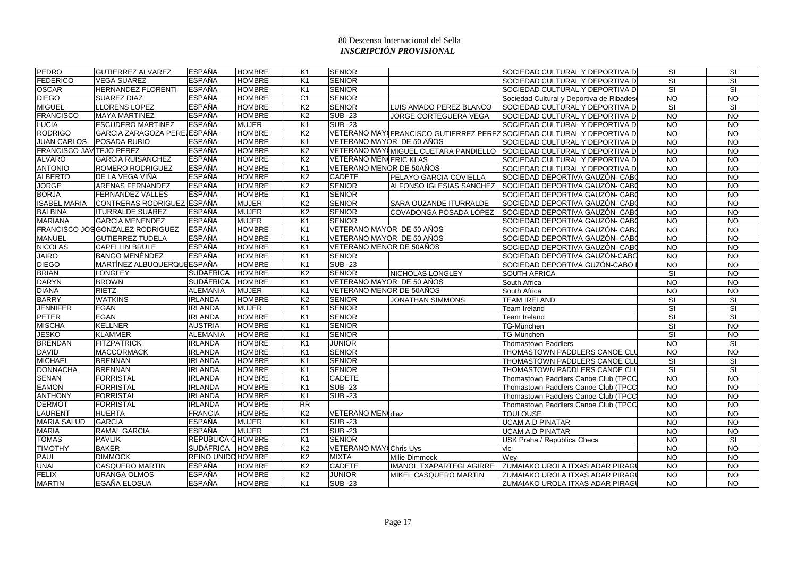| <b>PEDRO</b>                    | <b>GUTIERREZ ALVAREZ</b>         | <b>ESPAÑA</b>             | <b>HOMBRE</b> | K1             | <b>SENIOR</b>                 |                                 | SOCIEDAD CULTURAL Y DEPORTIVA D                                       | SI              | <b>SI</b>       |
|---------------------------------|----------------------------------|---------------------------|---------------|----------------|-------------------------------|---------------------------------|-----------------------------------------------------------------------|-----------------|-----------------|
| <b>FEDERICO</b>                 | <b>VEGA SUAREZ</b>               | <b>ESPAÑA</b>             | <b>HOMBRE</b> | K <sub>1</sub> | <b>SENIOR</b>                 |                                 | SOCIEDAD CULTURAL Y DEPORTIVA D                                       | <b>SI</b>       | <b>SI</b>       |
| <b>OSCAR</b>                    | <b>HERNANDEZ FLORENTI</b>        | <b>ESPAÑA</b>             | <b>HOMBRE</b> | K <sub>1</sub> | <b>SENIOR</b>                 |                                 | SOCIEDAD CULTURAL Y DEPORTIVA D                                       | SI              | <b>SI</b>       |
| <b>DIEGO</b>                    | <b>SUAREZ DIAZ</b>               | <b>ESPAÑA</b>             | <b>HOMBRE</b> | C <sub>1</sub> | <b>SENIOR</b>                 |                                 | Sociedad Cultural y Deportiva de Ribades                              | <b>NO</b>       | <b>NO</b>       |
| <b>MIGUEL</b>                   | <b>LLORENS LOPEZ</b>             | <b>ESPAÑA</b>             | <b>HOMBRE</b> | K <sub>2</sub> | <b>SENIOR</b>                 | LUIS AMADO PEREZ BLANCO         | SOCIEDAD CULTURAL Y DEPORTIVA D                                       | SI              | <b>SI</b>       |
| <b>FRANCISCO</b>                | <b>MAYA MARTINEZ</b>             | <b>ESPAÑA</b>             | <b>HOMBRE</b> | K <sub>2</sub> | <b>SUB-23</b>                 | JORGE CORTEGUERA VEGA           | SOCIEDAD CULTURAL Y DEPORTIVA D                                       | <b>NO</b>       | <b>NO</b>       |
| <b>LUCIA</b>                    | <b>ESCUDERO MARTINEZ</b>         | <b>ESPAÑA</b>             | <b>MUJER</b>  | K <sub>1</sub> | <b>SUB -23</b>                |                                 | SOCIEDAD CULTURAL Y DEPORTIVA D                                       | <b>NO</b>       | <b>NO</b>       |
| <b>RODRIGO</b>                  | GARCIA ZARAGOZA PERE ESPAÑA      |                           | <b>HOMBRE</b> | K <sub>2</sub> |                               |                                 | VETERANO MAY(FRANCISCO GUTIERREZ PEREZSOCIEDAD CULTURAL Y DEPORTIVA D | <b>NO</b>       | <b>NO</b>       |
| <b>JUAN CARLOS</b>              | <b>POSADA RUBIO</b>              | <b>ESPAÑA</b>             | <b>HOMBRE</b> | K <sub>1</sub> | VETERANO MAYOR DE 50 AÑOS     |                                 | SOCIEDAD CULTURAL Y DEPORTIVA D                                       | <b>NO</b>       | $\overline{NQ}$ |
| <b>FRANCISCO JAV TEJO PEREZ</b> |                                  | <b>ESPAÑA</b>             | <b>HOMBRE</b> | K <sub>2</sub> |                               |                                 | VETERANO MAY(MIGUEL CUETARA PANDIELLO SOCIEDAD CULTURAL Y DEPORTIVA D | <b>NO</b>       | $\overline{N}$  |
| <b>ALVARO</b>                   | <b>GARCIA RUISANCHEZ</b>         | <b>ESPAÑA</b>             | <b>HOMBRE</b> | K <sub>2</sub> | <b>VETERANO MEN¢ERIC KLAS</b> |                                 | SOCIEDAD CULTURAL Y DEPORTIVA D                                       | <b>NO</b>       | <b>NO</b>       |
| <b>ANTONIO</b>                  | <b>ROMERO RODRIGUEZ</b>          | <b>ESPAÑA</b>             | <b>HOMBRE</b> | K <sub>1</sub> | VETERANO MENOR DE 50AÑOS      |                                 | SOCIEDAD CULTURAL Y DEPORTIVA D                                       | $\overline{N}$  | $\overline{N}$  |
| <b>ALBERTO</b>                  | DE LA VEGA VIÑA                  | <b>ESPAÑA</b>             | <b>HOMBRE</b> | K <sub>2</sub> | <b>CADETE</b>                 | <b>PELAYO GARCIA COVIELLA</b>   | SOCIEDAD DEPORTIVA GAUZÓN- CAB                                        | <b>NO</b>       | <b>NO</b>       |
| <b>JORGE</b>                    | <b>ARENAS FERNANDEZ</b>          | <b>ESPAÑA</b>             | <b>HOMBRE</b> | K <sub>2</sub> | <b>SENIOR</b>                 |                                 | ALFONSO IGLESIAS SANCHEZ SOCIEDAD DEPORTIVA GAUZÓN- CAB               | <b>NO</b>       | $\overline{NQ}$ |
| <b>BORJA</b>                    | <b>FERNANDEZ VALLES</b>          | <b>ESPAÑA</b>             | <b>HOMBRE</b> | K1             | <b>SENIOR</b>                 |                                 | SOCIEDAD DEPORTIVA GAUZÓN- CABO                                       | <b>NO</b>       | <b>NO</b>       |
| <b>ISABEL MARIA</b>             | CONTRERAS RODRIGUEZ ESPAÑA       |                           | <b>MUJER</b>  | K <sub>2</sub> | <b>SENIOR</b>                 | <b>SARA OUZANDE ITURRALDE</b>   | SOCIEDAD DEPORTIVA GAUZÓN- CABO                                       | <b>NO</b>       | <b>NO</b>       |
| <b>BALBINA</b>                  | <b>ITURRALDE SUÁREZ</b>          | <b>ESPAÑA</b>             | <b>MUJER</b>  | K <sub>2</sub> | <b>SENIOR</b>                 | <b>COVADONGA POSADA LOPEZ</b>   | ISOCIEDAD DEPORTIVA GAUZÓN- CAB(                                      | <b>NO</b>       | <b>NO</b>       |
| <b>MARIANA</b>                  | <b>GARCIA MENENDEZ</b>           | <b>ESPAÑA</b>             | <b>MUJER</b>  | K1             | <b>SENIOR</b>                 |                                 | SOCIEDAD DEPORTIVA GAUZÓN- CAB                                        | <b>NO</b>       | $\overline{10}$ |
|                                 | FRANCISCO JOS GONZALEZ RODRIGUEZ | <b>ESPAÑA</b>             | <b>HOMBRE</b> | K <sub>1</sub> | VETERANO MAYOR DE 50 AÑOS     |                                 | SOCIEDAD DEPORTIVA GAUZÓN- CAB                                        | <b>NO</b>       | <b>NO</b>       |
| <b>MANUEL</b>                   | <b>GUTIERREZ TUDELA</b>          | <b>ESPAÑA</b>             | <b>HOMBRE</b> | K1             | VETERANO MAYOR DE 50 AÑOS     |                                 | SOCIEDAD DEPORTIVA GAUZÓN- CAB                                        | <b>NO</b>       | <b>NO</b>       |
| <b>NICOLAS</b>                  | <b>CAPELLIN BRULE</b>            | <b>ESPAÑA</b>             | <b>HOMBRE</b> | K <sub>1</sub> | VETERANO MENOR DE 50AÑOS      |                                 | SOCIEDAD DEPORTIVA GAUZÓN- CAB                                        | <b>NO</b>       | $\overline{NQ}$ |
| <b>JAIRO</b>                    | <b>BANGO MENÉNDEZ</b>            | <b>ESPAÑA</b>             | <b>HOMBRE</b> | K <sub>1</sub> | <b>SENIOR</b>                 |                                 | SOCIEDAD DEPORTIVA GAUZÓN-CABC                                        | <b>NO</b>       | $\overline{N}$  |
| <b>DIEGO</b>                    | MARTÍNEZ ALBUQUERQUE ESPAÑA      |                           | <b>HOMBRE</b> | K <sub>1</sub> | <b>SUB-23</b>                 |                                 | SOCIEDAD DEPORTIVA GUZÓN-CABO                                         | <b>NO</b>       | <b>NO</b>       |
| <b>BRIAN</b>                    | <b>LONGLEY</b>                   | <b>SUDÁFRICA</b>          | <b>HOMBRE</b> | K <sub>2</sub> | <b>SENIOR</b>                 | NICHOLAS LONGLEY                | <b>SOUTH AFRICA</b>                                                   | SI              | <b>NO</b>       |
| <b>DARYN</b>                    | <b>BROWN</b>                     | SUDÁFRICA                 | <b>HOMBRE</b> | K1             | VETERANO MAYOR DE 50 AÑOS     |                                 | South Africa                                                          | <b>NO</b>       | <b>NO</b>       |
| <b>DIANA</b>                    | <b>RIETZ</b>                     | <b>ALEMANIA</b>           | <b>MUJER</b>  | K <sub>1</sub> | VETERANO MENOR DE 50AÑOS      |                                 | South Africa                                                          | <b>NO</b>       | $\overline{NQ}$ |
| <b>BARRY</b>                    | <b>WATKINS</b>                   | <b>IRLANDA</b>            | <b>HOMBRE</b> | K <sub>2</sub> | <b>SENIOR</b>                 | <b>JONATHAN SIMMONS</b>         | <b>TEAM IRELAND</b>                                                   | SI              | SI              |
| <b>JENNIFER</b>                 | <b>EGAN</b>                      | <b>IRLANDA</b>            | <b>MUJER</b>  | K <sub>1</sub> | <b>SENIOR</b>                 |                                 | Team Ireland                                                          | SI              | SI              |
| <b>PETER</b>                    | <b>EGAN</b>                      | <b>IRLANDA</b>            | <b>HOMBRE</b> | K <sub>1</sub> | <b>SENIOR</b>                 |                                 | Team Ireland                                                          | <b>SI</b>       | <b>SI</b>       |
| <b>MISCHA</b>                   | <b>KELLNER</b>                   | <b>AUSTRIA</b>            | <b>HOMBRE</b> | K <sub>1</sub> | <b>SENIOR</b>                 |                                 | TG-München                                                            | SI              | $\overline{N}$  |
| <b>JESKO</b>                    | <b>KLAMMER</b>                   | <b>ALEMANIA</b>           | <b>HOMBRE</b> | K <sub>1</sub> | <b>SENIOR</b>                 |                                 | TG-München                                                            | SI              | <b>NO</b>       |
| <b>BRENDAN</b>                  | <b>FITZPATRICK</b>               | <b>IRLANDA</b>            | <b>HOMBRE</b> | K <sub>1</sub> | <b>JUNIOR</b>                 |                                 | Thomastown Paddlers                                                   | <b>NO</b>       | SI              |
| <b>DAVID</b>                    | <b>MACCORMACK</b>                | <b>IRLANDA</b>            | <b>HOMBRE</b> | K <sub>1</sub> | <b>SENIOR</b>                 |                                 | THOMASTOWN PADDLERS CANOE CLU                                         | <b>NO</b>       | <b>NO</b>       |
| <b>MICHAEL</b>                  | <b>BRENNAN</b>                   | <b>IRLANDA</b>            | <b>HOMBRE</b> | K1             | <b>SENIOR</b>                 |                                 | THOMASTOWN PADDLERS CANOE CLU                                         | SI              | SI              |
| <b>DONNACHA</b>                 | <b>BRENNAN</b>                   | <b>IRLANDA</b>            | <b>HOMBRE</b> | K <sub>1</sub> | <b>SENIOR</b>                 |                                 | THOMASTOWN PADDLERS CANOE CLU                                         | <b>SI</b>       | <b>SI</b>       |
| <b>SENAN</b>                    | FORRISTAL                        | <b>IRLANDA</b>            | <b>HOMBRE</b> | K <sub>1</sub> | <b>CADETE</b>                 |                                 | Thomastown Paddlers Canoe Club (TPCC                                  | <b>NO</b>       | <b>NO</b>       |
| <b>EAMON</b>                    | <b>FORRISTAL</b>                 | <b>IRLANDA</b>            | <b>HOMBRE</b> | K1             | <b>SUB -23</b>                |                                 | Thomastown Paddlers Canoe Club (TPCC                                  | <b>NO</b>       | <b>NO</b>       |
| <b>ANTHONY</b>                  | <b>FORRISTAL</b>                 | <b>IRLANDA</b>            | <b>HOMBRE</b> | K <sub>1</sub> | <b>SUB-23</b>                 |                                 | Thomastown Paddlers Canoe Club (TPCC                                  | <b>NO</b>       | $\overline{NQ}$ |
| <b>DERMOT</b>                   | <b>FORRISTAL</b>                 | <b>IRLANDA</b>            | <b>HOMBRE</b> | <b>RR</b>      |                               |                                 | Thomastown Paddlers Canoe Club (TPCC                                  | <b>NO</b>       | <b>NO</b>       |
| <b>LAURENT</b>                  | <b>HUERTA</b>                    | <b>FRANCIA</b>            | <b>HOMBRE</b> | K <sub>2</sub> | <b>VETERANO MENIdiaz</b>      |                                 | <b>TOULOUSE</b>                                                       | <b>NO</b>       | <b>NO</b>       |
| <b>MARIA SALUD</b>              | <b>GARCIA</b>                    | <b>ESPAÑA</b>             | <b>MUJER</b>  | K <sub>1</sub> | <b>SUB-23</b>                 |                                 | <b>UCAM A.D PINATAR</b>                                               | <b>NO</b>       | <b>NO</b>       |
| <b>MARIA</b>                    | <b>RAMAL GARCIA</b>              | <b>ESPAÑA</b>             | <b>MUJER</b>  | C <sub>1</sub> | <b>SUB-23</b>                 |                                 | <b>UCAM A.D PINATAR</b>                                               | $\overline{NO}$ | $\overline{NQ}$ |
| <b>TOMAS</b>                    | <b>PAVLIK</b>                    | REPÚBLICA CHOMBRE         |               | K <sub>1</sub> | <b>SENIOR</b>                 |                                 | USK Praha / República Checa                                           | <b>NO</b>       | <b>SI</b>       |
| <b>TIMOTHY</b>                  | <b>BAKER</b>                     | <b>SUDÁFRICA</b>          | HOMBRE        | K <sub>2</sub> | VETERANO MAY Chris Uys        |                                 | vlc                                                                   | <b>NO</b>       | <b>NO</b>       |
| <b>PAUL</b>                     | <b>DIMMOCK</b>                   | <b>REINO UNIDO HOMBRE</b> |               | K <sub>2</sub> | <b>MIXTA</b>                  | <b>Mllie Dimmock</b>            | Wev                                                                   | <b>NO</b>       | <b>NO</b>       |
| <b>UNAI</b>                     | <b>CASQUERO MARTIN</b>           | <b>ESPAÑA</b>             | <b>HOMBRE</b> | K <sub>2</sub> | <b>CADETE</b>                 | <b>IMANOL TXAPARTEGI AGIRRE</b> | <b>ZUMAIAKO UROLA ITXAS ADAR PIRAGI</b>                               | <b>NO</b>       | <b>NO</b>       |
| <b>FELIX</b>                    | <b>URANGA OLMOS</b>              | <b>ESPAÑA</b>             | <b>HOMBRE</b> | K <sub>2</sub> | <b>JUNIOR</b>                 | MIKEL CASQUERO MARTIN           | ZUMAIAKO UROLA ITXAS ADAR PIRAGI                                      | <b>NO</b>       | <b>NO</b>       |
| <b>MARTIN</b>                   | EGAÑA ELOSUA                     | <b>ESPAÑA</b>             | <b>HOMBRE</b> | K <sub>1</sub> | <b>SUB-23</b>                 |                                 | ZUMAIAKO UROLA ITXAS ADAR PIRAGI                                      | <b>NO</b>       | <b>NO</b>       |
|                                 |                                  |                           |               |                |                               |                                 |                                                                       |                 |                 |